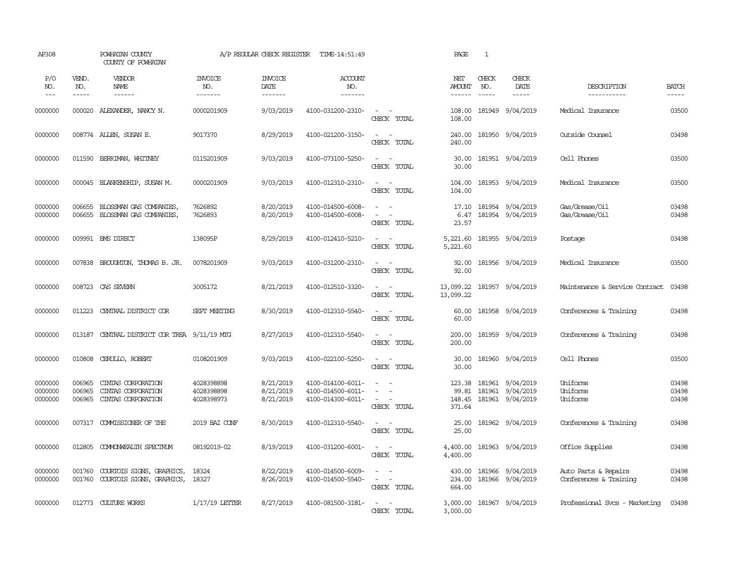| AP308                         |                               | POWHATAN COUNTY<br>COUNTY OF POWHATAN                          |                                        | A/P REGULAR CHECK REGISTER          | TIME-14:51:49                                               |                                                                                                                                                                                                                                                         | PAGE                                  | $\mathbf{1}$                  |                                                                 |                                                |                             |
|-------------------------------|-------------------------------|----------------------------------------------------------------|----------------------------------------|-------------------------------------|-------------------------------------------------------------|---------------------------------------------------------------------------------------------------------------------------------------------------------------------------------------------------------------------------------------------------------|---------------------------------------|-------------------------------|-----------------------------------------------------------------|------------------------------------------------|-----------------------------|
| P/O<br>NO.<br>$---$           | VEND.<br>NO.<br>$\frac{1}{2}$ | VENDOR<br>NAME<br>$- - - - - -$                                | <b>INVOICE</b><br>NO.<br>-------       | <b>INVOICE</b><br>DATE<br>-------   | ACCOUNT<br>NO.<br>--------                                  |                                                                                                                                                                                                                                                         | NET<br><b>AMOUNT</b><br>$- - - - - -$ | CHECK<br>NO.<br>$\frac{1}{2}$ | CHECK<br>DATE<br>$- - - - -$                                    | DESCRIPTION<br>-----------                     | <b>BATCH</b><br>$- - - - -$ |
| 0000000                       |                               | 000020 ALEXANDER, NANCY N.                                     | 0000201909                             | 9/03/2019                           | 4100-031200-2310-                                           | $\sim$ $ \sim$<br>CHECK TOTAL                                                                                                                                                                                                                           | 108.00<br>108.00                      |                               | 181949 9/04/2019                                                | Medical Insurance                              | 03500                       |
| 0000000                       |                               | 008774 ALLEN, SUSAN E.                                         | 9017370                                | 8/29/2019                           | 4100-021200-3150-                                           | $\mathcal{L}_{\text{max}}$ , and $\mathcal{L}_{\text{max}}$<br>CHECK TOTAL                                                                                                                                                                              | 240.00<br>240.00                      |                               | 181950 9/04/2019                                                | Outside Counsel                                | 03498                       |
| 0000000                       | 011590                        | BERRIMAN, WHITNEY                                              | 0115201909                             | 9/03/2019                           | 4100-073100-5250-                                           | $\sim$<br>$\sim$<br>CHECK TOTAL                                                                                                                                                                                                                         | 30.00<br>30.00                        |                               | 181951 9/04/2019                                                | Cell Phones                                    | 03500                       |
| 0000000                       |                               | 000045 BLANKENSHIP, SUSAN M.                                   | 0000201909                             | 9/03/2019                           | 4100-012310-2310-                                           | $\sim$ $ \sim$<br>CHECK TOTAL                                                                                                                                                                                                                           | 104.00<br>104.00                      |                               | 181953 9/04/2019                                                | Medical Insurance                              | 03500                       |
| 0000000<br>0000000            | 006655<br>006655              | BLOSSMAN GAS COMPANIES,<br>BLOSSMAN GAS COMPANIES,             | 7626892<br>7626893                     | 8/20/2019<br>8/20/2019              | 4100-014500-6008-<br>4100-014500-6008-                      | $\sim$<br>$\sim$<br>$\sim$<br>$\sim$<br>CHECK TOTAL                                                                                                                                                                                                     | 17.10<br>6.47<br>23.57                |                               | 181954 9/04/2019<br>181954 9/04/2019                            | Gas/Grease/Oil<br>Gas/Grease/Oil               | 03498<br>03498              |
| 0000000                       |                               | 009991 BMS DIRECT                                              | 138095P                                | 8/29/2019                           | 4100-012410-5210-                                           | $\sim$ $ -$<br>CHECK TOTAL                                                                                                                                                                                                                              | 5,221.60<br>5,221.60                  |                               | 181955 9/04/2019                                                | Postage                                        | 03498                       |
| 0000000                       |                               | 007838 BROUGHTON, THOMAS B. JR.                                | 0078201909                             | 9/03/2019                           | 4100-031200-2310-                                           | $\omega_{\rm{max}}$ and $\omega_{\rm{max}}$<br>CHECK TOTAL                                                                                                                                                                                              | 92.00<br>92.00                        |                               | 181956 9/04/2019                                                | Medical Insurance                              | 03500                       |
| 0000000                       |                               | 008723 CAS SEVERN                                              | 3005172                                | 8/21/2019                           | 4100-012510-3320-                                           | $\sim$ $ \sim$<br>CHECK TOTAL                                                                                                                                                                                                                           | 13,099.22                             |                               | 13,099.22 181957 9/04/2019                                      | Maintenance & Service Contract                 | 03498                       |
| 0000000                       | 011223                        | CENTRAL DISTRICT COR                                           | SEPT MEETING                           | 8/30/2019                           | 4100-012310-5540-                                           | $\omega_{\rm{max}}$ and $\omega_{\rm{max}}$<br>CHECK TOTAL                                                                                                                                                                                              | 60.00<br>60.00                        |                               | 181958 9/04/2019                                                | Conferences & Training                         | 03498                       |
| 0000000                       | 013187                        | CENTRAL DISTRICT COR TREA 9/11/19 MTG                          |                                        | 8/27/2019                           | 4100-012310-5540-                                           | $\sim$<br>$\sim$<br>CHECK TOTAL                                                                                                                                                                                                                         | 200.00<br>200.00                      |                               | 181959 9/04/2019                                                | Conferences & Training                         | 03498                       |
| 0000000                       | 010808                        | CERULLO, ROBERT                                                | 0108201909                             | 9/03/2019                           | 4100-022100-5250-                                           | $\sim$<br>$\sim$<br>CHECK TOTAL                                                                                                                                                                                                                         | 30.00<br>30.00                        |                               | 181960 9/04/2019                                                | Cell Phones                                    | 03500                       |
| 0000000<br>0000000<br>0000000 | 006965<br>006965<br>006965    | CINIAS CORPORATION<br>CINIAS CORPORATION<br>CINIAS CORPORATION | 4028398898<br>4028398898<br>4028398973 | 8/21/2019<br>8/21/2019<br>8/21/2019 | 4100-014100-6011-<br>4100-014500-6011-<br>4100-014300-6011- | $\frac{1}{2} \left( \frac{1}{2} \right) \left( \frac{1}{2} \right) = \frac{1}{2} \left( \frac{1}{2} \right)$<br>$\equiv$<br>$\frac{1}{2} \left( \frac{1}{2} \right) \left( \frac{1}{2} \right) = \frac{1}{2} \left( \frac{1}{2} \right)$<br>CHECK TOTAL | 99.81<br>148.45<br>371.64             |                               | 123.38 181961 9/04/2019<br>181961 9/04/2019<br>181961 9/04/2019 | Uniforms<br>Uniforms<br>Uniforms               | 03498<br>03498<br>03498     |
| 0000000                       | 007317                        | COMMISSIONER OF THE                                            | 2019 BAI CONF                          | 8/30/2019                           | 4100-012310-5540-                                           | $\sim$ 100 $\sim$<br>CHECK TOTAL                                                                                                                                                                                                                        | 25.00<br>25.00                        |                               | 181962 9/04/2019                                                | Conferences & Training                         | 03498                       |
| 0000000                       | 012805                        | COMONWEALTH SPECTRUM                                           | 08192019-02                            | 8/19/2019                           | 4100-031200-6001-                                           | $\omega_{\rm{max}}$ and $\omega_{\rm{max}}$<br>CHECK TOTAL                                                                                                                                                                                              | 4,400.00<br>4,400.00                  |                               | 181963 9/04/2019                                                | Office Supplies                                | 03498                       |
| 0000000<br>0000000            | 001760<br>001760              | COURTOIS SIGNS, GRAPHICS,<br>COURTOIS SIGNS, GRAPHICS,         | 18324<br>18327                         | 8/22/2019<br>8/26/2019              | 4100-014500-6009-<br>4100-014500-5540-                      | $\sim$<br>$\sim$<br>$\omega_{\rm{max}}$ and $\omega_{\rm{max}}$<br>CHECK TOTAL                                                                                                                                                                          | 430.00<br>234.00<br>664.00            |                               | 181966 9/04/2019<br>181966 9/04/2019                            | Auto Parts & Repairs<br>Conferences & Training | 03498<br>03498              |
| 0000000                       |                               | 012773 CULTURE WORKS                                           | $1/17/19$ LETTER                       | 8/27/2019                           | 4100-081500-3181-                                           | $\sim$<br>$\sim$<br>CHECK TOTAL                                                                                                                                                                                                                         | 3,000.00<br>3,000.00                  |                               | 181967 9/04/2019                                                | Professional Svcs - Marketing                  | 03498                       |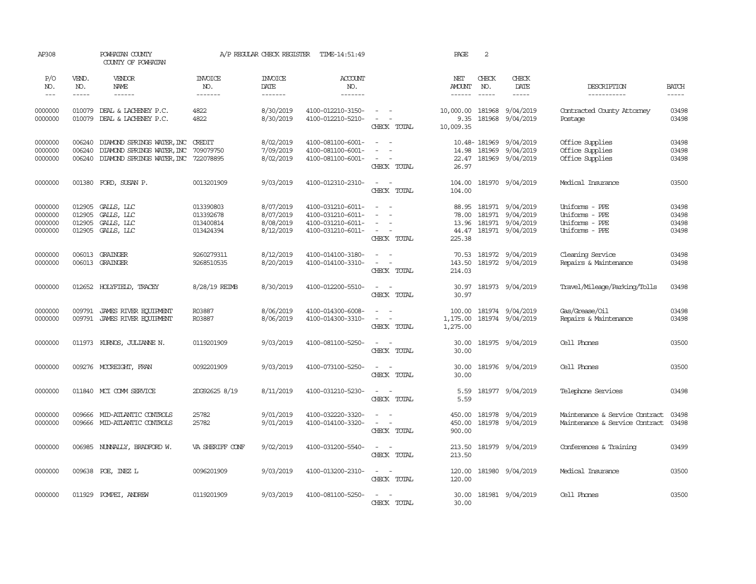| AP308                                    |                                      | POWHATAN COUNTY<br>COUNTY OF POWHATAN                                                            |                                                  | A/P REGULAR CHECK REGISTER                       | TIME-14:51:49                                                                    |                                                                                           | PAGE                                       | 2                             |                                                                       |                                                                      |                                  |
|------------------------------------------|--------------------------------------|--------------------------------------------------------------------------------------------------|--------------------------------------------------|--------------------------------------------------|----------------------------------------------------------------------------------|-------------------------------------------------------------------------------------------|--------------------------------------------|-------------------------------|-----------------------------------------------------------------------|----------------------------------------------------------------------|----------------------------------|
| P/O<br>NO.<br>$\frac{1}{2}$              | VEND.<br>NO.<br>$- - - - -$          | VENDOR<br>NAME<br>------                                                                         | <b>INVOICE</b><br>NO.<br>-------                 | <b>INVOICE</b><br>DATE<br>--------               | <b>ACCOUNT</b><br>NO.<br>--------                                                |                                                                                           | NET<br><b>AMOUNT</b><br>------             | CHECK<br>NO.<br>$\frac{1}{2}$ | CHECK<br>DATE<br>$- - - - -$                                          | DESCRIPTION<br>-----------                                           | <b>BATCH</b><br>-----            |
| 0000000<br>0000000                       | 010079<br>010079                     | DEAL & LACHENEY P.C.<br>DEAL & LACHENEY P.C.                                                     | 4822<br>4822                                     | 8/30/2019<br>8/30/2019                           | 4100-012210-3150-<br>4100-012210-5210-                                           | $\sim$ $ \sim$<br>$\sim$<br>$\sim$<br>CHECK TOTAL                                         | 10,000.00<br>9.35<br>10,009.35             | 181968<br>181968              | 9/04/2019<br>9/04/2019                                                | Contracted County Attorney<br>Postage                                | 03498<br>03498                   |
| 0000000<br>0000000<br>0000000            | 006240<br>006240<br>006240           | DIAMOND SPRINGS WATER, INC<br>DIAMOND SPRINGS WATER, INC<br>DIAMOND SPRINGS WATER, INC 722078895 | CREDIT<br>709079750                              | 8/02/2019<br>7/09/2019<br>8/02/2019              | 4100-081100-6001-<br>4100-081100-6001-<br>4100-081100-6001-                      | $\overline{a}$<br>$\sim$<br>$\overline{\phantom{a}}$<br>CHECK TOTAL                       | 14.98<br>22.47<br>26.97                    | 10.48-181969<br>181969        | 9/04/2019<br>9/04/2019<br>181969 9/04/2019                            | Office Supplies<br>Office Supplies<br>Office Supplies                | 03498<br>03498<br>03498          |
| 0000000                                  |                                      | 001380 FORD, SUSAN P.                                                                            | 0013201909                                       | 9/03/2019                                        | 4100-012310-2310-                                                                | $\sim$<br>$\sim$<br>CHECK TOTAL                                                           | 104.00<br>104.00                           |                               | 181970 9/04/2019                                                      | Medical Insurance                                                    | 03500                            |
| 0000000<br>0000000<br>0000000<br>0000000 | 012905<br>012905<br>012905<br>012905 | GALLS, LLC<br>GALLS, LLC<br>GALLS, LLC<br>GALLS, LLC                                             | 013390803<br>013392678<br>013400814<br>013424394 | 8/07/2019<br>8/07/2019<br>8/08/2019<br>8/12/2019 | 4100-031210-6011-<br>4100-031210-6011-<br>4100-031210-6011-<br>4100-031210-6011- | $\equiv$<br>- 11<br>$\sim$<br>$\sim$ 100 $\mu$<br>$\overline{\phantom{a}}$<br>CHECK TOTAL | 88.95<br>78.00<br>13.96<br>44.47<br>225.38 | 181971                        | 181971 9/04/2019<br>181971 9/04/2019<br>9/04/2019<br>181971 9/04/2019 | Uniforms - PPE<br>Uniforms - PPE<br>Uniforms - PPE<br>Uniforms - PPE | 03498<br>03498<br>03498<br>03498 |
| 0000000<br>0000000                       |                                      | 006013 GRAINGER<br>006013 GRAINGER                                                               | 9260279311<br>9268510535                         | 8/12/2019<br>8/20/2019                           | 4100-014100-3180-<br>4100-014100-3310-                                           | $\sim$<br>$\sim$<br>$\sim$<br>$\overline{\phantom{a}}$<br>CHECK TOTAL                     | 143.50<br>214.03                           |                               | 70.53 181972 9/04/2019<br>181972 9/04/2019                            | Cleaning Service<br>Repairs & Maintenance                            | 03498<br>03498                   |
| 0000000                                  |                                      | 012652 HOLYFIELD, TRACEY                                                                         | 8/28/19 REIMB                                    | 8/30/2019                                        | 4100-012200-5510-                                                                | $\sim$<br>$\overline{\phantom{a}}$<br>CHECK TOTAL                                         | 30.97<br>30.97                             |                               | 181973 9/04/2019                                                      | Travel/Mileage/Parking/Tolls                                         | 03498                            |
| 0000000<br>0000000                       | 009791<br>009791                     | <b>JAMES RIVER EQUIPMENT</b><br>JAMES RIVER EQUIPMENT                                            | R03887<br>R03887                                 | 8/06/2019<br>8/06/2019                           | 4100-014300-6008-<br>4100-014300-3310-                                           | $\sim$<br>$\sim$<br>$\sim$<br>$\sim$<br>CHECK TOTAL                                       | 100.00<br>1,175.00<br>1,275.00             |                               | 181974 9/04/2019<br>181974 9/04/2019                                  | Gas/Grease/Oil<br>Repairs & Maintenance                              | 03498<br>03498                   |
| 0000000                                  |                                      | 011973 KURNOS, JULIANNE N.                                                                       | 0119201909                                       | 9/03/2019                                        | 4100-081100-5250-                                                                | $\sim$<br>$\sim$<br>CHECK TOTAL                                                           | 30.00<br>30.00                             |                               | 181975 9/04/2019                                                      | Cell Phones                                                          | 03500                            |
| 0000000                                  |                                      | 009276 MCCREIGHT, FRAN                                                                           | 0092201909                                       | 9/03/2019                                        | 4100-073100-5250-                                                                | $\sim$<br>$\sim$<br>CHECK TOTAL                                                           | 30.00<br>30.00                             |                               | 181976 9/04/2019                                                      | Cell Phones                                                          | 03500                            |
| 0000000                                  |                                      | 011840 MCI COMM SERVICE                                                                          | 2DG92625 8/19                                    | 8/11/2019                                        | 4100-031210-5230-                                                                | $\sim$<br>$\sim$<br>CHECK TOTAL                                                           | 5.59<br>5.59                               |                               | 181977 9/04/2019                                                      | Telephone Services                                                   | 03498                            |
| 0000000<br>0000000                       |                                      | 009666 MID-ATLANTIC CONTROLS<br>009666 MID-ATLANTIC CONTROLS                                     | 25782<br>25782                                   | 9/01/2019<br>9/01/2019                           | 4100-032220-3320-<br>4100-014100-3320-                                           | $\sim$<br>$\sim$<br>$\overline{\phantom{a}}$<br>$\sim$<br>CHECK TOTAL                     | 450.00<br>450.00<br>900.00                 |                               | 181978 9/04/2019<br>181978 9/04/2019                                  | Maintenance & Service Contract<br>Maintenance & Service Contract     | 03498<br>03498                   |
| 0000000                                  | 006985                               | NUNALLY, BRADFORD W.                                                                             | VA SHERIFF CONF                                  | 9/02/2019                                        | 4100-031200-5540-                                                                | $\sim$ $ \sim$<br>CHECK TOTAL                                                             | 213.50<br>213.50                           |                               | 181979 9/04/2019                                                      | Conferences & Training                                               | 03499                            |
| 0000000                                  |                                      | 009638 POE, INEZ L                                                                               | 0096201909                                       | 9/03/2019                                        | 4100-013200-2310-                                                                | $\sim 100$ km s $^{-1}$<br>CHECK TOTAL                                                    | 120.00<br>120.00                           |                               | 181980 9/04/2019                                                      | Medical Insurance                                                    | 03500                            |
| 0000000                                  |                                      | 011929 POMPEI, ANDREW                                                                            | 0119201909                                       | 9/03/2019                                        | 4100-081100-5250-                                                                | $\sim$<br>CHECK TOTAL                                                                     | 30.00<br>30.00                             |                               | 181981 9/04/2019                                                      | Cell Phones                                                          | 03500                            |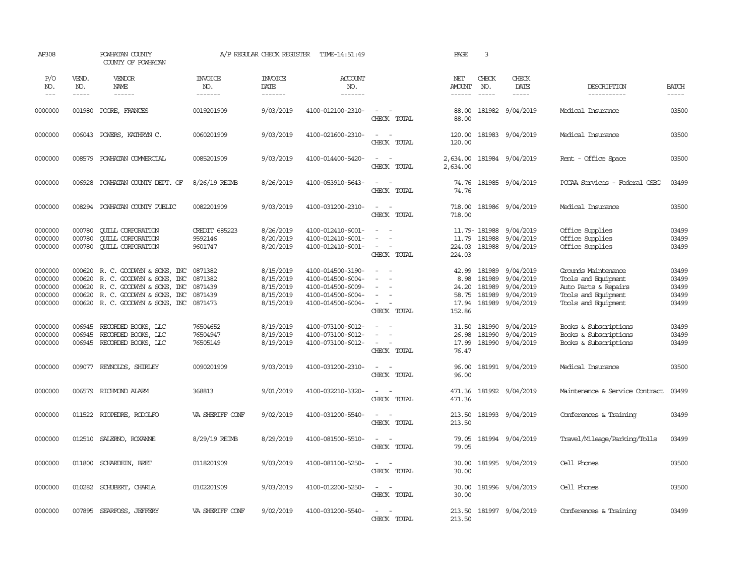| AP308                                               |                             | POWHATAN COUNTY<br>COUNTY OF POWHATAN                                                                                                                               |                                            | A/P REGULAR CHECK REGISTER                                    | TIME-14:51:49                                                                                         |                                                                                                                               | PAGE                                               | 3                                              |                                                               |                                                                                                                  |                                           |
|-----------------------------------------------------|-----------------------------|---------------------------------------------------------------------------------------------------------------------------------------------------------------------|--------------------------------------------|---------------------------------------------------------------|-------------------------------------------------------------------------------------------------------|-------------------------------------------------------------------------------------------------------------------------------|----------------------------------------------------|------------------------------------------------|---------------------------------------------------------------|------------------------------------------------------------------------------------------------------------------|-------------------------------------------|
| P/O<br>NO.<br>$---$                                 | VEND.<br>NO.<br>$- - - - -$ | <b>VENDOR</b><br>NAME<br>$- - - - - -$                                                                                                                              | <b>INVOICE</b><br>NO.<br>-------           | <b>INVOICE</b><br>DATE<br>-------                             | ACCOUNT<br>NO.<br>-------                                                                             |                                                                                                                               | NET<br>AMOUNT<br>$- - - - - -$                     | CHECK<br>NO.<br>$\frac{1}{2}$                  | CHECK<br>DATE<br>$- - - - -$                                  | DESCRIPTION<br>-----------                                                                                       | <b>BATCH</b><br>$- - - - -$               |
| 0000000                                             | 001980                      | POORE, FRANCES                                                                                                                                                      | 0019201909                                 | 9/03/2019                                                     | 4100-012100-2310-                                                                                     | $\sim$ $\sim$<br>CHECK TOTAL                                                                                                  | 88.00<br>88.00                                     |                                                | 181982 9/04/2019                                              | Medical Insurance                                                                                                | 03500                                     |
| 0000000                                             | 006043                      | POWERS, KATHRYN C.                                                                                                                                                  | 0060201909                                 | 9/03/2019                                                     | 4100-021600-2310-                                                                                     | $\overline{\phantom{a}}$<br>$\sim$<br>CHECK TOTAL                                                                             | 120.00<br>120.00                                   |                                                | 181983 9/04/2019                                              | Medical Insurance                                                                                                | 03500                                     |
| 0000000                                             | 008579                      | POWHATAN COMMERCIAL                                                                                                                                                 | 0085201909                                 | 9/03/2019                                                     | 4100-014400-5420-                                                                                     | $\frac{1}{2} \left( \frac{1}{2} \right) \left( \frac{1}{2} \right) \left( \frac{1}{2} \right)$<br>CHECK TOTAL                 | 2,634.00<br>2,634.00                               |                                                | 181984 9/04/2019                                              | Rent - Office Space                                                                                              | 03500                                     |
| 0000000                                             | 006928                      | POWHATAN COUNTY DEPT. OF                                                                                                                                            | 8/26/19 REIMB                              | 8/26/2019                                                     | 4100-053910-5643-                                                                                     | $\sim$<br>$\sim$<br>CHECK TOTAL                                                                                               | 74.76<br>74.76                                     |                                                | 181985 9/04/2019                                              | PCCAA Services - Federal CSBG                                                                                    | 03499                                     |
| 0000000                                             | 008294                      | POWHATAN COUNTY PUBLIC                                                                                                                                              | 0082201909                                 | 9/03/2019                                                     | 4100-031200-2310-                                                                                     | $\overline{\phantom{a}}$<br>$\overline{\phantom{a}}$<br>CHECK TOTAL                                                           | 718.00<br>718.00                                   |                                                | 181986 9/04/2019                                              | Medical Insurance                                                                                                | 03500                                     |
| 0000000<br>0000000<br>0000000                       | 000780<br>000780<br>000780  | <b>CUILL CORPORATION</b><br><b>CUILL CORPORATION</b><br><b>CUILL CORPORATION</b>                                                                                    | <b>CREDIT 685223</b><br>9592146<br>9601747 | 8/26/2019<br>8/20/2019<br>8/20/2019                           | 4100-012410-6001-<br>4100-012410-6001-<br>4100-012410-6001-                                           | $\overline{\phantom{a}}$<br>$\sim$<br>$\overline{\phantom{a}}$<br>$\overline{\phantom{a}}$<br>$\sim$<br>$\sim$<br>CHECK TOTAL | 11.79<br>224.03                                    | 11.79-181988<br>181988                         | 9/04/2019<br>9/04/2019<br>224.03 181988 9/04/2019             | Office Supplies<br>Office Supplies<br>Office Supplies                                                            | 03499<br>03499<br>03499                   |
| 0000000<br>0000000<br>0000000<br>0000000<br>0000000 | 000620<br>000620<br>000620  | 000620 R. C. GOODWYN & SONS, INC<br>R. C. GOODWIN & SONS, INC<br>R. C. GOODWYN & SONS, INC<br>R. C. GOODWYN & SONS, INC<br>000620 R. C. GOODWYN & SONS, INC 0871473 | 0871382<br>0871382<br>0871439<br>0871439   | 8/15/2019<br>8/15/2019<br>8/15/2019<br>8/15/2019<br>8/15/2019 | 4100-014500-3190-<br>4100-014500-6004-<br>4100-014500-6009-<br>4100-014500-6004-<br>4100-014500-6004- | $\sim$<br>$\sim$<br>$\sim$<br>$\sim$<br>$\sim$<br>$\sim$<br>$\sim$<br>CHECK TOTAL                                             | 42.99<br>8.98<br>24.20<br>58.75<br>17.94<br>152.86 | 181989<br>181989<br>181989<br>181989<br>181989 | 9/04/2019<br>9/04/2019<br>9/04/2019<br>9/04/2019<br>9/04/2019 | Grounds Maintenance<br>Tools and Equipment<br>Auto Parts & Repairs<br>Tools and Equipment<br>Tools and Equipment | 03499<br>03499<br>03499<br>03499<br>03499 |
| 0000000<br>0000000<br>0000000                       | 006945<br>006945            | RECORDED BOOKS, LLC<br>RECORDED BOOKS, LLC<br>006945 RECORDED BOOKS, LLC                                                                                            | 76504652<br>76504947<br>76505149           | 8/19/2019<br>8/19/2019<br>8/19/2019                           | 4100-073100-6012-<br>4100-073100-6012-<br>4100-073100-6012-                                           | $\sim$<br>$\overline{\phantom{a}}$<br>CHECK TOTAL                                                                             | 31.50<br>26.98<br>17.99<br>76.47                   | 181990<br>181990                               | 9/04/2019<br>9/04/2019<br>181990 9/04/2019                    | Books & Subscriptions<br>Books & Subscriptions<br>Books & Subscriptions                                          | 03499<br>03499<br>03499                   |
| 0000000                                             |                             | 009077 REYNOLDS, SHIRLEY                                                                                                                                            | 0090201909                                 | 9/03/2019                                                     | 4100-031200-2310-                                                                                     | $\frac{1}{2} \left( \frac{1}{2} \right) \left( \frac{1}{2} \right) \left( \frac{1}{2} \right)$<br>CHECK TOTAL                 | 96.00<br>96.00                                     |                                                | 181991 9/04/2019                                              | Medical Insurance                                                                                                | 03500                                     |
| 0000000                                             | 006579                      | RICHMOND ALARM                                                                                                                                                      | 368813                                     | 9/01/2019                                                     | 4100-032210-3320-                                                                                     | $\sim$<br>CHECK TOTAL                                                                                                         | 471.36<br>471.36                                   |                                                | 181992 9/04/2019                                              | Maintenance & Service Contract                                                                                   | 03499                                     |
| 0000000                                             | 011522                      | RIOPEDRE, RODOLFO                                                                                                                                                   | VA SHERIFF CONF                            | 9/02/2019                                                     | 4100-031200-5540-                                                                                     | CHECK TOTAL                                                                                                                   | 213.50<br>213.50                                   | 181993                                         | 9/04/2019                                                     | Conferences & Training                                                                                           | 03499                                     |
| 0000000                                             | 012510                      | SALERNO, ROXANNE                                                                                                                                                    | 8/29/19 REIMB                              | 8/29/2019                                                     | 4100-081500-5510-                                                                                     | $\sim$<br>$\sim$<br>CHECK TOTAL                                                                                               | 79.05<br>79.05                                     |                                                | 181994 9/04/2019                                              | Travel/Mileage/Parking/Tolls                                                                                     | 03499                                     |
| 0000000                                             |                             | 011800 SCHARDEIN, BRET                                                                                                                                              | 0118201909                                 | 9/03/2019                                                     | 4100-081100-5250-                                                                                     | $\sim$<br>$\sim$<br>CHECK TOTAL                                                                                               | 30.00<br>30.00                                     |                                                | 181995 9/04/2019                                              | Cell Phones                                                                                                      | 03500                                     |
| 0000000                                             |                             | 010282 SCHUBERT, CHARLA                                                                                                                                             | 0102201909                                 | 9/03/2019                                                     | 4100-012200-5250-                                                                                     | $\overline{\phantom{a}}$<br>$\overline{\phantom{a}}$<br>CHECK TOTAL                                                           | 30.00<br>30.00                                     |                                                | 181996 9/04/2019                                              | Cell Phones                                                                                                      | 03500                                     |
| 0000000                                             |                             | 007895 SEARFOSS, JEFFERY                                                                                                                                            | VA SHERIFF CONF                            | 9/02/2019                                                     | 4100-031200-5540-                                                                                     | $\sim$<br>CHECK TOTAL                                                                                                         | 213.50<br>213.50                                   |                                                | 181997 9/04/2019                                              | Conferences & Training                                                                                           | 03499                                     |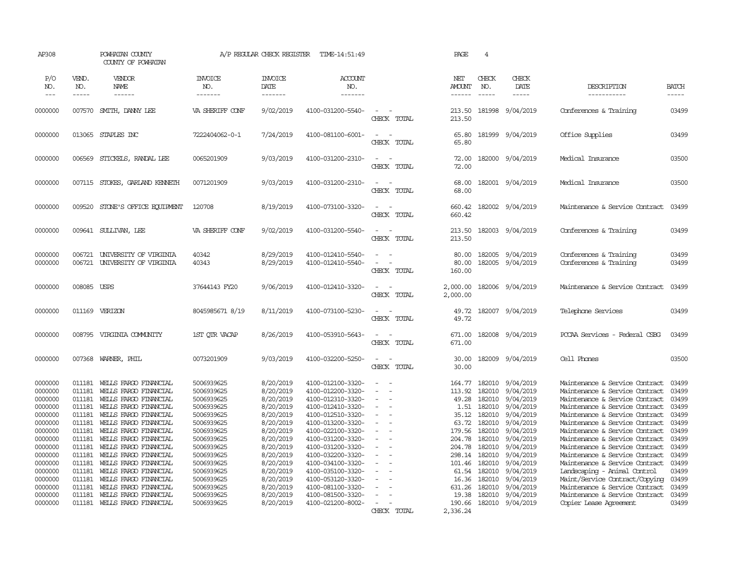| AP308                                                                                                                                                                        |                                                                                                                                                              | POWHATAN COUNTY<br>COUNTY OF POWHATAN                                                                                                                                                                                                                                                                                                                                                                        |                                                                                                                                                                                                                              | A/P REGULAR CHECK REGISTER                                                                                                                                                                                   | TIME-14:51:49                                                                                                                                                                                                                                                                                                                                |                                                                                                                                    | PAGE                                                                                                                                                 | $\overline{4}$                                                                                                                                     |                                                                                                                                                                                                                     |                                                                                                                                                                                                                                                                                                                                                                                                                                                                                                                                                    |                                                                                                                                              |
|------------------------------------------------------------------------------------------------------------------------------------------------------------------------------|--------------------------------------------------------------------------------------------------------------------------------------------------------------|--------------------------------------------------------------------------------------------------------------------------------------------------------------------------------------------------------------------------------------------------------------------------------------------------------------------------------------------------------------------------------------------------------------|------------------------------------------------------------------------------------------------------------------------------------------------------------------------------------------------------------------------------|--------------------------------------------------------------------------------------------------------------------------------------------------------------------------------------------------------------|----------------------------------------------------------------------------------------------------------------------------------------------------------------------------------------------------------------------------------------------------------------------------------------------------------------------------------------------|------------------------------------------------------------------------------------------------------------------------------------|------------------------------------------------------------------------------------------------------------------------------------------------------|----------------------------------------------------------------------------------------------------------------------------------------------------|---------------------------------------------------------------------------------------------------------------------------------------------------------------------------------------------------------------------|----------------------------------------------------------------------------------------------------------------------------------------------------------------------------------------------------------------------------------------------------------------------------------------------------------------------------------------------------------------------------------------------------------------------------------------------------------------------------------------------------------------------------------------------------|----------------------------------------------------------------------------------------------------------------------------------------------|
| P/O<br>NO.<br>$---$                                                                                                                                                          | VEND.<br>NO.<br>$- - - - -$                                                                                                                                  | VENDOR<br>NAME<br>------                                                                                                                                                                                                                                                                                                                                                                                     | <b>INVOICE</b><br>NO.<br>-------                                                                                                                                                                                             | <b>INVOICE</b><br>DATE<br>-------                                                                                                                                                                            | ACCOUNT<br>NO.<br>-------                                                                                                                                                                                                                                                                                                                    |                                                                                                                                    | NET<br><b>AMOUNT</b><br>$- - - - - -$                                                                                                                | CHECK<br>NO.<br>$\frac{1}{2}$                                                                                                                      | CHECK<br>DATE<br>$- - - - -$                                                                                                                                                                                        | DESCRIPTION<br>-----------                                                                                                                                                                                                                                                                                                                                                                                                                                                                                                                         | <b>BATCH</b><br>$- - - - -$                                                                                                                  |
| 0000000                                                                                                                                                                      | 007570                                                                                                                                                       | SMITH, DANNY LEE                                                                                                                                                                                                                                                                                                                                                                                             | VA SHERIFF CONF                                                                                                                                                                                                              | 9/02/2019                                                                                                                                                                                                    | 4100-031200-5540-                                                                                                                                                                                                                                                                                                                            | CHECK TOTAL                                                                                                                        | 213.50<br>213.50                                                                                                                                     | 181998                                                                                                                                             | 9/04/2019                                                                                                                                                                                                           | Conferences & Training                                                                                                                                                                                                                                                                                                                                                                                                                                                                                                                             | 03499                                                                                                                                        |
| 0000000                                                                                                                                                                      |                                                                                                                                                              | 013065 STAPLES INC                                                                                                                                                                                                                                                                                                                                                                                           | 7222404062-0-1                                                                                                                                                                                                               | 7/24/2019                                                                                                                                                                                                    | 4100-081100-6001-                                                                                                                                                                                                                                                                                                                            | $\equiv$<br>$\sim$<br>CHECK TOTAL                                                                                                  | 65.80<br>65.80                                                                                                                                       |                                                                                                                                                    | 181999 9/04/2019                                                                                                                                                                                                    | Office Supplies                                                                                                                                                                                                                                                                                                                                                                                                                                                                                                                                    | 03499                                                                                                                                        |
| 0000000                                                                                                                                                                      | 006569                                                                                                                                                       | STICKELS, RANDAL LEE                                                                                                                                                                                                                                                                                                                                                                                         | 0065201909                                                                                                                                                                                                                   | 9/03/2019                                                                                                                                                                                                    | 4100-031200-2310-                                                                                                                                                                                                                                                                                                                            | $\sim$ $-$<br>$\sim$<br>CHECK TOTAL                                                                                                | 72.00<br>72.00                                                                                                                                       |                                                                                                                                                    | 182000 9/04/2019                                                                                                                                                                                                    | Medical Insurance                                                                                                                                                                                                                                                                                                                                                                                                                                                                                                                                  | 03500                                                                                                                                        |
| 0000000                                                                                                                                                                      | 007115                                                                                                                                                       | STOKES, GARLAND KENNETH                                                                                                                                                                                                                                                                                                                                                                                      | 0071201909                                                                                                                                                                                                                   | 9/03/2019                                                                                                                                                                                                    | 4100-031200-2310-                                                                                                                                                                                                                                                                                                                            | $\sim$<br>$\sim$<br>CHECK TOTAL                                                                                                    | 68.00<br>68.00                                                                                                                                       |                                                                                                                                                    | 182001 9/04/2019                                                                                                                                                                                                    | Medical Insurance                                                                                                                                                                                                                                                                                                                                                                                                                                                                                                                                  | 03500                                                                                                                                        |
| 0000000                                                                                                                                                                      | 009520                                                                                                                                                       | STONE'S OFFICE EQUIPMENT                                                                                                                                                                                                                                                                                                                                                                                     | 120708                                                                                                                                                                                                                       | 8/19/2019                                                                                                                                                                                                    | 4100-073100-3320-                                                                                                                                                                                                                                                                                                                            | $\sim$<br>$\sim$<br>CHECK TOTAL                                                                                                    | 660.42<br>660.42                                                                                                                                     |                                                                                                                                                    | 182002 9/04/2019                                                                                                                                                                                                    | Maintenance & Service Contract                                                                                                                                                                                                                                                                                                                                                                                                                                                                                                                     | 03499                                                                                                                                        |
| 0000000                                                                                                                                                                      | 009641                                                                                                                                                       | SULLIVAN, LEE                                                                                                                                                                                                                                                                                                                                                                                                | VA SHERIFF CONF                                                                                                                                                                                                              | 9/02/2019                                                                                                                                                                                                    | 4100-031200-5540-                                                                                                                                                                                                                                                                                                                            | $\sim$<br>$\sim$<br>CHECK TOTAL                                                                                                    | 213.50<br>213.50                                                                                                                                     | 182003                                                                                                                                             | 9/04/2019                                                                                                                                                                                                           | Conferences & Training                                                                                                                                                                                                                                                                                                                                                                                                                                                                                                                             | 03499                                                                                                                                        |
| 0000000<br>0000000                                                                                                                                                           | 006721<br>006721                                                                                                                                             | UNIVERSITY OF VIRGINIA<br>UNIVERSITY OF VIRGINIA                                                                                                                                                                                                                                                                                                                                                             | 40342<br>40343                                                                                                                                                                                                               | 8/29/2019<br>8/29/2019                                                                                                                                                                                       | 4100-012410-5540-<br>4100-012410-5540-                                                                                                                                                                                                                                                                                                       | $\equiv$<br>$\sim$<br>$\sim$<br>CHECK TOTAL                                                                                        | 80.00<br>80.00<br>160.00                                                                                                                             | 182005<br>182005                                                                                                                                   | 9/04/2019<br>9/04/2019                                                                                                                                                                                              | Conferences & Training<br>Conferences & Training                                                                                                                                                                                                                                                                                                                                                                                                                                                                                                   | 03499<br>03499                                                                                                                               |
| 0000000                                                                                                                                                                      | 008085 USPS                                                                                                                                                  |                                                                                                                                                                                                                                                                                                                                                                                                              | 37644143 FY20                                                                                                                                                                                                                | 9/06/2019                                                                                                                                                                                                    | 4100-012410-3320-                                                                                                                                                                                                                                                                                                                            | $\overline{a}$<br>$\sim$<br>CHECK TOTAL                                                                                            | 2,000.00<br>2,000.00                                                                                                                                 |                                                                                                                                                    | 182006 9/04/2019                                                                                                                                                                                                    | Maintenance & Service Contract                                                                                                                                                                                                                                                                                                                                                                                                                                                                                                                     | 03499                                                                                                                                        |
| 0000000                                                                                                                                                                      |                                                                                                                                                              | 011169 VERIZON                                                                                                                                                                                                                                                                                                                                                                                               | 8045985671 8/19                                                                                                                                                                                                              | 8/11/2019                                                                                                                                                                                                    | 4100-073100-5230-                                                                                                                                                                                                                                                                                                                            | $\equiv$<br>$\overline{\phantom{a}}$<br>CHECK TOTAL                                                                                | 49.72<br>49.72                                                                                                                                       |                                                                                                                                                    | 182007 9/04/2019                                                                                                                                                                                                    | Telephone Services                                                                                                                                                                                                                                                                                                                                                                                                                                                                                                                                 | 03499                                                                                                                                        |
| 0000000                                                                                                                                                                      | 008795                                                                                                                                                       | VIRGINIA COMUNITY                                                                                                                                                                                                                                                                                                                                                                                            | 1ST OTR VACAP                                                                                                                                                                                                                | 8/26/2019                                                                                                                                                                                                    | 4100-053910-5643-                                                                                                                                                                                                                                                                                                                            | $\sim$<br>$\sim$<br>CHECK TOTAL                                                                                                    | 671.00<br>671.00                                                                                                                                     |                                                                                                                                                    | 182008 9/04/2019                                                                                                                                                                                                    | PCCAA Services - Federal CSBG                                                                                                                                                                                                                                                                                                                                                                                                                                                                                                                      | 03499                                                                                                                                        |
| 0000000                                                                                                                                                                      | 007368                                                                                                                                                       | WARNER, PHIL                                                                                                                                                                                                                                                                                                                                                                                                 | 0073201909                                                                                                                                                                                                                   | 9/03/2019                                                                                                                                                                                                    | 4100-032200-5250-                                                                                                                                                                                                                                                                                                                            | $\sim$<br>$\sim$<br>CHECK TOTAL                                                                                                    | 30.00<br>30.00                                                                                                                                       |                                                                                                                                                    | 182009 9/04/2019                                                                                                                                                                                                    | Cell Phones                                                                                                                                                                                                                                                                                                                                                                                                                                                                                                                                        | 03500                                                                                                                                        |
| 0000000<br>0000000<br>0000000<br>0000000<br>0000000<br>0000000<br>0000000<br>0000000<br>0000000<br>0000000<br>0000000<br>0000000<br>0000000<br>0000000<br>0000000<br>0000000 | 011181<br>011181<br>011181<br>011181<br>011181<br>011181<br>011181<br>011181<br>011181<br>011181<br>011181<br>011181<br>011181<br>011181<br>011181<br>011181 | WELLS FARGO FINANCIAL<br>WELLS FARGO FINANCIAL<br>WELLS FARGO FINANCIAL<br>WELLS FARGO FINANCIAL<br>WELLS FARGO FINANCIAL<br>WELLS FARGO FINANCIAL<br>WELLS FARGO FINANCIAL<br>WELLS FARGO FINANCIAL<br>WELLS FARGO FINANCIAL<br>WEILS FARGO FINANCIAL<br>WELLS FARGO FINANCIAL<br>WEILS FARGO FINANCIAL<br>WELLS FARGO FINANCIAL<br>WELLS FARGO FINANCIAL<br>WELLS FARGO FINANCIAL<br>WELLS FARGO FINANCIAL | 5006939625<br>5006939625<br>5006939625<br>5006939625<br>5006939625<br>5006939625<br>5006939625<br>5006939625<br>5006939625<br>5006939625<br>5006939625<br>5006939625<br>5006939625<br>5006939625<br>5006939625<br>5006939625 | 8/20/2019<br>8/20/2019<br>8/20/2019<br>8/20/2019<br>8/20/2019<br>8/20/2019<br>8/20/2019<br>8/20/2019<br>8/20/2019<br>8/20/2019<br>8/20/2019<br>8/20/2019<br>8/20/2019<br>8/20/2019<br>8/20/2019<br>8/20/2019 | 4100-012100-3320-<br>4100-012200-3320-<br>4100-012310-3320-<br>4100-012410-3320-<br>4100-012510-3320-<br>4100-013200-3320-<br>4100-022100-3320-<br>4100-031200-3320-<br>4100-031200-3320-<br>4100-032200-3320-<br>4100-034100-3320-<br>4100-035100-3320-<br>4100-053120-3320-<br>4100-081100-3320-<br>4100-081500-3320-<br>4100-021200-8002- | $\overline{\phantom{a}}$<br>$\overline{\phantom{a}}$<br>$\sim$<br>$\overline{\phantom{a}}$<br>$\sim$<br>$\equiv$<br>$\overline{a}$ | 164.77<br>113.92<br>49.28<br>1.51<br>35.12<br>63.72<br>179.56<br>204.78<br>204.78<br>298.14<br>101.46<br>61.54<br>16.36<br>631.26<br>19.38<br>190.66 | 182010<br>182010<br>182010<br>182010<br>182010<br>182010<br>182010<br>182010<br>182010<br>182010<br>182010<br>182010<br>182010<br>182010<br>182010 | 9/04/2019<br>9/04/2019<br>9/04/2019<br>9/04/2019<br>9/04/2019<br>9/04/2019<br>9/04/2019<br>9/04/2019<br>9/04/2019<br>9/04/2019<br>9/04/2019<br>9/04/2019<br>9/04/2019<br>9/04/2019<br>9/04/2019<br>182010 9/04/2019 | Maintenance & Service Contract<br>Maintenance & Service Contract<br>Maintenance & Service Contract<br>Maintenance & Service Contract<br>Maintenance & Service Contract<br>Maintenance & Service Contract<br>Maintenance & Service Contract<br>Maintenance & Service Contract<br>Maintenance & Service Contract<br>Maintenance & Service Contract<br>Maintenance & Service Contract<br>Landscaping - Animal Control<br>Maint/Service Contract/Copying<br>Maintenance & Service Contract<br>Maintenance & Service Contract<br>Copier Lease Agreement | 03499<br>03499<br>03499<br>03499<br>03499<br>03499<br>03499<br>03499<br>03499<br>03499<br>03499<br>03499<br>03499<br>03499<br>03499<br>03499 |
|                                                                                                                                                                              |                                                                                                                                                              |                                                                                                                                                                                                                                                                                                                                                                                                              |                                                                                                                                                                                                                              |                                                                                                                                                                                                              |                                                                                                                                                                                                                                                                                                                                              | CHECK TOTAL                                                                                                                        | 2,336.24                                                                                                                                             |                                                                                                                                                    |                                                                                                                                                                                                                     |                                                                                                                                                                                                                                                                                                                                                                                                                                                                                                                                                    |                                                                                                                                              |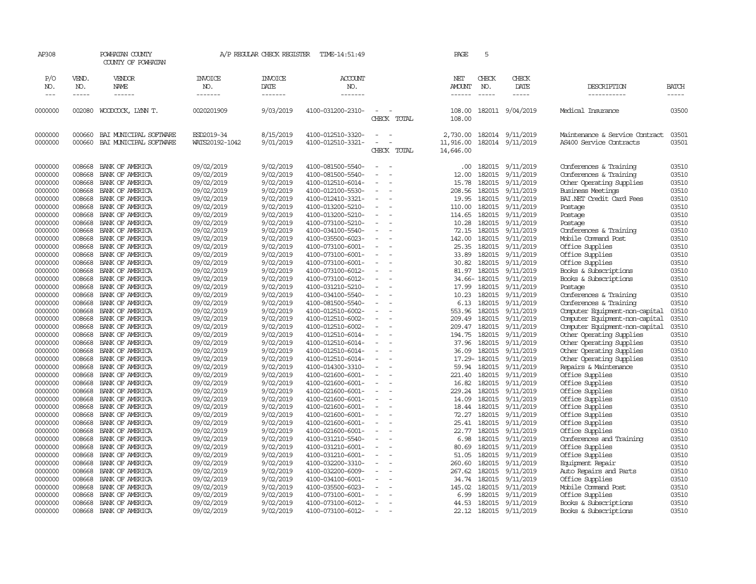| AP308                                               |                                                | POWHATAN COUNTY<br>COUNTY OF POWHATAN                                                       |                                                                    | A/P REGULAR CHECK REGISTER                                    | TIME-14:51:49                                                                                         |                                                                                                                        |             | PAGE                                     | 5                                              |                                                               |                                                                                                                                      |                                           |
|-----------------------------------------------------|------------------------------------------------|---------------------------------------------------------------------------------------------|--------------------------------------------------------------------|---------------------------------------------------------------|-------------------------------------------------------------------------------------------------------|------------------------------------------------------------------------------------------------------------------------|-------------|------------------------------------------|------------------------------------------------|---------------------------------------------------------------|--------------------------------------------------------------------------------------------------------------------------------------|-------------------------------------------|
| P/O<br>NO.                                          | VEND.<br>NO.                                   | VENDOR<br>NAME                                                                              | <b>INVOICE</b><br>NO.                                              | <b>INVOICE</b><br>DATE                                        | ACCOUNT<br>NO.                                                                                        |                                                                                                                        |             | NET<br>AMOUNT                            | CHECK<br>NO.                                   | CHECK<br>DATE                                                 | DESCRIPTION                                                                                                                          | BATCH                                     |
| $---$                                               | -----                                          | ------                                                                                      | -------                                                            | -------                                                       | -------                                                                                               |                                                                                                                        |             | $- - - - - -$                            | $\frac{1}{2}$                                  | $- - - - -$                                                   | -----------                                                                                                                          | -----                                     |
| 0000000                                             | 002080                                         | WOODCOCK, LYNN T.                                                                           | 0020201909                                                         | 9/03/2019                                                     | 4100-031200-2310-                                                                                     | $\sim$<br>$\sim$                                                                                                       | CHECK TOTAL | 108.00<br>108.00                         |                                                | 182011 9/04/2019                                              | Medical Insurance                                                                                                                    | 03500                                     |
| 0000000<br>0000000                                  | 000660<br>000660                               | BAI MUNICIPAL SOFTWARE<br>BAI MUNICIPAL SOFTWARE                                            | ESD2019-34<br>WATS20192-1042                                       | 8/15/2019<br>9/01/2019                                        | 4100-012510-3320-<br>4100-012510-3321-                                                                | $\overline{\phantom{0}}$                                                                                               | CHECK TOTAL | 2,730.00<br>11,916.00<br>14,646.00       | 182014<br>182014                               | 9/11/2019<br>9/11/2019                                        | Maintenance & Service Contract<br>AS400 Service Contracts                                                                            | 03501<br>03501                            |
| 0000000<br>0000000<br>0000000<br>0000000<br>0000000 | 008668<br>008668<br>008668<br>008668<br>008668 | BANK OF AMERICA<br>BANK OF AMERICA<br>BANK OF AMERICA<br>BANK OF AMERICA<br>BANK OF AMERICA | 09/02/2019<br>09/02/2019<br>09/02/2019<br>09/02/2019<br>09/02/2019 | 9/02/2019<br>9/02/2019<br>9/02/2019<br>9/02/2019<br>9/02/2019 | 4100-081500-5540-<br>4100-081500-5540-<br>4100-012510-6014-<br>4100-012100-5530-<br>4100-012410-3321- | $\sim$<br>$\sim$<br>$\overline{\phantom{a}}$<br>$\overline{\phantom{a}}$                                               |             | .00<br>12.00<br>15.78<br>208.56<br>19.95 | 182015<br>182015<br>182015<br>182015<br>182015 | 9/11/2019<br>9/11/2019<br>9/11/2019<br>9/11/2019<br>9/11/2019 | Conferences & Training<br>Conferences & Training<br>Other Operating Supplies<br><b>Business Meetings</b><br>BAI.NET Credit Card Fees | 03510<br>03510<br>03510<br>03510<br>03510 |
| 0000000<br>0000000<br>0000000<br>0000000            | 008668<br>008668<br>008668<br>008668           | BANK OF AMERICA<br>BANK OF AMERICA<br>BANK OF AMERICA<br>BANK OF AMERICA                    | 09/02/2019<br>09/02/2019<br>09/02/2019<br>09/02/2019               | 9/02/2019<br>9/02/2019<br>9/02/2019<br>9/02/2019              | 4100-013200-5210-<br>4100-013200-5210-<br>4100-073100-5210-<br>4100-034100-5540-                      | $\equiv$<br>$\overline{\phantom{a}}$<br>$\overline{a}$<br>$\sim$                                                       |             | 110.00<br>114.65<br>10.28<br>72.15       | 182015<br>182015<br>182015<br>182015           | 9/11/2019<br>9/11/2019<br>9/11/2019<br>9/11/2019              | Postage<br>Postage<br>Postage<br>Conferences & Training                                                                              | 03510<br>03510<br>03510<br>03510          |
| 0000000<br>0000000<br>0000000<br>0000000            | 008668<br>008668<br>008668<br>008668           | BANK OF AMERICA<br>BANK OF AMERICA<br>BANK OF AMERICA<br>BANK OF AMERICA                    | 09/02/2019<br>09/02/2019<br>09/02/2019<br>09/02/2019               | 9/02/2019<br>9/02/2019<br>9/02/2019<br>9/02/2019              | 4100-035500-6023-<br>4100-073100-6001-<br>4100-073100-6001-<br>4100-073100-6001-                      | $\equiv$<br>$\sim$<br>$\overline{\phantom{a}}$<br>$\sim$<br>$\sim$                                                     |             | 142.00<br>25.35<br>33.89<br>30.82        | 182015<br>182015<br>182015<br>182015           | 9/11/2019<br>9/11/2019<br>9/11/2019<br>9/11/2019              | Mobile Command Post<br>Office Supplies<br>Office Supplies<br>Office Supplies                                                         | 03510<br>03510<br>03510<br>03510          |
| 0000000<br>0000000<br>0000000                       | 008668<br>008668<br>008668                     | BANK OF AMERICA<br>BANK OF AMERICA<br>BANK OF AMERICA                                       | 09/02/2019<br>09/02/2019<br>09/02/2019                             | 9/02/2019<br>9/02/2019<br>9/02/2019                           | 4100-073100-6012-<br>4100-073100-6012-<br>4100-031210-5210-                                           | $\sim$<br>$\overline{a}$<br>$\sim$<br>$\overline{a}$                                                                   |             | 81.97<br>17.99                           | 182015<br>34.66-182015<br>182015               | 9/11/2019<br>9/11/2019<br>9/11/2019                           | Books & Subscriptions<br>Books & Subscriptions<br>Postage                                                                            | 03510<br>03510<br>03510                   |
| 0000000<br>0000000<br>0000000<br>0000000            | 008668<br>008668<br>008668<br>008668           | BANK OF AMERICA<br>BANK OF AMERICA<br>BANK OF AMERICA<br>BANK OF AMERICA                    | 09/02/2019<br>09/02/2019<br>09/02/2019<br>09/02/2019               | 9/02/2019<br>9/02/2019<br>9/02/2019<br>9/02/2019              | 4100-034100-5540-<br>4100-081500-5540-<br>4100-012510-6002-<br>4100-012510-6002-                      | $\equiv$<br>÷,<br>$\equiv$                                                                                             |             | 10.23<br>6.13<br>553.96<br>209.49        | 182015<br>182015<br>182015<br>182015           | 9/11/2019<br>9/11/2019<br>9/11/2019<br>9/11/2019              | Conferences & Training<br>Conferences & Training<br>Computer Equipment-non-capital<br>Computer Equipment-non-capital                 | 03510<br>03510<br>03510<br>03510          |
| 0000000<br>0000000<br>0000000<br>0000000            | 008668<br>008668<br>008668<br>008668           | BANK OF AMERICA<br>BANK OF AMERICA<br>BANK OF AMERICA<br>BANK OF AMERICA                    | 09/02/2019<br>09/02/2019<br>09/02/2019<br>09/02/2019               | 9/02/2019<br>9/02/2019<br>9/02/2019<br>9/02/2019              | 4100-012510-6002-<br>4100-012510-6014-<br>4100-012510-6014-<br>4100-012510-6014-                      | $\equiv$<br>$\overline{\phantom{a}}$<br>$\equiv$<br>$\sim$<br>$\overline{a}$                                           |             | 194.75<br>37.96<br>36.09                 | 209.47 182015<br>182015<br>182015<br>182015    | 9/11/2019<br>9/11/2019<br>9/11/2019<br>9/11/2019              | Computer Equipment-non-capital<br>Other Operating Supplies<br>Other Operating Supplies<br>Other Operating Supplies                   | 03510<br>03510<br>03510<br>03510          |
| 0000000<br>0000000<br>0000000                       | 008668<br>008668<br>008668                     | BANK OF AMERICA<br>BANK OF AMERICA<br>BANK OF AMERICA                                       | 09/02/2019<br>09/02/2019<br>09/02/2019                             | 9/02/2019<br>9/02/2019<br>9/02/2019                           | 4100-012510-6014-<br>4100-014300-3310-<br>4100-021600-6001-                                           | $\overline{\phantom{a}}$<br>$\sim$                                                                                     |             | 59.94<br>221.40                          | 17.29-182015<br>182015<br>182015               | 9/11/2019<br>9/11/2019<br>9/11/2019                           | Other Operating Supplies<br>Repairs & Maintenance<br>Office Supplies                                                                 | 03510<br>03510<br>03510                   |
| 0000000<br>0000000<br>0000000<br>0000000            | 008668<br>008668<br>008668<br>008668           | BANK OF AMERICA<br>BANK OF AMERICA<br>BANK OF AMERICA<br>BANK OF AMERICA                    | 09/02/2019<br>09/02/2019<br>09/02/2019<br>09/02/2019               | 9/02/2019<br>9/02/2019<br>9/02/2019<br>9/02/2019              | 4100-021600-6001-<br>4100-021600-6001-<br>4100-021600-6001-<br>4100-021600-6001-                      | $\equiv$<br>$\overline{\phantom{a}}$<br>$\equiv$<br>$\sim$<br>$\overline{\phantom{a}}$<br>$\overline{a}$               |             | 16.82<br>229.24<br>14.09<br>18.44        | 182015<br>182015<br>182015<br>182015           | 9/11/2019<br>9/11/2019<br>9/11/2019<br>9/11/2019              | Office Supplies<br>Office Supplies<br>Office Supplies<br>Office Supplies                                                             | 03510<br>03510<br>03510<br>03510          |
| 0000000<br>0000000<br>0000000                       | 008668<br>008668<br>008668                     | BANK OF AMERICA<br>BANK OF AMERICA<br>BANK OF AMERICA                                       | 09/02/2019<br>09/02/2019<br>09/02/2019                             | 9/02/2019<br>9/02/2019<br>9/02/2019                           | 4100-021600-6001-<br>4100-021600-6001-<br>4100-021600-6001-                                           | $\equiv$<br>$\sim$<br>$\sim$<br>$\sim$                                                                                 |             | 72.27<br>25.41<br>22.77                  | 182015<br>182015<br>182015                     | 9/11/2019<br>9/11/2019<br>9/11/2019                           | Office Supplies<br>Office Supplies<br>Office Supplies                                                                                | 03510<br>03510<br>03510                   |
| 0000000<br>0000000<br>0000000<br>0000000            | 008668<br>008668<br>008668<br>008668           | BANK OF AMERICA<br>BANK OF AMERICA<br>BANK OF AMERICA<br>BANK OF AMERICA                    | 09/02/2019<br>09/02/2019<br>09/02/2019<br>09/02/2019               | 9/02/2019<br>9/02/2019<br>9/02/2019<br>9/02/2019              | 4100-031210-5540-<br>4100-031210-6001-<br>4100-031210-6001-<br>4100-032200-3310-                      | $\overline{\phantom{a}}$<br>$\overline{\phantom{a}}$<br>$\sim$<br>$\overline{\phantom{a}}$<br>$\overline{\phantom{a}}$ |             | 6.98<br>80.69<br>51.05<br>260.60         | 182015<br>182015<br>182015<br>182015           | 9/11/2019<br>9/11/2019<br>9/11/2019<br>9/11/2019              | Conferences and Training<br>Office Supplies<br>Office Supplies<br>Equipment Repair                                                   | 03510<br>03510<br>03510<br>03510          |
| 0000000<br>0000000<br>0000000                       | 008668<br>008668<br>008668                     | BANK OF AMERICA<br>BANK OF AMERICA<br>BANK OF AMERICA                                       | 09/02/2019<br>09/02/2019<br>09/02/2019                             | 9/02/2019<br>9/02/2019<br>9/02/2019                           | 4100-032200-6009-<br>4100-034100-6001-<br>4100-035500-6023-                                           |                                                                                                                        |             | 267.62<br>34.74<br>145.02                | 182015<br>182015<br>182015                     | 9/11/2019<br>9/11/2019<br>9/11/2019                           | Auto Repairs and Parts<br>Office Supplies<br>Mobile Command Post                                                                     | 03510<br>03510<br>03510                   |
| 0000000<br>0000000<br>0000000                       | 008668<br>008668<br>008668                     | BANK OF AMERICA<br>BANK OF AMERICA<br>BANK OF AMERICA                                       | 09/02/2019<br>09/02/2019<br>09/02/2019                             | 9/02/2019<br>9/02/2019<br>9/02/2019                           | 4100-073100-6001-<br>4100-073100-6012-<br>4100-073100-6012-                                           | $\sim$<br>$\sim$                                                                                                       |             | 6.99<br>44.53<br>22.12                   | 182015<br>182015                               | 9/11/2019<br>9/11/2019<br>182015 9/11/2019                    | Office Supplies<br>Books & Subscriptions<br>Books & Subscriptions                                                                    | 03510<br>03510<br>03510                   |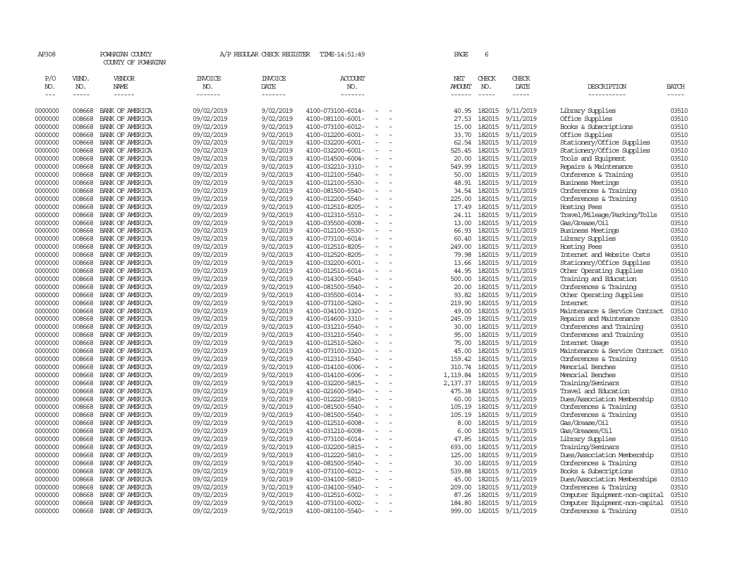| AP308              |                  | POWHATAN COUNTY<br>COUNTY OF POWHATAN |                          | A/P REGULAR CHECK REGISTER | TIME-14:51:49                          |                          | PAGE                 | 6                |                        |                                                     |                |
|--------------------|------------------|---------------------------------------|--------------------------|----------------------------|----------------------------------------|--------------------------|----------------------|------------------|------------------------|-----------------------------------------------------|----------------|
| P/O<br>NO.         | VEND.<br>NO.     | <b>VENDOR</b><br>NAME                 | <b>INVOICE</b><br>NO.    | <b>INVOICE</b><br>DATE     | ACCOUNT<br>NO.                         |                          | NET<br><b>AMOUNT</b> | CHECK<br>NO.     | CHECK<br>DATE          | DESCRIPTION                                         | BATCH          |
| $\frac{1}{2}$      | -----            | $- - - - - -$                         | -------                  | -------                    | -------                                |                          | ------               | $\frac{1}{2}$    | $- - - - -$            | -----------                                         | -----          |
| 0000000            | 008668           | BANK OF AMERICA                       | 09/02/2019               | 9/02/2019                  | 4100-073100-6014-                      |                          | 40.95                | 182015           | 9/11/2019              | Library Supplies                                    | 03510          |
| 0000000            | 008668           | BANK OF AMERICA                       | 09/02/2019               | 9/02/2019                  | 4100-081100-6001-                      | $\blacksquare$           | 27.53                | 182015           | 9/11/2019              | Office Supplies                                     | 03510          |
| 0000000            | 008668           | BANK OF AMERICA                       | 09/02/2019               | 9/02/2019                  | 4100-073100-6012-                      | $\sim$                   | 15.00                | 182015           | 9/11/2019              | Books & Subscriptions                               | 03510          |
| 0000000            | 008668           | BANK OF AMERICA                       | 09/02/2019               | 9/02/2019                  | 4100-012200-6001-                      | $\sim$                   | 33.70                | 182015           | 9/11/2019              | Office Supplies                                     | 03510          |
| 0000000            | 008668           | BANK OF AMERICA                       | 09/02/2019               | 9/02/2019                  | 4100-032200-6001-                      |                          | 62.54                | 182015           | 9/11/2019              | Stationery/Office Supplies                          | 03510          |
| 0000000            | 008668           | BANK OF AMERICA                       | 09/02/2019               | 9/02/2019                  | 4100-032200-6001-                      | $\overline{\phantom{a}}$ | 525.45               | 182015           | 9/11/2019              | Stationery/Office Supplies                          | 03510          |
| 0000000            | 008668           | BANK OF AMERICA                       | 09/02/2019               | 9/02/2019                  | 4100-014500-6004-                      |                          | 20.00                | 182015           | 9/11/2019              | Tools and Equipment                                 | 03510          |
| 0000000            | 008668           | BANK OF AMERICA                       | 09/02/2019               | 9/02/2019                  | 4100-032210-3310-                      |                          | 549.99               | 182015           | 9/11/2019              | Repairs & Maintenance                               | 03510          |
| 0000000            | 008668           | BANK OF AMERICA                       | 09/02/2019               | 9/02/2019                  | 4100-012100-5540-                      |                          | 50.00                | 182015           | 9/11/2019              | Conference & Training                               | 03510          |
| 0000000            | 008668           | BANK OF AMERICA                       | 09/02/2019               | 9/02/2019                  | 4100-012100-5530-                      |                          | 48.91                | 182015           | 9/11/2019              | Business Meetings                                   | 03510          |
| 0000000            | 008668           | BANK OF AMERICA                       | 09/02/2019               | 9/02/2019                  | 4100-081500-5540-                      | $\blacksquare$           | 34.54                | 182015           | 9/11/2019              | Conferences & Training                              | 03510          |
| 0000000            | 008668           | BANK OF AMERICA                       | 09/02/2019               | 9/02/2019                  | 4100-012200-5540-                      |                          | 225.00               | 182015           | 9/11/2019              | Conferences & Training                              | 03510          |
| 0000000            | 008668           | BANK OF AMERICA                       | 09/02/2019               | 9/02/2019                  | 4100-012510-8205-                      | $\equiv$                 | 17.49                | 182015           | 9/11/2019              | Hosting Fees                                        | 03510          |
| 0000000            | 008668           | BANK OF AMERICA                       | 09/02/2019               | 9/02/2019                  | 4100-012310-5510-                      |                          | 24.11                | 182015           | 9/11/2019              | Travel/Mileage/Parking/Tolls                        | 03510          |
| 0000000            | 008668           | BANK OF AMERICA                       | 09/02/2019               | 9/02/2019                  | 4100-035500-6008-                      |                          | 13.00                | 182015           | 9/11/2019              | Gas/Grease/Oil                                      | 03510          |
| 0000000            | 008668           | BANK OF AMERICA                       | 09/02/2019               | 9/02/2019                  | 4100-012100-5530-                      | $\equiv$                 | 66.93                | 182015           | 9/11/2019              | <b>Business Meetings</b>                            | 03510          |
| 0000000            | 008668           | BANK OF AMERICA                       | 09/02/2019               | 9/02/2019                  | 4100-073100-6014-                      |                          | 60.40                | 182015           | 9/11/2019              | Library Supplies                                    | 03510          |
| 0000000            | 008668           | BANK OF AMERICA                       | 09/02/2019               | 9/02/2019                  | 4100-012510-8205-                      | $\sim$                   | 249.00               | 182015           | 9/11/2019              | Hosting Fees                                        | 03510          |
| 0000000            | 008668           | BANK OF AMERICA                       | 09/02/2019               | 9/02/2019                  | 4100-012520-8205-                      |                          | 79.98                | 182015           | 9/11/2019              | Internet and Website Costs                          | 03510          |
| 0000000            | 008668           | BANK OF AMERICA                       | 09/02/2019               | 9/02/2019                  | 4100-032200-6001-                      | $\equiv$                 | 13.66                | 182015           | 9/11/2019              | Stationery/Office Supplies                          | 03510          |
| 0000000            | 008668           | BANK OF AMERICA                       | 09/02/2019               | 9/02/2019                  | 4100-012510-6014-                      |                          | 44.95                | 182015           | 9/11/2019              | Other Operating Supplies                            | 03510          |
| 0000000            | 008668           | BANK OF AMERICA                       | 09/02/2019               | 9/02/2019                  | 4100-014300-5540-                      | $\equiv$                 | 500.00               | 182015           | 9/11/2019              | Training and Education                              | 03510          |
| 0000000            | 008668           | BANK OF AMERICA                       | 09/02/2019               | 9/02/2019                  | 4100-081500-5540-                      | ÷                        | 20.00                | 182015           | 9/11/2019              | Conferences & Training                              | 03510          |
| 0000000            | 008668           | BANK OF AMERICA                       | 09/02/2019               | 9/02/2019                  | 4100-035500-6014-                      | $\overline{\phantom{a}}$ | 93.82                | 182015           | 9/11/2019              | Other Operating Supplies                            | 03510          |
| 0000000            | 008668           | BANK OF AMERICA                       | 09/02/2019               | 9/02/2019                  | 4100-073100-5260-                      | $\overline{\phantom{a}}$ | 219.90               | 182015           | 9/11/2019              | Internet                                            | 03510          |
| 0000000            | 008668           | BANK OF AMERICA                       | 09/02/2019               | 9/02/2019                  | 4100-034100-3320-                      |                          | 49.00                | 182015           | 9/11/2019              | Maintenance & Service Contract                      | 03510          |
| 0000000            | 008668           | BANK OF AMERICA                       | 09/02/2019               | 9/02/2019                  | 4100-014600-3310-                      | $\equiv$                 | 245.09               | 182015           | 9/11/2019              | Repairs and Maintenance                             | 03510          |
| 0000000            | 008668           | BANK OF AMERICA                       | 09/02/2019               | 9/02/2019                  | 4100-031210-5540-                      | $\equiv$                 | 30.00                | 182015           | 9/11/2019              | Conferences and Training                            | 03510          |
| 0000000            | 008668           | BANK OF AMERICA                       | 09/02/2019               | 9/02/2019                  | 4100-031210-5540-                      | $\equiv$                 | 95.00                | 182015           | 9/11/2019              | Conferences and Training                            | 03510          |
| 0000000            | 008668           | BANK OF AMERICA                       | 09/02/2019               | 9/02/2019                  | 4100-012510-5260-                      |                          | 75.00                | 182015           | 9/11/2019              | Internet Usage                                      | 03510          |
| 0000000            | 008668           | BANK OF AMERICA                       | 09/02/2019               | 9/02/2019                  | 4100-073100-3320-                      | $\sim$                   | 45.00                | 182015           | 9/11/2019              | Maintenance & Service Contract                      | 03510          |
| 0000000            | 008668           | BANK OF AMERICA                       | 09/02/2019               | 9/02/2019                  | 4100-012310-5540-                      | $\sim$                   | 159.42               | 182015           | 9/11/2019              | Conferences & Training                              | 03510          |
| 0000000            | 008668           | BANK OF AMERICA                       | 09/02/2019               | 9/02/2019                  | 4100-014100-6006-                      |                          | 310.74               | 182015           | 9/11/2019              | Memorial Benches                                    | 03510<br>03510 |
| 0000000            | 008668<br>008668 | BANK OF AMERICA                       | 09/02/2019               | 9/02/2019                  | 4100-014100-6006-                      | $\equiv$                 | 1,119.84             | 182015           | 9/11/2019              | Memorial Benches                                    |                |
| 0000000            | 008668           | BANK OF AMERICA                       | 09/02/2019               | 9/02/2019                  | 4100-032200-5815-                      | $\equiv$                 | 2,137.37             | 182015           | 9/11/2019              | Training/Seminars                                   | 03510          |
| 0000000<br>0000000 | 008668           | BANK OF AMERICA<br>BANK OF AMERICA    | 09/02/2019<br>09/02/2019 | 9/02/2019<br>9/02/2019     | 4100-021600-5540-<br>4100-012220-5810- |                          | 475.38               | 182015<br>182015 | 9/11/2019<br>9/11/2019 | Travel and Education<br>Dues/Association Membership | 03510<br>03510 |
| 0000000            | 008668           | BANK OF AMERICA                       |                          |                            | 4100-081500-5540-                      | $\sim$                   | 60.00                | 182015           |                        |                                                     | 03510          |
| 0000000            | 008668           | BANK OF AMERICA                       | 09/02/2019<br>09/02/2019 | 9/02/2019<br>9/02/2019     | 4100-081500-5540-                      |                          | 105.19<br>105.19     | 182015           | 9/11/2019<br>9/11/2019 | Conferences & Training<br>Conferences & Training    | 03510          |
| 0000000            | 008668           | BANK OF AMERICA                       | 09/02/2019               | 9/02/2019                  | 4100-012510-6008-                      | $\equiv$                 | 8.00                 | 182015           | 9/11/2019              | Gas/Grease/Oil                                      | 03510          |
| 0000000            | 008668           | BANK OF AMERICA                       | 09/02/2019               | 9/02/2019                  | 4100-031210-6008-                      | $\sim$                   | 6.00                 | 182015           | 9/11/2019              | Gas/Greases/Oil                                     | 03510          |
| 0000000            | 008668           | BANK OF AMERICA                       | 09/02/2019               | 9/02/2019                  | 4100-073100-6014-                      | $\overline{a}$           | 47.85                | 182015           | 9/11/2019              | Library Supplies                                    | 03510          |
| 0000000            | 008668           | BANK OF AMERICA                       | 09/02/2019               | 9/02/2019                  | 4100-032200-5815-                      | $\equiv$                 | 693.00               | 182015           | 9/11/2019              | Training/Seminars                                   | 03510          |
| 0000000            | 008668           | BANK OF AMERICA                       | 09/02/2019               | 9/02/2019                  | 4100-012220-5810-                      |                          | 125.00               | 182015           | 9/11/2019              | Dues/Association Membership                         | 03510          |
| 0000000            | 008668           | BANK OF AMERICA                       | 09/02/2019               | 9/02/2019                  | 4100-081500-5540-                      | $\equiv$                 | 30.00                | 182015           | 9/11/2019              | Conferences & Training                              | 03510          |
| 0000000            | 008668           | BANK OF AMERICA                       | 09/02/2019               | 9/02/2019                  | 4100-073100-6012-                      | $\sim$                   | 539.88               | 182015           | 9/11/2019              | Books & Subscriptions                               | 03510          |
| 0000000            | 008668           | BANK OF AMERICA                       | 09/02/2019               | 9/02/2019                  | 4100-034100-5810-                      |                          | 45.00                | 182015           | 9/11/2019              | Dues/Association Memberships                        | 03510          |
| 0000000            | 008668           | BANK OF AMERICA                       | 09/02/2019               | 9/02/2019                  | 4100-034100-5540-                      |                          | 209.00               | 182015           | 9/11/2019              | Conferences & Training                              | 03510          |
| 0000000            | 008668           | BANK OF AMERICA                       | 09/02/2019               | 9/02/2019                  | 4100-012510-6002-                      |                          | 87.26                | 182015           | 9/11/2019              | Computer Equipment-non-capital                      | 03510          |
| 0000000            | 008668           | BANK OF AMERICA                       | 09/02/2019               | 9/02/2019                  | 4100-073100-6002-                      | $\overline{\phantom{a}}$ | 184.80               | 182015           | 9/11/2019              | Computer Equipment-non-capital                      | 03510          |
| 0000000            | 008668           | BANK OF AMERICA                       | 09/02/2019               | 9/02/2019                  | 4100-081100-5540-                      | $\equiv$                 | 999.00               |                  | 182015 9/11/2019       | Conferences & Training                              | 03510          |
|                    |                  |                                       |                          |                            |                                        |                          |                      |                  |                        |                                                     |                |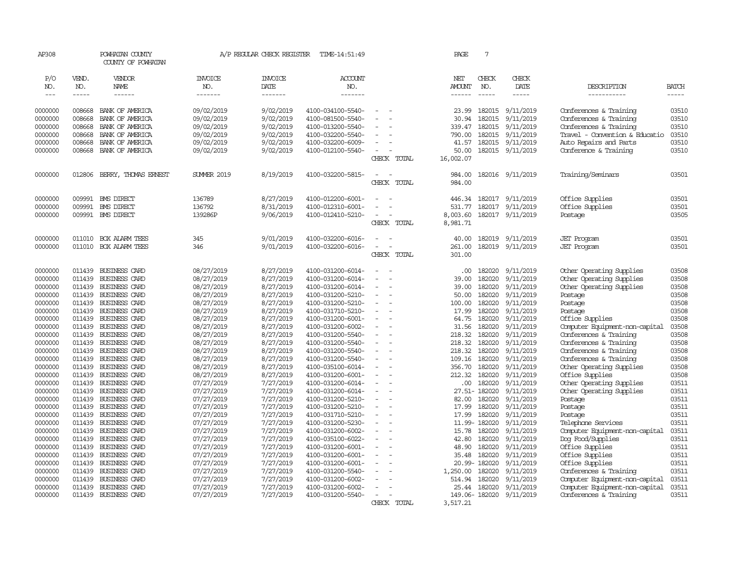| AP308              |                  | POWHATAN COUNTY<br>COUNTY OF POWHATAN |                          | A/P REGULAR CHECK REGISTER | TIME-14:51:49                          |                                            | PAGE               | $7\phantom{.0}$  |                        |                                                          |                |
|--------------------|------------------|---------------------------------------|--------------------------|----------------------------|----------------------------------------|--------------------------------------------|--------------------|------------------|------------------------|----------------------------------------------------------|----------------|
| P/O<br>NO.         | VEND.<br>NO.     | VENDOR<br>NAME                        | <b>INVOICE</b><br>NO.    | <b>INVOICE</b><br>DATE     | <b>ACCOUNT</b><br>NO.                  |                                            | NET<br>AMOUNT      | CHECK<br>NO.     | CHECK<br>DATE          | DESCRIPTION                                              | <b>BATCH</b>   |
| $\frac{1}{2}$      | -----            | ------                                | -------                  | -------                    | -------                                |                                            | ------             | $- - - - -$      | -----                  | -----------                                              | -----          |
| 0000000            | 008668           | BANK OF AMERICA                       | 09/02/2019               | 9/02/2019                  | 4100-034100-5540-                      |                                            | 23.99              | 182015           | 9/11/2019              | Conferences & Training                                   | 03510          |
| 0000000            | 008668           | BANK OF AMERICA                       | 09/02/2019               | 9/02/2019                  | 4100-081500-5540-                      |                                            | 30.94              | 182015           | 9/11/2019              | Conferences & Training                                   | 03510          |
| 0000000            | 008668           | BANK OF AMERICA                       | 09/02/2019               | 9/02/2019                  | 4100-013200-5540-                      |                                            | 339.47             | 182015           | 9/11/2019              | Conferences & Training                                   | 03510          |
| 0000000            | 008668           | BANK OF AMERICA                       | 09/02/2019               | 9/02/2019                  | 4100-032200-5540-                      |                                            | 790.00             | 182015           | 9/11/2019              | Travel - Convention & Educatio                           | 03510          |
| 0000000            | 008668           | BANK OF AMERICA                       | 09/02/2019               | 9/02/2019                  | 4100-032200-6009-                      |                                            | 41.57              | 182015           | 9/11/2019              | Auto Repairs and Parts                                   | 03510          |
| 0000000            | 008668           | BANK OF AMERICA                       | 09/02/2019               | 9/02/2019                  | 4100-012100-5540-                      |                                            | 50.00              |                  | 182015 9/11/2019       | Conference & Training                                    | 03510          |
|                    |                  |                                       |                          |                            |                                        | CHECK TOTAL                                | 16,002.07          |                  |                        |                                                          |                |
| 0000000            | 012806           | BERRY, THOMAS ERNEST                  | <b>SUMER 2019</b>        | 8/19/2019                  | 4100-032200-5815-                      |                                            | 984.00             |                  | 182016 9/11/2019       | Training/Seminars                                        | 03501          |
|                    |                  |                                       |                          |                            |                                        | CHECK TOTAL                                | 984.00             |                  |                        |                                                          |                |
| 0000000            |                  | 009991 BMS DIRECT                     | 136789                   | 8/27/2019                  | 4100-012200-6001-                      |                                            | 446.34             | 182017           | 9/11/2019              | Office Supplies                                          | 03501          |
| 0000000            | 009991           | <b>EMS DIRECT</b>                     | 136792                   | 8/31/2019                  | 4100-012310-6001-                      |                                            | 531.77             | 182017           | 9/11/2019              | Office Supplies                                          | 03501          |
| 0000000            | 009991           | <b>EMS DIRECT</b>                     | 139286P                  | 9/06/2019                  | 4100-012410-5210-                      |                                            | 8,003.60           | 182017           | 9/11/2019              | Postage                                                  | 03505          |
|                    |                  |                                       |                          |                            |                                        | CHECK TOTAL                                | 8,981.71           |                  |                        |                                                          |                |
| 0000000            | 011010           | BOX ALARM TEES                        | 345                      | 9/01/2019                  | 4100-032200-6016-                      | $\equiv$                                   | 40.00              | 182019           | 9/11/2019              | <b>JET</b> Program                                       | 03501          |
| 0000000            | 011010           | BOX ALARM TEES                        | 346                      | 9/01/2019                  | 4100-032200-6016-                      | $\overline{\phantom{a}}$                   | 261.00             | 182019           | 9/11/2019              | <b>JET</b> Program                                       | 03501          |
|                    |                  |                                       |                          |                            |                                        | CHECK TOTAL                                | 301.00             |                  |                        |                                                          |                |
| 0000000            | 011439           | BUSINESS CARD                         | 08/27/2019               | 8/27/2019                  | 4100-031200-6014-                      |                                            | .00.               | 182020           | 9/11/2019              | Other Operating Supplies                                 | 03508          |
| 0000000            | 011439           | BUSINESS CARD                         | 08/27/2019               | 8/27/2019                  | 4100-031200-6014-                      |                                            | 39.00              | 182020           | 9/11/2019              | Other Operating Supplies                                 | 03508          |
| 0000000            | 011439           | BUSINESS CARD                         | 08/27/2019               | 8/27/2019                  | 4100-031200-6014-                      | $\overline{a}$<br>$\overline{\phantom{a}}$ | 39.00              | 182020           | 9/11/2019              | Other Operating Supplies                                 | 03508          |
| 0000000            | 011439           | BUSINESS CARD                         | 08/27/2019               | 8/27/2019                  | 4100-031200-5210-                      | $\sim$                                     | 50.00              | 182020           | 9/11/2019              | Postage                                                  | 03508          |
| 0000000            | 011439           | BUSINESS CARD                         | 08/27/2019               | 8/27/2019                  | 4100-031200-5210-                      |                                            | 100.00             | 182020           | 9/11/2019              | Postage                                                  | 03508          |
| 0000000            | 011439           | BUSINESS CARD                         | 08/27/2019               | 8/27/2019                  | 4100-031710-5210-                      | $\overline{\phantom{a}}$                   | 17.99              | 182020           | 9/11/2019              | Postage                                                  | 03508          |
| 0000000            | 011439           | BUSINESS CARD                         | 08/27/2019               | 8/27/2019                  | 4100-031200-6001-                      |                                            | 64.75<br>31.56     | 182020<br>182020 | 9/11/2019              | Office Supplies                                          | 03508          |
| 0000000<br>0000000 | 011439<br>011439 | BUSINESS CARD<br>BUSINESS CARD        | 08/27/2019<br>08/27/2019 | 8/27/2019<br>8/27/2019     | 4100-031200-6002-<br>4100-031200-5540- |                                            | 218.32             | 182020           | 9/11/2019<br>9/11/2019 | Computer Equipment-non-capital<br>Conferences & Training | 03508<br>03508 |
| 0000000            | 011439           | BUSINESS CARD                         | 08/27/2019               | 8/27/2019                  | 4100-031200-5540-                      |                                            | 218.32             | 182020           | 9/11/2019              | Conferences & Training                                   | 03508          |
| 0000000            | 011439           | BUSINESS CARD                         | 08/27/2019               | 8/27/2019                  | 4100-031200-5540-                      |                                            | 218.32             | 182020           | 9/11/2019              | Conferences & Training                                   | 03508          |
| 0000000            | 011439           | BUSINESS CARD                         | 08/27/2019               | 8/27/2019                  | 4100-031200-5540-                      |                                            | 109.16             | 182020           | 9/11/2019              | Conferences & Training                                   | 03508          |
| 0000000            | 011439           | BUSINESS CARD                         | 08/27/2019               | 8/27/2019                  | 4100-035100-6014-                      | $\sim$<br>÷,                               | 356.70             | 182020           | 9/11/2019              | Other Operating Supplies                                 | 03508          |
| 0000000            | 011439           | BUSINESS CARD                         | 08/27/2019               | 8/27/2019                  | 4100-031200-6001-                      |                                            | 212.32             | 182020           | 9/11/2019              | Office Supplies                                          | 03508          |
| 0000000            | 011439           | BUSINESS CARD                         | 07/27/2019               | 7/27/2019                  | 4100-031200-6014-                      |                                            | .00.               | 182020           | 9/11/2019              | Other Operating Supplies                                 | 03511          |
| 0000000            | 011439           | BUSINESS CARD                         | 07/27/2019               | 7/27/2019                  | 4100-031200-6014-                      |                                            |                    | 27.51-182020     | 9/11/2019              | Other Operating Supplies                                 | 03511          |
| 0000000            | 011439           | BUSINESS CARD                         | 07/27/2019               | 7/27/2019                  | 4100-031200-5210-                      |                                            | 82.00              | 182020           | 9/11/2019              | Postage                                                  | 03511          |
| 0000000            | 011439           | BUSINESS CARD                         | 07/27/2019               | 7/27/2019                  | 4100-031200-5210-                      |                                            | 17.99              | 182020           | 9/11/2019              | Postage                                                  | 03511          |
| 0000000            | 011439           | <b>BUSINESS CARD</b>                  | 07/27/2019               | 7/27/2019                  | 4100-031710-5210-                      | $\sim$<br>÷.                               | 17.99              | 182020           | 9/11/2019              | Postage                                                  | 03511          |
| 0000000            | 011439           | BUSINESS CARD                         | 07/27/2019               | 7/27/2019                  | 4100-031200-5230-                      |                                            |                    | 11.99-182020     | 9/11/2019              | Telephone Services                                       | 03511          |
| 0000000            | 011439           | BUSINESS CARD                         | 07/27/2019               | 7/27/2019                  | 4100-031200-6002-                      |                                            | 15.78              | 182020           | 9/11/2019              | Computer Equipment-non-capital                           | 03511          |
| 0000000            | 011439           | BUSINESS CARD                         | 07/27/2019               | 7/27/2019                  | 4100-035100-6022-                      |                                            | 42.80              | 182020           | 9/11/2019              | Dog Food/Supplies                                        | 03511          |
| 0000000            | 011439           | BUSINESS CARD                         | 07/27/2019               | 7/27/2019                  | 4100-031200-6001-                      |                                            | 48.90              | 182020           | 9/11/2019              | Office Supplies                                          | 03511          |
| 0000000            | 011439           | BUSINESS CARD                         | 07/27/2019               | 7/27/2019                  | 4100-031200-6001-                      | $\overline{\phantom{a}}$                   | 35.48              | 182020           | 9/11/2019              | Office Supplies                                          | 03511          |
| 0000000            | 011439           | BUSINESS CARD                         | 07/27/2019               | 7/27/2019                  | 4100-031200-6001-                      | $\equiv$                                   |                    | 20.99-182020     | 9/11/2019              | Office Supplies                                          | 03511          |
| 0000000<br>0000000 | 011439<br>011439 | BUSINESS CARD<br>BUSINESS CARD        | 07/27/2019<br>07/27/2019 | 7/27/2019<br>7/27/2019     | 4100-031200-5540-<br>4100-031200-6002- |                                            | 1,250.00<br>514.94 | 182020<br>182020 | 9/11/2019<br>9/11/2019 | Conferences & Training<br>Computer Equipment-non-capital | 03511<br>03511 |
| 0000000            | 011439           | BUSINESS CARD                         | 07/27/2019               | 7/27/2019                  | 4100-031200-6002-                      |                                            | 25.44              | 182020           | 9/11/2019              | Computer Equipment-non-capital                           | 03511          |
| 0000000            |                  | 011439 BUSINESS CARD                  | 07/27/2019               | 7/27/2019                  | 4100-031200-5540-                      |                                            |                    | 149.06-182020    | 9/11/2019              | Conferences & Training                                   | 03511          |
|                    |                  |                                       |                          |                            |                                        | CHECK TOTAL                                | 3,517.21           |                  |                        |                                                          |                |
|                    |                  |                                       |                          |                            |                                        |                                            |                    |                  |                        |                                                          |                |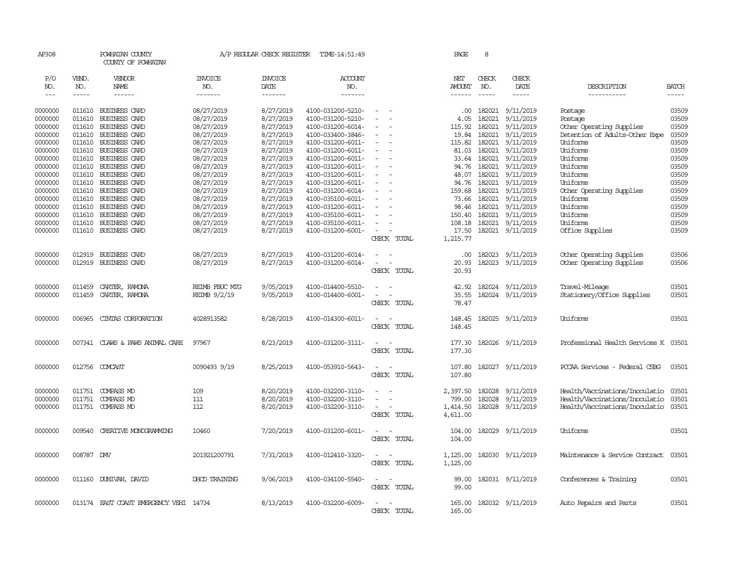| AP308        |                    | POWHATAN COUNTY<br>COUNTY OF POWHATAN  |                | A/P REGULAR CHECK REGISTER | TIME-14:51:49     |                                                      |             | PAGE          | 8                    |                  |                                      |                             |
|--------------|--------------------|----------------------------------------|----------------|----------------------------|-------------------|------------------------------------------------------|-------------|---------------|----------------------|------------------|--------------------------------------|-----------------------------|
| P/O          | VEND.              | VENDOR                                 | <b>INVOICE</b> | <b>INVOICE</b>             | <b>ACCOUNT</b>    |                                                      |             | NET           | CHECK                | CHECK            |                                      |                             |
| NO.<br>$---$ | NO.<br>$- - - - -$ | NAME<br>------                         | NO.<br>------- | <b>DATE</b><br>-------     | NO.<br>-------    |                                                      |             | <b>AMOUNT</b> | NO.<br>$\frac{1}{2}$ | DATE<br>-----    | DESCRIPTION<br>-----------           | <b>BATCH</b><br>$- - - - -$ |
|              |                    |                                        |                |                            |                   |                                                      |             |               |                      |                  |                                      |                             |
| 0000000      | 011610             | BUSINESS CARD                          | 08/27/2019     | 8/27/2019                  | 4100-031200-5210- | $\sim$                                               |             | .00.          | 182021               | 9/11/2019        | Postage                              | 03509                       |
| 0000000      | 011610             | BUSINESS CARD                          | 08/27/2019     | 8/27/2019                  | 4100-031200-5210- | $\equiv$                                             |             | 4.05          | 182021               | 9/11/2019        | Postage                              | 03509                       |
| 0000000      | 011610             | <b>BUSINESS CARD</b>                   | 08/27/2019     | 8/27/2019                  | 4100-031200-6014- |                                                      |             | 115.92        | 182021               | 9/11/2019        | Other Operating Supplies             | 03509                       |
| 0000000      | 011610             | <b>BUSINESS CARD</b>                   | 08/27/2019     | 8/27/2019                  | 4100-033400-3846- | $\equiv$                                             |             | 19.84         | 182021               | 9/11/2019        | Detention of Adults-Other Expe       | 03509                       |
| 0000000      | 011610             | BUSINESS CARD                          | 08/27/2019     | 8/27/2019                  | 4100-031200-6011- | $\overline{\phantom{a}}$                             |             | 115.82        | 182021               | 9/11/2019        | Uniforms                             | 03509                       |
| 0000000      | 011610             | BUSINESS CARD                          | 08/27/2019     | 8/27/2019                  | 4100-031200-6011- | $\sim$                                               |             | 81.03         | 182021               | 9/11/2019        | Uniforms                             | 03509                       |
| 0000000      | 011610             | BUSINESS CARD                          | 08/27/2019     | 8/27/2019                  | 4100-031200-6011- | $\equiv$                                             |             |               | 33.64 182021         | 9/11/2019        | Uniforms                             | 03509                       |
| 0000000      | 011610             | BUSINESS CARD                          | 08/27/2019     | 8/27/2019                  | 4100-031200-6011- | $\equiv$                                             |             | 94.76         | 182021               | 9/11/2019        | Uniforms                             | 03509                       |
| 0000000      | 011610             | BUSINESS CARD                          | 08/27/2019     | 8/27/2019                  | 4100-031200-6011- | $\equiv$                                             |             | 48.07         | 182021               | 9/11/2019        | Uniforms                             | 03509                       |
| 0000000      | 011610             | <b>BUSINESS CARD</b>                   | 08/27/2019     | 8/27/2019                  | 4100-031200-6011- |                                                      |             | 94.76         | 182021               | 9/11/2019        | Uniforms                             | 03509                       |
| 0000000      | 011610             | BUSINESS CARD                          | 08/27/2019     | 8/27/2019                  | 4100-031200-6014- | $\sim$                                               |             | 159.68        |                      | 182021 9/11/2019 | Other Operating Supplies             | 03509                       |
| 0000000      | 011610             | BUSINESS CARD                          | 08/27/2019     | 8/27/2019                  | 4100-035100-6011- | $\sim$                                               |             | 73.66         | 182021               | 9/11/2019        | Uniforms                             | 03509                       |
| 0000000      | 011610             | BUSINESS CARD                          | 08/27/2019     | 8/27/2019                  | 4100-031200-6011- |                                                      |             | 98.46         | 182021               | 9/11/2019        | Uniforms                             | 03509                       |
| 0000000      | 011610             | BUSINESS CARD                          | 08/27/2019     | 8/27/2019                  | 4100-035100-6011- | $\sim$                                               |             | 150.40        | 182021               | 9/11/2019        | Uniforms                             | 03509                       |
| 0000000      | 011610             | <b>BUSINESS CARD</b>                   | 08/27/2019     | 8/27/2019                  | 4100-035100-6011- | $\sim$                                               |             | 108.18        | 182021               | 9/11/2019        | Uniforms                             | 03509                       |
| 0000000      |                    | 011610 BUSINESS CARD                   | 08/27/2019     | 8/27/2019                  | 4100-031200-6001- | $\overline{\phantom{a}}$<br>$\overline{\phantom{a}}$ |             | 17.50         |                      | 182021 9/11/2019 | Office Supplies                      | 03509                       |
|              |                    |                                        |                |                            |                   |                                                      | CHECK TOTAL | 1,215.77      |                      |                  |                                      |                             |
| 0000000      | 012919             | BUSINESS CARD                          | 08/27/2019     | 8/27/2019                  | 4100-031200-6014- |                                                      |             | .00.          | 182023               | 9/11/2019        | Other Operating Supplies             | 03506                       |
| 0000000      | 012919             | <b>BUSINESS CARD</b>                   | 08/27/2019     | 8/27/2019                  | 4100-031200-6014- |                                                      |             | 20.93         |                      | 182023 9/11/2019 | Other Operating Supplies             | 03506                       |
|              |                    |                                        |                |                            |                   |                                                      | CHECK TOTAL | 20.93         |                      |                  |                                      |                             |
|              |                    |                                        |                |                            |                   |                                                      |             |               |                      |                  |                                      |                             |
| 0000000      | 011459             | CARTER, RAMONA                         | REIMB FBUC MIG | 9/05/2019                  | 4100-014400-5510- | $\overline{\phantom{a}}$                             |             | 42.92         |                      | 182024 9/11/2019 | Travel-Mileage                       | 03501                       |
| 0000000      | 011459             | CARTER, RAMONA                         | REIMB 9/2/19   | 9/05/2019                  | 4100-014400-6001- | $\overline{\phantom{a}}$<br>$\overline{\phantom{a}}$ |             | 35.55         |                      | 182024 9/11/2019 | Stationery/Office Supplies           | 03501                       |
|              |                    |                                        |                |                            |                   |                                                      | CHECK TOTAL | 78.47         |                      |                  |                                      |                             |
|              |                    |                                        |                |                            |                   | $\sim$ $\sim$                                        |             |               |                      |                  |                                      |                             |
| 0000000      | 006965             | CINIAS CORPORATION                     | 4028913582     | 8/28/2019                  | 4100-014300-6011- |                                                      |             | 148.45        |                      | 182025 9/11/2019 | Uniforms                             | 03501                       |
|              |                    |                                        |                |                            |                   |                                                      | CHECK TOTAL | 148.45        |                      |                  |                                      |                             |
| 0000000      | 007341             | CLAWS & PAWS ANIMAL CARE               | 97967          | 8/23/2019                  | 4100-031200-3111- | $\overline{\phantom{a}}$<br>$\sim$                   |             | 177.30        |                      | 182026 9/11/2019 | Professional Health Services K 03501 |                             |
|              |                    |                                        |                |                            |                   |                                                      | CHECK TOTAL | 177.30        |                      |                  |                                      |                             |
|              |                    |                                        |                |                            |                   |                                                      |             |               |                      |                  |                                      |                             |
| 0000000      | 012756             | COMCAST                                | 0090493 9/19   | 8/25/2019                  | 4100-053910-5643- | $\sim$<br>$\sim$                                     |             | 107.80        |                      | 182027 9/11/2019 | PCCAA Services - Federal CSBG        | 03501                       |
|              |                    |                                        |                |                            |                   |                                                      | CHECK TOTAL | 107.80        |                      |                  |                                      |                             |
|              |                    |                                        |                |                            |                   |                                                      |             |               |                      |                  |                                      |                             |
| 0000000      | 011751             | COMPASS MD                             | 109            | 8/20/2019                  | 4100-032200-3110- | $\sim$                                               |             | 2,397.50      | 182028               | 9/11/2019        | Health/Vaccinations/Inoculatio       | 03501                       |
| 0000000      | 011751             | COMPASS MD                             | 111            | 8/20/2019                  | 4100-032200-3110- |                                                      |             | 799.00        | 182028               | 9/11/2019        | Health/Vaccinations/Inoculatio       | 03501                       |
| 0000000      |                    | 011751 COMPASS MD                      | 112            | 8/20/2019                  | 4100-032200-3110- | $\sim$                                               |             | 1,414.50      |                      | 182028 9/11/2019 | Health/Vaccinations/Inoculatio       | 03501                       |
|              |                    |                                        |                |                            |                   |                                                      | CHECK TOTAL | 4,611.00      |                      |                  |                                      |                             |
|              |                    |                                        |                |                            |                   |                                                      |             |               |                      |                  |                                      |                             |
| 0000000      | 009540             | CREATIVE MONOGRAMMING                  | 10460          | 7/20/2019                  | 4100-031200-6011- | $\overline{\phantom{a}}$<br>$\sim$                   |             | 104.00        |                      | 182029 9/11/2019 | Uniforms                             | 03501                       |
|              |                    |                                        |                |                            |                   |                                                      | CHECK TOTAL | 104.00        |                      |                  |                                      |                             |
| 0000000      | 008787 DMV         |                                        | 201921200791   | 7/31/2019                  | 4100-012410-3320- | $\sim$<br>$\sim$                                     |             | 1,125.00      |                      | 182030 9/11/2019 | Maintenance & Service Contract       | 03501                       |
|              |                    |                                        |                |                            |                   |                                                      | CHECK TOTAL | 1,125.00      |                      |                  |                                      |                             |
|              |                    |                                        |                |                            |                   |                                                      |             |               |                      |                  |                                      |                             |
| 0000000      |                    | 011160 DUNIVAN, DAVID                  | DHCD TRAINING  | 9/06/2019                  | 4100-034100-5540- | $\sim$<br>$\sim$                                     |             | 99.00         |                      | 182031 9/11/2019 | Conferences & Training               | 03501                       |
|              |                    |                                        |                |                            |                   |                                                      | CHECK TOTAL | 99.00         |                      |                  |                                      |                             |
|              |                    |                                        |                |                            |                   |                                                      |             |               |                      |                  |                                      |                             |
| 0000000      |                    | 013174 EAST COAST EMERGENCY VEHI 14734 |                | 8/13/2019                  | 4100-032200-6009- | $\sim$                                               |             | 165.00        |                      | 182032 9/11/2019 | Auto Repairs and Parts               | 03501                       |
|              |                    |                                        |                |                            |                   |                                                      | CHECK TOTAL | 165.00        |                      |                  |                                      |                             |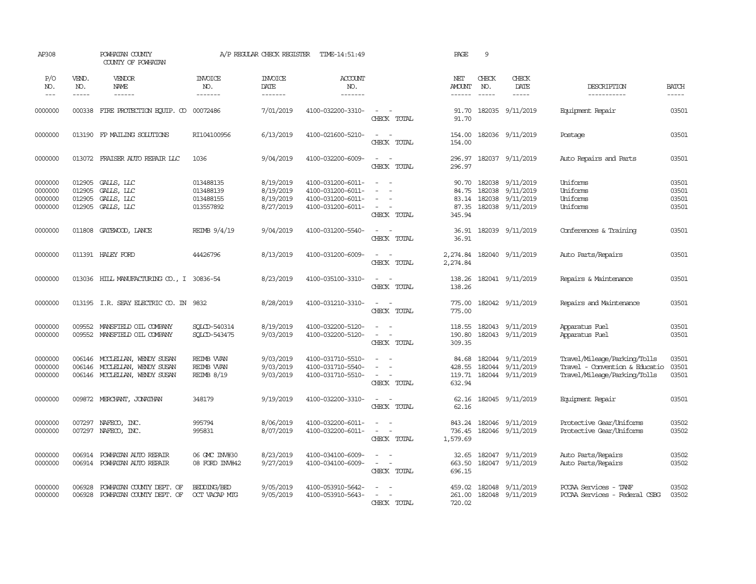| AP308                                    |                                      | POWHATAN COUNTY<br>COUNTY OF POWHATAN                                      |                                                    | A/P REGULAR CHECK REGISTER                       | TIME-14:51:49                                                                    |                                                               | PAGE                                       | 9            |                                                                       |                                                                                                |                                  |
|------------------------------------------|--------------------------------------|----------------------------------------------------------------------------|----------------------------------------------------|--------------------------------------------------|----------------------------------------------------------------------------------|---------------------------------------------------------------|--------------------------------------------|--------------|-----------------------------------------------------------------------|------------------------------------------------------------------------------------------------|----------------------------------|
| P/O<br>NO.<br>$\frac{1}{2}$              | VEND.<br>NO.<br>$- - - - -$          | VENDOR<br>NAME<br>------                                                   | <b>INVOICE</b><br>NO.<br>-------                   | <b>INVOICE</b><br>DATE<br>-------                | ACCOUNT<br>NO.<br>-------                                                        |                                                               | NET<br><b>AMOUNT</b><br>------             | CHECK<br>NO. | CHECK<br>DATE<br>-----                                                | DESCRIPTION<br>-----------                                                                     | <b>BATCH</b><br>$- - - - -$      |
| 0000000                                  |                                      | 000338 FIRE PROTECTION EQUIP. CO 00072486                                  |                                                    | 7/01/2019                                        | 4100-032200-3310-                                                                | $\sim$<br>CHECK TOTAL                                         | 91.70<br>91.70                             |              | 182035 9/11/2019                                                      | Equipment Repair                                                                               | 03501                            |
| 0000000                                  |                                      | 013190 FP MAILING SOLUTIONS                                                | RI104100956                                        | 6/13/2019                                        | 4100-021600-5210-                                                                | $\sim$<br>$\sim$<br>CHECK TOTAL                               | 154.00<br>154.00                           |              | 182036 9/11/2019                                                      | Postage                                                                                        | 03501                            |
| 0000000                                  |                                      | 013072 FRAISER AUTO REPAIR LLC                                             | 1036                                               | 9/04/2019                                        | 4100-032200-6009-                                                                | $\sim$<br>$\sim$<br>CHECK TOTAL                               | 296.97<br>296.97                           |              | 182037 9/11/2019                                                      | Auto Repairs and Parts                                                                         | 03501                            |
| 0000000<br>0000000<br>0000000<br>0000000 | 012905<br>012905<br>012905<br>012905 | GALLS, LLC<br>GALLS, LLC<br>GALLS, LLC<br>GALLS, LLC                       | 013488135<br>013488139<br>013488155<br>013557892   | 8/19/2019<br>8/19/2019<br>8/19/2019<br>8/27/2019 | 4100-031200-6011-<br>4100-031200-6011-<br>4100-031200-6011-<br>4100-031200-6011- | $\sim$<br>$\sim$<br>$\sim$<br>$\sim$<br>$\sim$<br>CHECK TOTAL | 90.70<br>84.75<br>83.14<br>87.35<br>345.94 | 182038       | 182038 9/11/2019<br>9/11/2019<br>182038 9/11/2019<br>182038 9/11/2019 | Uniforms<br>Uniforms<br>Uniforms<br>Uniforms                                                   | 03501<br>03501<br>03501<br>03501 |
| 0000000                                  | 011808                               | GATEWOOD, LANCE                                                            | REIMB 9/4/19                                       | 9/04/2019                                        | 4100-031200-5540-                                                                | $\sim$ $\sim$<br>CHECK TOTAL                                  | 36.91                                      |              | 36.91 182039 9/11/2019                                                | Conferences & Training                                                                         | 03501                            |
| 0000000                                  |                                      | 011391 HALEY FORD                                                          | 44426796                                           | 8/13/2019                                        | 4100-031200-6009-                                                                | $\sim$ $-$<br>$\sim$<br>CHECK TOTAL                           | 2,274.84<br>2,274.84                       |              | 182040 9/11/2019                                                      | Auto Parts/Repairs                                                                             | 03501                            |
| 0000000                                  |                                      | 013036 HILL MANUFACTURING CO., I 30836-54                                  |                                                    | 8/23/2019                                        | 4100-035100-3310-                                                                | $\sim$ $\sim$<br>CHECK TOTAL                                  | 138.26<br>138.26                           |              | 182041 9/11/2019                                                      | Repairs & Maintenance                                                                          | 03501                            |
| 0000000                                  |                                      | 013195 I.R. SEAY ELECTRIC CO. IN                                           | 9832                                               | 8/28/2019                                        | 4100-031210-3310-                                                                | $\sim$<br>$\sim$<br>CHECK TOTAL                               | 775.00<br>775.00                           |              | 182042 9/11/2019                                                      | Repairs and Maintenance                                                                        | 03501                            |
| 0000000<br>0000000                       | 009552<br>009552                     | MANSFIELD OIL COMPANY<br>MANSFIELD OIL COMPANY                             | SOLCD-540314<br>SOLCD-543475                       | 8/19/2019<br>9/03/2019                           | 4100-032200-5120-<br>4100-032200-5120-                                           | $\sim$<br>CHECK TOTAL                                         | 118.55<br>190.80<br>309.35                 |              | 182043 9/11/2019<br>182043 9/11/2019                                  | Apparatus Fuel<br>Apparatus Fuel                                                               | 03501<br>03501                   |
| 0000000<br>0000000<br>0000000            | 006146<br>006146<br>006146           | MCCLEILAN, WENDY SUSAN<br>MCCLEILAN, WENDY SUSAN<br>MOCLELLAN, WENDY SUSAN | REIMB WAN<br><b>REIMB WAN</b><br><b>REIMB 8/19</b> | 9/03/2019<br>9/03/2019<br>9/03/2019              | 4100-031710-5510-<br>4100-031710-5540-<br>4100-031710-5510-                      | $\sim$<br>$\sim$<br>$\sim$<br>CHECK TOTAL                     | 84.68<br>428.55<br>119.71<br>632.94        |              | 182044 9/11/2019<br>182044 9/11/2019<br>182044 9/11/2019              | Travel/Mileage/Parking/Tolls<br>Travel - Convention & Educatio<br>Travel/Mileage/Parking/Tolls | 03501<br>03501<br>03501          |
| 0000000                                  |                                      | 009872 MERCHANT, JONATHAN                                                  | 348179                                             | 9/19/2019                                        | 4100-032200-3310-                                                                | $\sim$ $\sim$<br>CHECK TOTAL                                  | 62.16<br>62.16                             |              | 182045 9/11/2019                                                      | Equipment Repair                                                                               | 03501                            |
| 0000000<br>0000000                       | 007297                               | 007297 NAFECO, INC.<br>NAFECO, INC.                                        | 995794<br>995831                                   | 8/06/2019<br>8/07/2019                           | 4100-032200-6011-<br>4100-032200-6011-                                           | $\equiv$<br>$\sim$<br>$\sim$<br>CHECK TOTAL                   | 843.24<br>736.45<br>1,579.69               |              | 182046 9/11/2019<br>182046 9/11/2019                                  | Protective Gear/Uniforms<br>Protective Gear/Uniforms                                           | 03502<br>03502                   |
| 0000000<br>0000000                       | 006914                               | POWHATAN AUTO REPAIR<br>006914 POWHATAN AUTO REPAIR                        | 06 GMC INV#30<br>08 FORD INV#42                    | 8/23/2019<br>9/27/2019                           | 4100-034100-6009-<br>4100-034100-6009-                                           | $\sim$<br>$\sim$<br>$\sim$<br>CHECK TOTAL                     | 32.65<br>663.50<br>696.15                  |              | 182047 9/11/2019<br>182047 9/11/2019                                  | Auto Parts/Repairs<br>Auto Parts/Repairs                                                       | 03502<br>03502                   |
| 0000000<br>0000000                       | 006928<br>006928                     | POWHATAN COUNTY DEPT. OF<br>POWHATAN COUNTY DEPT. OF                       | BEDDING/BED<br>OCT VACAP MTG                       | 9/05/2019<br>9/05/2019                           | 4100-053910-5642-<br>4100-053910-5643-                                           | CHECK TOTAL                                                   | 459.02<br>261.00<br>720.02                 |              | 182048 9/11/2019<br>182048 9/11/2019                                  | PCCAA Services - TANF<br>PCCAA Services - Federal CSBG                                         | 03502<br>03502                   |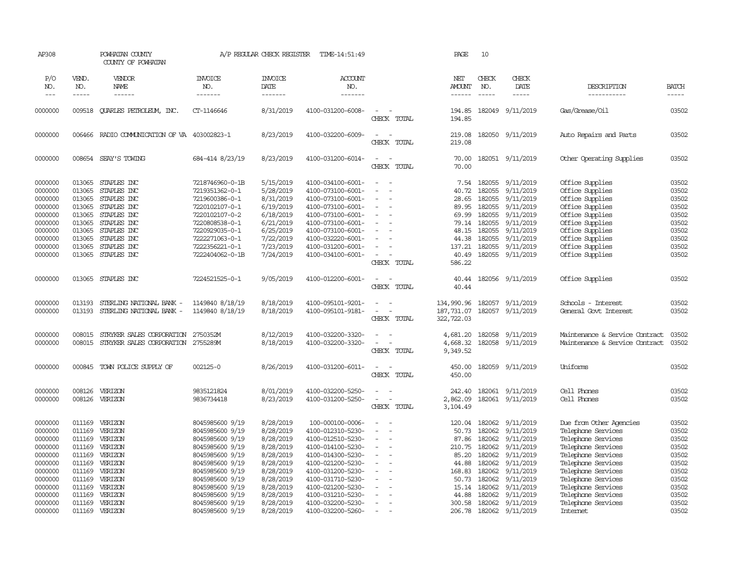| AP308                                                                                                      |                                                                                                  | POWHATAN COUNTY<br>COUNTY OF POWHATAN                                                                                                              |                                                                                                                                                                                    | A/P REGULAR CHECK REGISTER                                                                                                     | TIME-14:51:49                                                                                                                                                                                                  |                                                                                                                                                               | PAGE                                                                                             | 10                                                                                                                                                                                                                                                                                                                                                                                                           |                                                                                                                                       |                                                                                                                                                                                            |                                                                                        |
|------------------------------------------------------------------------------------------------------------|--------------------------------------------------------------------------------------------------|----------------------------------------------------------------------------------------------------------------------------------------------------|------------------------------------------------------------------------------------------------------------------------------------------------------------------------------------|--------------------------------------------------------------------------------------------------------------------------------|----------------------------------------------------------------------------------------------------------------------------------------------------------------------------------------------------------------|---------------------------------------------------------------------------------------------------------------------------------------------------------------|--------------------------------------------------------------------------------------------------|--------------------------------------------------------------------------------------------------------------------------------------------------------------------------------------------------------------------------------------------------------------------------------------------------------------------------------------------------------------------------------------------------------------|---------------------------------------------------------------------------------------------------------------------------------------|--------------------------------------------------------------------------------------------------------------------------------------------------------------------------------------------|----------------------------------------------------------------------------------------|
| P/O<br>NO.<br>$\qquad \qquad -$                                                                            | VEND.<br>NO.<br>-----                                                                            | VENDOR<br>NAME                                                                                                                                     | <b>INVOICE</b><br>NO.<br>-------                                                                                                                                                   | <b>INVOICE</b><br>DATE<br>-------                                                                                              | ACCOUNT<br>NO.<br>-------                                                                                                                                                                                      |                                                                                                                                                               | NET<br>AMOUNT                                                                                    | CHECK<br>NO.<br>$\frac{1}{2} \frac{1}{2} \frac{1}{2} \frac{1}{2} \frac{1}{2} \frac{1}{2} \frac{1}{2} \frac{1}{2} \frac{1}{2} \frac{1}{2} \frac{1}{2} \frac{1}{2} \frac{1}{2} \frac{1}{2} \frac{1}{2} \frac{1}{2} \frac{1}{2} \frac{1}{2} \frac{1}{2} \frac{1}{2} \frac{1}{2} \frac{1}{2} \frac{1}{2} \frac{1}{2} \frac{1}{2} \frac{1}{2} \frac{1}{2} \frac{1}{2} \frac{1}{2} \frac{1}{2} \frac{1}{2} \frac{$ | CHECK<br>DATE<br>-----                                                                                                                | DESCRIPTION<br>-----------                                                                                                                                                                 | <b>BATCH</b><br>-----                                                                  |
| 0000000                                                                                                    | 009518                                                                                           | <b>OUARLES PETROLEUM, INC.</b>                                                                                                                     | CT-1146646                                                                                                                                                                         | 8/31/2019                                                                                                                      | 4100-031200-6008-                                                                                                                                                                                              | $\sim$<br>$\sim$<br>CHECK TOTAL                                                                                                                               | 194.85<br>194.85                                                                                 | 182049                                                                                                                                                                                                                                                                                                                                                                                                       | 9/11/2019                                                                                                                             | Gas/Grease/0il                                                                                                                                                                             | 03502                                                                                  |
| 0000000                                                                                                    | 006466                                                                                           | RADIO COMMUNICATION OF VA 403002823-1                                                                                                              |                                                                                                                                                                                    | 8/23/2019                                                                                                                      | 4100-032200-6009-                                                                                                                                                                                              | $\overline{\phantom{a}}$<br>$\sim$<br>CHECK TOTAL                                                                                                             | 219.08<br>219.08                                                                                 |                                                                                                                                                                                                                                                                                                                                                                                                              | 182050 9/11/2019                                                                                                                      | Auto Repairs and Parts                                                                                                                                                                     | 03502                                                                                  |
| 0000000                                                                                                    |                                                                                                  | 008654 SEAY'S TOWING                                                                                                                               | 684-414 8/23/19                                                                                                                                                                    | 8/23/2019                                                                                                                      | 4100-031200-6014-                                                                                                                                                                                              | $\sim$<br>$\sim$<br>CHECK TOTAL                                                                                                                               | 70.00<br>70.00                                                                                   |                                                                                                                                                                                                                                                                                                                                                                                                              | 182051 9/11/2019                                                                                                                      | Other Operating Supplies                                                                                                                                                                   | 03502                                                                                  |
| 0000000<br>0000000<br>0000000<br>0000000<br>0000000<br>0000000<br>0000000<br>0000000<br>0000000<br>0000000 | 013065<br>013065<br>013065<br>013065<br>013065<br>013065<br>013065<br>013065<br>013065<br>013065 | STAPLES INC<br>STAPLES INC<br>STAPLES INC<br>STAPLES INC<br>STAPLES INC<br>STAPLES INC<br>STAPLES INC<br>STAPLES INC<br>STAPLES INC<br>STAPLES INC | 7218746960-0-1B<br>7219351362-0-1<br>7219600386-0-1<br>7220102107-0-1<br>7220102107-0-2<br>7220808538-0-1<br>7220929035-0-1<br>7222271063-0-1<br>7222356221-0-1<br>7222404062-0-1B | 5/15/2019<br>5/28/2019<br>8/31/2019<br>6/19/2019<br>6/18/2019<br>6/21/2019<br>6/25/2019<br>7/22/2019<br>7/23/2019<br>7/24/2019 | 4100-034100-6001-<br>4100-073100-6001-<br>4100-073100-6001-<br>4100-073100-6001-<br>4100-073100-6001-<br>4100-073100-6001-<br>4100-073100-6001-<br>4100-032220-6001-<br>4100-031200-6001-<br>4100-034100-6001- | $\sim$<br>$\sim$<br>$\equiv$<br>$\overline{a}$<br>$\overline{\phantom{a}}$<br>$\sim$<br>$\sim$<br>$\sim$<br>$\sim$<br>$\overline{\phantom{0}}$<br>CHECK TOTAL | 7.54<br>40.72<br>28.65<br>89.95<br>69.99<br>79.14<br>48.15<br>44.38<br>137.21<br>40.49<br>586.22 | 182055<br>182055<br>182055<br>182055<br>182055<br>182055<br>182055<br>182055<br>182055                                                                                                                                                                                                                                                                                                                       | 9/11/2019<br>9/11/2019<br>9/11/2019<br>9/11/2019<br>9/11/2019<br>9/11/2019<br>9/11/2019<br>9/11/2019<br>9/11/2019<br>182055 9/11/2019 | Office Supplies<br>Office Supplies<br>Office Supplies<br>Office Supplies<br>Office Supplies<br>Office Supplies<br>Office Supplies<br>Office Supplies<br>Office Supplies<br>Office Supplies | 03502<br>03502<br>03502<br>03502<br>03502<br>03502<br>03502<br>03502<br>03502<br>03502 |
| 0000000                                                                                                    | 013065                                                                                           | STAPLES INC                                                                                                                                        | 7224521525-0-1                                                                                                                                                                     | 9/05/2019                                                                                                                      | 4100-012200-6001-                                                                                                                                                                                              | $\overline{\phantom{a}}$<br>$\overline{\phantom{a}}$<br>CHECK TOTAL                                                                                           | 40.44<br>40.44                                                                                   |                                                                                                                                                                                                                                                                                                                                                                                                              | 182056 9/11/2019                                                                                                                      | Office Supplies                                                                                                                                                                            | 03502                                                                                  |
| 0000000<br>0000000                                                                                         | 013193<br>013193                                                                                 | STERLING NATIONAL BANK -<br>STERLING NATIONAL BANK -                                                                                               | 1149840 8/18/19<br>1149840 8/18/19                                                                                                                                                 | 8/18/2019<br>8/18/2019                                                                                                         | 4100-095101-9201-<br>4100-095101-9181-                                                                                                                                                                         | $\sim$<br>$\sim$<br>$\sim$<br>CHECK TOTAL                                                                                                                     | 134,990.96<br>187,731.07<br>322,722.03                                                           | 182057                                                                                                                                                                                                                                                                                                                                                                                                       | 9/11/2019<br>182057 9/11/2019                                                                                                         | Schools - Interest<br>General Govt Interest                                                                                                                                                | 03502<br>03502                                                                         |
| 0000000<br>0000000                                                                                         | 008015<br>008015                                                                                 | STRYKER SALES CORPORATION<br>STRYKER SALES CORPORATION 2755289M                                                                                    | 2750352M                                                                                                                                                                           | 8/12/2019<br>8/18/2019                                                                                                         | 4100-032200-3320-<br>4100-032200-3320-                                                                                                                                                                         | $\overline{\phantom{a}}$<br>$\sim$<br>CHECK TOTAL                                                                                                             | 4,681.20<br>4,668.32<br>9,349.52                                                                 |                                                                                                                                                                                                                                                                                                                                                                                                              | 182058 9/11/2019<br>182058 9/11/2019                                                                                                  | Maintenance & Service Contract<br>Maintenance & Service Contract                                                                                                                           | 03502<br>03502                                                                         |
| 0000000                                                                                                    | 000845                                                                                           | TOWN POLICE SUPPLY OF                                                                                                                              | 002125-0                                                                                                                                                                           | 8/26/2019                                                                                                                      | 4100-031200-6011-                                                                                                                                                                                              | $\overline{\phantom{a}}$<br>$\sim$<br>CHECK TOTAL                                                                                                             | 450.00<br>450.00                                                                                 |                                                                                                                                                                                                                                                                                                                                                                                                              | 182059 9/11/2019                                                                                                                      | Uniforms                                                                                                                                                                                   | 03502                                                                                  |
| 0000000<br>0000000                                                                                         | 008126<br>008126                                                                                 | VERIZON<br>VERIZON                                                                                                                                 | 9835121824<br>9836734418                                                                                                                                                           | 8/01/2019<br>8/23/2019                                                                                                         | 4100-032200-5250-<br>4100-031200-5250-                                                                                                                                                                         | $\sim$<br>$\sim$<br>CHECK TOTAL                                                                                                                               | 242.40<br>2,862.09<br>3,104.49                                                                   |                                                                                                                                                                                                                                                                                                                                                                                                              | 182061 9/11/2019<br>182061 9/11/2019                                                                                                  | Cell Phones<br>Cell Phones                                                                                                                                                                 | 03502<br>03502                                                                         |
| 0000000<br>0000000<br>0000000<br>0000000<br>0000000<br>0000000<br>0000000                                  | 011169<br>011169<br>011169<br>011169<br>011169<br>011169<br>011169                               | VERIZON<br>VERIZON<br>VERIZON<br>VERIZON<br>VERIZON<br>VERIZON<br>VERIZON                                                                          | 8045985600 9/19<br>8045985600 9/19<br>8045985600 9/19<br>8045985600 9/19<br>8045985600 9/19<br>8045985600 9/19<br>8045985600 9/19                                                  | 8/28/2019<br>8/28/2019<br>8/28/2019<br>8/28/2019<br>8/28/2019<br>8/28/2019<br>8/28/2019                                        | 100-000100-0006-<br>4100-012310-5230-<br>4100-012510-5230-<br>4100-014100-5230-<br>4100-014300-5230-<br>4100-021200-5230-<br>4100-031200-5230-                                                                 | $\overline{\phantom{a}}$<br>$\overline{\phantom{a}}$<br>$\overline{a}$<br>$\overline{\phantom{a}}$<br>$\equiv$<br>$\sim$<br>$\overline{\phantom{a}}$          | 120.04<br>50.73<br>87.86<br>210.75<br>85.20<br>44.88<br>168.83                                   | 182062<br>182062<br>182062<br>182062<br>182062<br>182062<br>182062                                                                                                                                                                                                                                                                                                                                           | 9/11/2019<br>9/11/2019<br>9/11/2019<br>9/11/2019<br>9/11/2019<br>9/11/2019<br>9/11/2019                                               | Due from Other Agencies<br>Telephone Services<br>Telephone Services<br>Telephone Services<br>Telephone Services<br>Telephone Services<br>Telephone Services                                | 03502<br>03502<br>03502<br>03502<br>03502<br>03502<br>03502                            |
| 0000000<br>0000000<br>0000000<br>0000000<br>0000000                                                        | 011169<br>011169<br>011169<br>011169<br>011169                                                   | VERIZON<br>VERIZON<br>VERIZON<br>VERIZON<br>VERIZON                                                                                                | 8045985600 9/19<br>8045985600 9/19<br>8045985600 9/19<br>8045985600 9/19<br>8045985600 9/19                                                                                        | 8/28/2019<br>8/28/2019<br>8/28/2019<br>8/28/2019<br>8/28/2019                                                                  | 4100-031710-5230-<br>4100-021200-5230-<br>4100-031210-5230-<br>4100-032200-5230-<br>4100-032200-5260-                                                                                                          | $\blacksquare$<br>$\sim$<br>$\overline{a}$                                                                                                                    | 50.73<br>15.14<br>44.88<br>300.58<br>206.78                                                      | 182062<br>182062<br>182062<br>182062                                                                                                                                                                                                                                                                                                                                                                         | 9/11/2019<br>9/11/2019<br>9/11/2019<br>182062 9/11/2019<br>9/11/2019                                                                  | Telephone Services<br>Telephone Services<br>Telephone Services<br>Telephone Services<br>Internet                                                                                           | 03502<br>03502<br>03502<br>03502<br>03502                                              |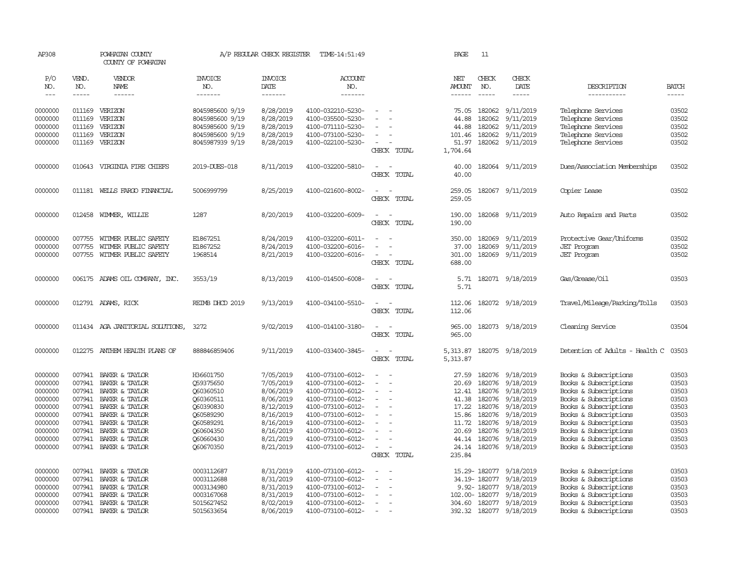| AP308         |        | POWHATAN COUNTY<br>COUNTY OF POWHATAN |                 | A/P REGULAR CHECK REGISTER | TIME-14:51:49     |                                      | PAGE          | 11            |                         |                                |              |
|---------------|--------|---------------------------------------|-----------------|----------------------------|-------------------|--------------------------------------|---------------|---------------|-------------------------|--------------------------------|--------------|
| P/O           | VEND.  | VENDOR                                | <b>INVOICE</b>  | <b>INVOICE</b>             | ACCOUNT           |                                      | NET           | CHECK         | CHECK                   |                                |              |
| NO.           | NO.    | NAME                                  | NO.             | DATE                       | NO.               |                                      | <b>AMOUNT</b> | NO.           | DATE                    | DESCRIPTION                    | <b>BATCH</b> |
| $\frac{1}{2}$ | -----  | ------                                | -------         | -------                    | -------           |                                      | $- - - - - -$ | $\frac{1}{2}$ | -----                   | -----------                    | $- - - - -$  |
|               |        |                                       |                 |                            |                   |                                      |               |               |                         |                                |              |
| 0000000       | 011169 | VERIZON                               | 8045985600 9/19 | 8/28/2019                  | 4100-032210-5230- | $\sim$                               | 75.05         | 182062        | 9/11/2019               | Telephone Services             | 03502        |
| 0000000       | 011169 | VERIZON                               | 8045985600 9/19 | 8/28/2019                  | 4100-035500-5230- |                                      | 44.88         | 182062        | 9/11/2019               | Telephone Services             | 03502        |
| 0000000       | 011169 | VERIZON                               | 8045985600 9/19 | 8/28/2019                  | 4100-071110-5230- |                                      | 44.88         | 182062        | 9/11/2019               | Telephone Services             | 03502        |
| 0000000       | 011169 | VERIZON                               | 8045985600 9/19 | 8/28/2019                  | 4100-073100-5230- | $\equiv$                             | 101.46        | 182062        | 9/11/2019               | Telephone Services             | 03502        |
| 0000000       | 011169 | VERIZON                               | 8045987939 9/19 | 8/28/2019                  | 4100-022100-5230- | $\sim$                               | 51.97         | 182062        | 9/11/2019               | Telephone Services             | 03502        |
|               |        |                                       |                 |                            |                   | CHECK TOTAL                          | 1,704.64      |               |                         |                                |              |
| 0000000       |        | 010643 VIRGINIA FIRE CHIEFS           | 2019-DUES-018   | 8/11/2019                  | 4100-032200-5810- | $\equiv$                             | 40.00         |               | 182064 9/11/2019        | Dues/Association Memberships   | 03502        |
|               |        |                                       |                 |                            |                   | CHECK TOTAL                          | 40.00         |               |                         |                                |              |
| 0000000       |        | 011181 WELLS FARGO FINANCIAL          | 5006999799      | 8/25/2019                  | 4100-021600-8002- | $\sim$<br>$\overline{\phantom{a}}$   | 259.05        |               | 182067 9/11/2019        | Copier Lease                   | 03502        |
|               |        |                                       |                 |                            |                   | CHECK TOTAL                          | 259.05        |               |                         |                                |              |
|               |        |                                       |                 |                            |                   |                                      |               |               |                         |                                |              |
| 0000000       |        | 012458 WIMMER, WILLIE                 | 1287            | 8/20/2019                  | 4100-032200-6009- | $\sim$<br>$\sim$                     | 190.00        |               | 182068 9/11/2019        | Auto Repairs and Parts         | 03502        |
|               |        |                                       |                 |                            |                   | CHECK TOTAL                          | 190.00        |               |                         |                                |              |
| 0000000       | 007755 | WITMER PUBLIC SAFETY                  | E1867251        | 8/24/2019                  | 4100-032200-6011- |                                      | 350.00        | 182069        | 9/11/2019               | Protective Gear/Uniforms       | 03502        |
| 0000000       | 007755 | WITMER PUBLIC SAFETY                  | E1867252        | 8/24/2019                  | 4100-032200-6016- | $\equiv$<br>$\overline{\phantom{a}}$ | 37.00         | 182069        | 9/11/2019               | <b>JET</b> Program             | 03502        |
| 0000000       | 007755 | WITMER PUBLIC SAFETY                  | 1968514         | 8/21/2019                  | 4100-032200-6016- | $\overline{\phantom{a}}$             | 301.00        | 182069        | 9/11/2019               | <b>JET</b> Program             | 03502        |
|               |        |                                       |                 |                            |                   | CHECK TOTAL                          | 688.00        |               |                         |                                |              |
| 0000000       |        | 006175 ADAMS OIL COMPANY, INC.        | 3553/19         | 8/13/2019                  | 4100-014500-6008- | $\equiv$                             | 5.71          |               | 182071 9/18/2019        | Gas/Grease/Oil                 | 03503        |
|               |        |                                       |                 |                            |                   | CHECK TOTAL                          | 5.71          |               |                         |                                |              |
|               |        |                                       |                 |                            |                   |                                      |               |               |                         |                                |              |
| 0000000       |        | 012791 ADAMS, RICK                    | REIMB DHOD 2019 | 9/13/2019                  | 4100-034100-5510- | $\overline{\phantom{a}}$<br>$\sim$   | 112.06        |               | 182072 9/18/2019        | Travel/Mileage/Parking/Tolls   | 03503        |
|               |        |                                       |                 |                            |                   | CHECK TOTAL                          | 112.06        |               |                         |                                |              |
| 0000000       |        | 011434 AGA JANITORIAL SOLUTIONS,      | 3272            | 9/02/2019                  | 4100-014100-3180- | $\sim$                               | 965.00        |               | 182073 9/18/2019        | Cleaning Service               | 03504        |
|               |        |                                       |                 |                            |                   | CHECK TOTAL                          | 965.00        |               |                         |                                |              |
|               |        |                                       |                 |                            |                   |                                      |               |               |                         |                                |              |
| 0000000       | 012275 | ANIHEM HEALTH PLANS OF                | 888846859406    | 9/11/2019                  | 4100-033400-3845- | $\overline{\phantom{a}}$<br>$\sim$   | 5,313.87      |               | 182075 9/18/2019        | Detention of Adults - Health C | 03503        |
|               |        |                                       |                 |                            |                   | CHECK TOTAL                          | 5,313.87      |               |                         |                                |              |
| 0000000       | 007941 | BAKER & TAYLOR                        | H36601750       | 7/05/2019                  | 4100-073100-6012- |                                      | 27.59         | 182076        | 9/18/2019               | Books & Subscriptions          | 03503        |
| 0000000       | 007941 | BAKER & TAYLOR                        | Q59375650       | 7/05/2019                  | 4100-073100-6012- | $\equiv$<br>$\overline{\phantom{a}}$ | 20.69         | 182076        | 9/18/2019               | Books & Subscriptions          | 03503        |
| 0000000       |        | 007941 BAKER & TAYLOR                 | 060360510       | 8/06/2019                  | 4100-073100-6012- | $\sim$                               | 12.41         | 182076        | 9/18/2019               | Books & Subscriptions          | 03503        |
| 0000000       | 007941 | BAKER & TAYLOR                        | Q60360511       | 8/06/2019                  | 4100-073100-6012- | $\overline{\phantom{a}}$             | 41.38         | 182076        | 9/18/2019               | Books & Subscriptions          | 03503        |
| 0000000       | 007941 | BAKER & TAYLOR                        | Q60390830       | 8/12/2019                  | 4100-073100-6012- | $\overline{\phantom{a}}$             | 17.22         | 182076        | 9/18/2019               | Books & Subscriptions          | 03503        |
| 0000000       | 007941 | BAKER & TAYLOR                        | Q60589290       | 8/16/2019                  | 4100-073100-6012- | $\sim$                               | 15.86         | 182076        | 9/18/2019               | Books & Subscriptions          | 03503        |
| 0000000       | 007941 | BAKER & TAYLOR                        | Q60589291       | 8/16/2019                  | 4100-073100-6012- |                                      | 11.72         | 182076        | 9/18/2019               | Books & Subscriptions          | 03503        |
| 0000000       | 007941 | BAKER & TAYLOR                        | Q60604350       | 8/16/2019                  | 4100-073100-6012- |                                      | 20.69         | 182076        | 9/18/2019               | Books & Subscriptions          | 03503        |
| 0000000       | 007941 | BAKER & TAYLOR                        | Q60660430       | 8/21/2019                  | 4100-073100-6012- | $\overline{\phantom{a}}$             | 44.14         | 182076        | 9/18/2019               | Books & Subscriptions          | 03503        |
| 0000000       | 007941 | BAKER & TAYLOR                        | Q60670350       | 8/21/2019                  | 4100-073100-6012- | $\sim$                               | 24.14         | 182076        | 9/18/2019               | Books & Subscriptions          | 03503        |
|               |        |                                       |                 |                            |                   | CHECK TOTAL                          | 235.84        |               |                         |                                |              |
| 0000000       | 007941 | BAKER & TAYLOR                        | 0003112687      | 8/31/2019                  | 4100-073100-6012- | $\equiv$                             |               | 15.29-182077  | 9/18/2019               | Books & Subscriptions          | 03503        |
| 0000000       | 007941 | BAKER & TAYLOR                        | 0003112688      | 8/31/2019                  | 4100-073100-6012- |                                      |               | 34.19-182077  | 9/18/2019               | Books & Subscriptions          | 03503        |
| 0000000       | 007941 | BAKER & TAYLOR                        | 0003134980      | 8/31/2019                  | 4100-073100-6012- |                                      |               |               | 9.92-182077 9/18/2019   | Books & Subscriptions          | 03503        |
| 0000000       | 007941 | BAKER & TAYLOR                        | 0003167068      | 8/31/2019                  | 4100-073100-6012- |                                      |               | 102.00-182077 | 9/18/2019               | Books & Subscriptions          | 03503        |
| 0000000       |        | 007941 BAKER & TAYLOR                 | 5015627452      | 8/02/2019                  | 4100-073100-6012- | $\equiv$                             |               |               | 304.60 182077 9/18/2019 | Books & Subscriptions          | 03503        |
| 0000000       |        | 007941 BAKER & TAYLOR                 | 5015633654      | 8/06/2019                  | 4100-073100-6012- | $\sim$                               |               |               | 392.32 182077 9/18/2019 | Books & Subscriptions          | 03503        |
|               |        |                                       |                 |                            |                   |                                      |               |               |                         |                                |              |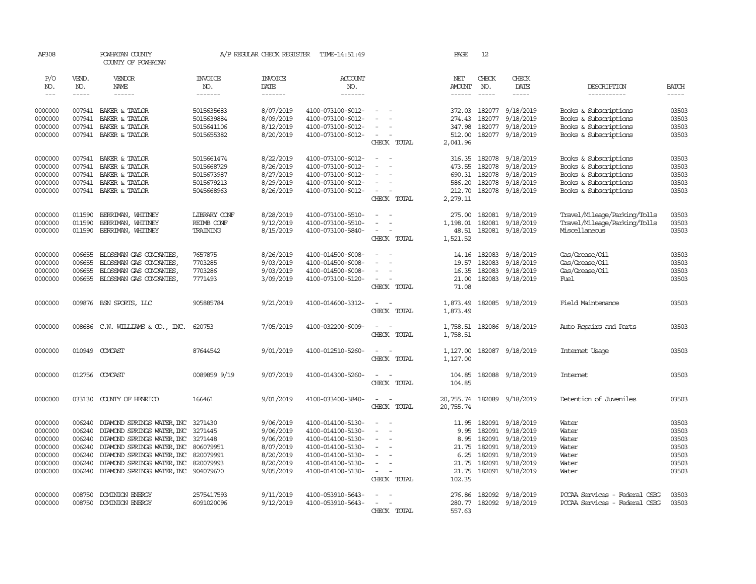| AP308              |                  | POWHATAN COUNTY<br>COUNTY OF POWHATAN                                        |                          | A/P REGULAR CHECK REGISTER | TIME-14:51:49                          |                                                                                                              | PAGE                       | 12               |                                      |                                                |                |
|--------------------|------------------|------------------------------------------------------------------------------|--------------------------|----------------------------|----------------------------------------|--------------------------------------------------------------------------------------------------------------|----------------------------|------------------|--------------------------------------|------------------------------------------------|----------------|
| P/O<br>NO.         | VEND.<br>NO.     | VENDOR<br>NAME                                                               | <b>INVOICE</b><br>NO.    | <b>INVOICE</b><br>DATE     | <b>ACCOUNT</b><br>NO.                  |                                                                                                              | NET<br>AMOUNT              | CHECK<br>NO.     | CHECK<br>DATE                        | DESCRIPTION                                    | <b>BATCH</b>   |
| $---$              | -----            | $- - - - - -$                                                                | -------                  | $- - - - - - -$            | --------                               |                                                                                                              | ------                     | $\frac{1}{2}$    | $- - - - -$                          | ------------                                   | -----          |
| 0000000            | 007941           | BAKER & TAYLOR                                                               | 5015635683               | 8/07/2019                  | 4100-073100-6012-                      |                                                                                                              | 372.03                     |                  | 182077 9/18/2019                     | Books & Subscriptions                          | 03503          |
| 0000000<br>0000000 | 007941<br>007941 | BAKER & TAYLOR<br>BAKER & TAYLOR                                             | 5015639884<br>5015641106 | 8/09/2019<br>8/12/2019     | 4100-073100-6012-<br>4100-073100-6012- |                                                                                                              | 274.43<br>347.98           |                  | 182077 9/18/2019<br>182077 9/18/2019 | Books & Subscriptions<br>Books & Subscriptions | 03503<br>03503 |
| 0000000            |                  | 007941 BAKER & TAYLOR                                                        | 5015655382               | 8/20/2019                  | 4100-073100-6012-                      | $\overline{\phantom{a}}$                                                                                     | 512.00                     |                  | 182077 9/18/2019                     | Books & Subscriptions                          | 03503          |
|                    |                  |                                                                              |                          |                            |                                        | CHECK TOTAL                                                                                                  | 2,041.96                   |                  |                                      |                                                |                |
| 0000000            | 007941           | BAKER & TAYLOR                                                               | 5015661474               | 8/22/2019                  | 4100-073100-6012-                      | $\equiv$<br>$\sim$                                                                                           |                            |                  | 316.35 182078 9/18/2019              | Books & Subscriptions                          | 03503          |
| 0000000            | 007941           | BAKER & TAYLOR                                                               | 5015668729               | 8/26/2019                  | 4100-073100-6012-                      |                                                                                                              | 473.55                     |                  | 182078 9/18/2019                     | Books & Subscriptions                          | 03503          |
| 0000000            | 007941           | BAKER & TAYLOR                                                               | 5015673987               | 8/27/2019                  | 4100-073100-6012-                      |                                                                                                              |                            |                  | 690.31 182078 9/18/2019              | Books & Subscriptions                          | 03503          |
| 0000000            | 007941           | BAKER & TAYLOR                                                               | 5015679213               | 8/29/2019                  | 4100-073100-6012-                      |                                                                                                              |                            |                  | 586.20 182078 9/18/2019              | Books & Subscriptions                          | 03503          |
| 0000000            |                  | 007941 BAKER & TAYLOR                                                        | 5045668963               | 8/26/2019                  | 4100-073100-6012-                      | $\overline{\phantom{a}}$<br>CHECK TOTAL                                                                      | 212.70<br>2,279.11         |                  | 182078 9/18/2019                     | Books & Subscriptions                          | 03503          |
|                    |                  |                                                                              |                          |                            |                                        |                                                                                                              |                            |                  |                                      |                                                |                |
| 0000000            | 011590           | BERRIMAN, WHITNEY                                                            | LIBRARY CONF             | 8/28/2019                  | 4100-073100-5510-                      | $\overline{\phantom{a}}$                                                                                     | 275.00                     |                  | 182081 9/18/2019                     | Travel/Mileage/Parking/Tolls                   | 03503          |
| 0000000            | 011590           | BERRIMAN, WHITNEY                                                            | REIMB CONF               | 9/12/2019                  | 4100-073100-5510-                      | $\equiv$                                                                                                     | 1,198.01                   |                  | 182081 9/18/2019                     | Travel/Mileage/Parking/Tolls                   | 03503          |
| 0000000            | 011590           | BERRIMAN, WHITNEY                                                            | TRAINING                 | 8/15/2019                  | 4100-073100-5840-                      | $\equiv$<br>CHECK TOTAL                                                                                      | 48.51<br>1,521.52          |                  | 182081 9/18/2019                     | Miscellaneous                                  | 03503          |
|                    |                  |                                                                              |                          |                            |                                        |                                                                                                              |                            |                  |                                      |                                                |                |
| 0000000            | 006655           | BLOSSMAN GAS COMPANIES,                                                      | 7657875                  | 8/26/2019                  | 4100-014500-6008-                      |                                                                                                              | 14.16                      | 182083           | 9/18/2019                            | Gas/Grease/Oil                                 | 03503          |
| 0000000            | 006655           | BLOSSMAN GAS COMPANIES,                                                      | 7703285                  | 9/03/2019                  | 4100-014500-6008-                      |                                                                                                              | 19.57                      | 182083           | 9/18/2019                            | Gas/Grease/Oil                                 | 03503          |
| 0000000<br>0000000 | 006655<br>006655 | BLOSSMAN GAS COMPANIES,<br>BLOSSMAN GAS COMPANIES,                           | 7703286<br>7771493       | 9/03/2019<br>3/09/2019     | 4100-014500-6008-<br>4100-073100-5120- | $\sim$<br>$\overline{\phantom{a}}$                                                                           | 16.35<br>21.00             | 182083<br>182083 | 9/18/2019<br>9/18/2019               | Gas/Grease/Oil<br>Fuel                         | 03503<br>03503 |
|                    |                  |                                                                              |                          |                            |                                        | CHECK TOTAL                                                                                                  | 71.08                      |                  |                                      |                                                |                |
| 0000000            |                  | 009876 BSN SPORTS, LLC                                                       | 905885784                | 9/21/2019                  | 4100-014600-3312-                      | $\overline{\phantom{a}}$                                                                                     | 1,873.49                   |                  | 182085 9/18/2019                     | Field Maintenance                              | 03503          |
|                    |                  |                                                                              |                          |                            |                                        | CHECK TOTAL                                                                                                  | 1,873.49                   |                  |                                      |                                                |                |
|                    |                  |                                                                              |                          |                            |                                        |                                                                                                              |                            |                  |                                      |                                                |                |
| 0000000            |                  | 008686 C.W. WILLIAMS & CO., INC.                                             | 620753                   | 7/05/2019                  | 4100-032200-6009-                      | $\overline{\phantom{a}}$                                                                                     | 1,758.51                   |                  | 182086 9/18/2019                     | Auto Repairs and Parts                         | 03503          |
|                    |                  |                                                                              |                          |                            |                                        | CHECK TOTAL                                                                                                  | 1,758.51                   |                  |                                      |                                                |                |
| 0000000            |                  | 010949 COMCAST                                                               | 87644542                 | 9/01/2019                  | 4100-012510-5260-                      | $\overline{\phantom{a}}$<br>$\sim$                                                                           | 1,127.00                   |                  | 182087 9/18/2019                     | Internet Usage                                 | 03503          |
|                    |                  |                                                                              |                          |                            |                                        | CHECK TOTAL                                                                                                  | 1,127.00                   |                  |                                      |                                                |                |
| 0000000            |                  | 012756 COMCAST                                                               | 0089859 9/19             | 9/07/2019                  | 4100-014300-5260-                      |                                                                                                              | 104.85                     |                  | 182088 9/18/2019                     | <b>Internet</b>                                | 03503          |
|                    |                  |                                                                              |                          |                            |                                        | CHECK TOTAL                                                                                                  | 104.85                     |                  |                                      |                                                |                |
| 0000000            | 033130           | COUNTY OF HENRICO                                                            | 166461                   | 9/01/2019                  | 4100-033400-3840-                      | $\frac{1}{2} \left( \frac{1}{2} \right) \left( \frac{1}{2} \right) = \frac{1}{2} \left( \frac{1}{2} \right)$ | 20,755.74 182089 9/18/2019 |                  |                                      | Detention of Juveniles                         | 03503          |
|                    |                  |                                                                              |                          |                            |                                        | CHECK TOTAL                                                                                                  | 20,755.74                  |                  |                                      |                                                |                |
| 0000000            | 006240           | DIAMOND SPRINGS WATER, INC 3271430                                           |                          | 9/06/2019                  | 4100-014100-5130-                      |                                                                                                              | 11.95                      |                  | 182091 9/18/2019                     | Water                                          | 03503          |
| 0000000            | 006240           | DIAMOND SPRINGS WATER, INC 3271445                                           |                          | 9/06/2019                  | 4100-014100-5130-                      | $\sim$                                                                                                       | 9.95                       |                  | 182091 9/18/2019                     | Water                                          | 03503          |
| 0000000            | 006240           | DIAMOND SPRINGS WATER, INC 3271448                                           |                          | 9/06/2019                  | 4100-014100-5130-                      | $\equiv$                                                                                                     | 8.95                       |                  | 182091 9/18/2019                     | Water                                          | 03503          |
| 0000000            | 006240           | DIAMOND SPRINGS WATER, INC 806079951                                         |                          | 8/07/2019                  | 4100-014100-5130-                      |                                                                                                              | 21.75                      |                  | 182091 9/18/2019                     | Water                                          | 03503          |
| 0000000            | 006240           | DIAMOND SPRINGS WATER, INC                                                   | 820079991                | 8/20/2019                  | 4100-014100-5130-                      |                                                                                                              | 6.25                       |                  | 182091 9/18/2019                     | Water                                          | 03503          |
| 0000000<br>0000000 | 006240<br>006240 | DIAMOND SPRINGS WATER, INC 820079993<br>DIAMOND SPRINGS WATER, INC 904079670 |                          | 8/20/2019<br>9/05/2019     | 4100-014100-5130-<br>4100-014100-5130- | $\sim$                                                                                                       | 21.75<br>21.75             |                  | 182091 9/18/2019<br>182091 9/18/2019 | Water<br>Water                                 | 03503<br>03503 |
|                    |                  |                                                                              |                          |                            |                                        | CHECK TOTAL                                                                                                  | 102.35                     |                  |                                      |                                                |                |
| 0000000            | 008750           | <b>DOMINION ENERGY</b>                                                       | 2575417593               | 9/11/2019                  | 4100-053910-5643-                      |                                                                                                              | 276.86                     |                  | 182092 9/18/2019                     | PCCAA Services - Federal CSBG                  | 03503          |
| 0000000            | 008750           | DOMINION ENERGY                                                              | 6091020096               | 9/12/2019                  | 4100-053910-5643-                      |                                                                                                              |                            |                  | 280.77 182092 9/18/2019              | PCCAA Services - Federal CSBG                  | 03503          |
|                    |                  |                                                                              |                          |                            |                                        | CHECK TOTAL                                                                                                  | 557.63                     |                  |                                      |                                                |                |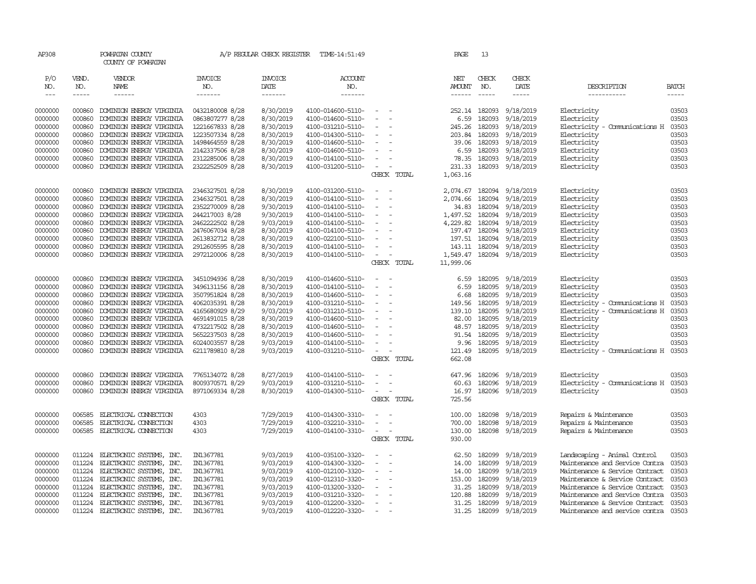| AP308         |             | POWHATAN COUNTY<br>COUNTY OF POWHATAN |                 | A/P REGULAR CHECK REGISTER | TIME-14:51:49     |                          |                                                                                                              | PAGE      | 13            |                  |                                |              |
|---------------|-------------|---------------------------------------|-----------------|----------------------------|-------------------|--------------------------|--------------------------------------------------------------------------------------------------------------|-----------|---------------|------------------|--------------------------------|--------------|
| P/O           | VEND.       | <b>VENDOR</b>                         | <b>INVOICE</b>  | <b>INVOICE</b>             | <b>ACCOUNT</b>    |                          |                                                                                                              | NET       | CHECK         | CHECK            |                                |              |
| NO.           | NO.         | <b>NAME</b>                           | NO.             | DATE                       | NO.               |                          |                                                                                                              | AMOUNT    | NO.           | DATE             | DESCRIPTION                    | <b>BATCH</b> |
| $\frac{1}{2}$ | $- - - - -$ | $- - - - - -$                         | -------         | -------                    | -------           |                          |                                                                                                              | ------    | $- - - - -$   | $- - - - -$      | -----------                    | $- - - - -$  |
|               |             |                                       |                 |                            |                   |                          |                                                                                                              |           |               |                  |                                |              |
| 0000000       | 000860      | DOMINION ENERGY VIRGINIA              | 0432180008 8/28 | 8/30/2019                  | 4100-014600-5110- |                          | $\sim$                                                                                                       |           | 252.14 182093 | 9/18/2019        | Electricity                    | 03503        |
| 0000000       | 000860      | DOMINION ENERGY VIRGINIA              | 0863807277 8/28 | 8/30/2019                  | 4100-014600-5110- |                          |                                                                                                              | 6.59      | 182093        | 9/18/2019        | Electricity                    | 03503        |
| 0000000       | 000860      | DOMINION ENERGY VIRGINIA              | 1221667833 8/28 | 8/30/2019                  | 4100-031210-5110- |                          | $\equiv$                                                                                                     | 245.26    | 182093        | 9/18/2019        | Electricity - Comunications H  | 03503        |
| 0000000       | 000860      | DOMINION ENERGY VIRGINIA              | 1223507334 8/28 | 8/30/2019                  | 4100-014300-5110- |                          | $\sim$                                                                                                       | 203.84    | 182093        | 9/18/2019        | Electricity                    | 03503        |
| 0000000       | 000860      | DOMINION ENERGY VIRGINIA              | 1498464559 8/28 | 8/30/2019                  | 4100-014600-5110- |                          | $\equiv$                                                                                                     | 39.06     | 182093        | 9/18/2019        | Electricity                    | 03503        |
| 0000000       | 000860      | DOMINION ENERGY VIRGINIA              | 2142337506 8/28 | 8/30/2019                  | 4100-014600-5110- |                          | $\equiv$                                                                                                     | 6.59      | 182093        | 9/18/2019        | Electricity                    | 03503        |
| 0000000       | 000860      | DOMINION ENERGY VIRGINIA              | 2312285006 8/28 | 8/30/2019                  | 4100-014100-5110- |                          | $\sim$                                                                                                       | 78.35     | 182093        | 9/18/2019        | Electricity                    | 03503        |
| 0000000       | 000860      | DOMINION ENERGY VIRGINIA              | 2322252509 8/28 | 8/30/2019                  | 4100-031200-5110- |                          | $\overline{\phantom{a}}$                                                                                     | 231.33    |               | 182093 9/18/2019 | Electricity                    | 03503        |
|               |             |                                       |                 |                            |                   |                          | CHECK TOTAL                                                                                                  | 1,063.16  |               |                  |                                |              |
| 0000000       | 000860      | DOMINION ENERGY VIRGINIA              | 2346327501 8/28 | 8/30/2019                  | 4100-031200-5110- |                          | $\sim$                                                                                                       | 2,074.67  | 182094        | 9/18/2019        | Electricity                    | 03503        |
| 0000000       | 000860      | DOMINION ENERGY VIRGINIA              | 2346327501 8/28 | 8/30/2019                  | 4100-014100-5110- |                          | $\overline{\phantom{a}}$                                                                                     | 2,074.66  |               | 182094 9/18/2019 | Electricity                    | 03503        |
| 0000000       | 000860      | DOMINION ENERGY VIRGINIA              | 2352270009 8/28 | 9/30/2019                  | 4100-014100-5110- |                          | $\sim$                                                                                                       | 34.83     |               | 182094 9/18/2019 | Electricity                    | 03503        |
| 0000000       | 000860      | DOMINION ENERGY VIRGINIA              | 244217003 8/28  | 9/30/2019                  | 4100-014100-5110- |                          | $\sim$                                                                                                       | 1,497.52  |               | 182094 9/18/2019 | Electricity                    | 03503        |
| 0000000       | 000860      | DOMINION ENERGY VIRGINIA              | 2462222502 8/28 | 9/03/2019                  | 4100-014100-5110- |                          | $\sim$                                                                                                       | 4,229.82  |               | 182094 9/18/2019 | Electricity                    | 03503        |
| 0000000       | 000860      | DOMINION ENERGY VIRGINIA              | 2476067034 8/28 | 8/30/2019                  | 4100-014100-5110- |                          | $\equiv$                                                                                                     | 197.47    | 182094        | 9/18/2019        | Electricity                    | 03503        |
| 0000000       | 000860      | DOMINION ENERGY VIRGINIA              | 2613832712 8/28 | 8/30/2019                  | 4100-022100-5110- |                          | $\overline{\phantom{a}}$                                                                                     | 197.51    | 182094        | 9/18/2019        | Electricity                    | 03503        |
| 0000000       | 000860      | DOMINION ENERGY VIRGINIA              | 2912605595 8/28 | 8/30/2019                  | 4100-014100-5110- |                          | $\blacksquare$                                                                                               | 143.11    |               | 182094 9/18/2019 | Electricity                    | 03503        |
| 0000000       | 000860      | DOMINION ENERGY VIRGINIA              | 2972120006 8/28 | 8/30/2019                  | 4100-014100-5110- |                          | $\sim$                                                                                                       | 1,549.47  |               | 182094 9/18/2019 | Electricity                    | 03503        |
|               |             |                                       |                 |                            |                   |                          | CHECK TOTAL                                                                                                  | 11,999.06 |               |                  |                                |              |
|               |             |                                       |                 |                            |                   |                          |                                                                                                              |           |               |                  |                                |              |
| 0000000       | 000860      | DOMINION ENERGY VIRGINIA              | 3451094936 8/28 | 8/30/2019                  | 4100-014600-5110- |                          | $\sim$                                                                                                       | 6.59      | 182095        | 9/18/2019        | Electricity                    | 03503        |
| 0000000       | 000860      | DOMINION ENERGY VIRGINIA              | 3496131156 8/28 | 8/30/2019                  | 4100-014100-5110- |                          | $\sim$                                                                                                       | 6.59      | 182095        | 9/18/2019        | Electricity                    | 03503        |
| 0000000       | 000860      | DOMINION ENERGY VIRGINIA              | 3507951824 8/28 | 8/30/2019                  | 4100-014600-5110- |                          | $\sim$                                                                                                       | 6.68      | 182095        | 9/18/2019        | Electricity                    | 03503        |
| 0000000       | 000860      | DOMINION ENERGY VIRGINIA              | 4062035391 8/28 | 8/30/2019                  | 4100-031210-5110- |                          | $\sim$                                                                                                       | 149.56    |               | 182095 9/18/2019 | Electricity - Comunications H  | 03503        |
| 0000000       | 000860      | DOMINION ENERGY VIRGINIA              | 4165680929 8/29 | 9/03/2019                  | 4100-031210-5110- | $\overline{\phantom{a}}$ |                                                                                                              | 139.10    | 182095        | 9/18/2019        | Electricity - Comunications H  | 03503        |
| 0000000       | 000860      | DOMINION ENERGY VIRGINIA              | 4691491015 8/28 | 8/30/2019                  | 4100-014600-5110- |                          | $\equiv$                                                                                                     | 82.00     | 182095        | 9/18/2019        | Electricity                    | 03503        |
| 0000000       | 000860      | DOMINION ENERGY VIRGINIA              | 4732217502 8/28 | 8/30/2019                  | 4100-014600-5110- |                          | $\overline{\phantom{a}}$                                                                                     | 48.57     | 182095        | 9/18/2019        | Electricity                    | 03503        |
| 0000000       | 000860      | DOMINION ENERGY VIRGINIA              | 5652237503 8/28 | 8/30/2019                  | 4100-014600-5110- | $\overline{\phantom{a}}$ |                                                                                                              |           | 91.54 182095  | 9/18/2019        | Electricity                    | 03503        |
| 0000000       | 000860      | DOMINION ENERGY VIRGINIA              | 6024003557 8/28 | 9/03/2019                  | 4100-014100-5110- |                          |                                                                                                              | 9.96      | 182095        | 9/18/2019        | Electricity                    | 03503        |
| 0000000       | 000860      | DOMINION ENERGY VIRGINIA              | 6211789810 8/28 | 9/03/2019                  | 4100-031210-5110- |                          | $\frac{1}{2} \left( \frac{1}{2} \right) \left( \frac{1}{2} \right) = \frac{1}{2} \left( \frac{1}{2} \right)$ | 121.49    |               | 182095 9/18/2019 | Electricity - Comunications H  | 03503        |
|               |             |                                       |                 |                            |                   |                          | CHECK TOTAL                                                                                                  | 662.08    |               |                  |                                |              |
| 0000000       | 000860      | DOMINION ENERGY VIRGINIA              | 7765134072 8/28 | 8/27/2019                  | 4100-014100-5110- |                          |                                                                                                              | 647.96    |               | 182096 9/18/2019 | Electricity                    | 03503        |
| 0000000       | 000860      | DOMINION ENERGY VIRGINIA              | 8009370571 8/29 | 9/03/2019                  | 4100-031210-5110- |                          | $\equiv$                                                                                                     | 60.63     | 182096        | 9/18/2019        | Electricity - Comunications H  | 03503        |
| 0000000       | 000860      | DOMINION ENERGY VIRGINIA              | 8971069334 8/28 | 8/30/2019                  | 4100-014300-5110- |                          | $\overline{\phantom{a}}$                                                                                     | 16.97     |               | 182096 9/18/2019 | Electricity                    | 03503        |
|               |             |                                       |                 |                            |                   |                          | CHECK TOTAL                                                                                                  | 725.56    |               |                  |                                |              |
| 0000000       | 006585      | ELECTRICAL CONNECTION                 | 4303            | 7/29/2019                  | 4100-014300-3310- |                          |                                                                                                              | 100.00    | 182098        | 9/18/2019        | Repairs & Maintenance          | 03503        |
| 0000000       | 006585      | ELECTRICAL CONNECTION                 | 4303            | 7/29/2019                  | 4100-032210-3310- |                          | $\sim$                                                                                                       | 700.00    | 182098        | 9/18/2019        | Repairs & Maintenance          | 03503        |
| 0000000       |             | 006585 ELECTRICAL CONNECTION          | 4303            | 7/29/2019                  | 4100-014100-3310- |                          | $\sim$ $ \sim$                                                                                               | 130.00    |               | 182098 9/18/2019 | Repairs & Maintenance          | 03503        |
|               |             |                                       |                 |                            |                   |                          | CHECK TOTAL                                                                                                  | 930.00    |               |                  |                                |              |
|               |             |                                       |                 |                            |                   |                          |                                                                                                              |           |               |                  |                                |              |
| 0000000       | 011224      | ELECTRONIC SYSTEMS, INC.              | IN1367781       | 9/03/2019                  | 4100-035100-3320- |                          | $\sim$                                                                                                       | 62.50     | 182099        | 9/18/2019        | Landscaping - Animal Control   | 03503        |
| 0000000       | 011224      | ELECTRONIC SYSTEMS, INC.              | IN1367781       | 9/03/2019                  | 4100-014300-3320- |                          | $\sim$                                                                                                       | 14.00     | 182099        | 9/18/2019        | Maintenance and Service Contra | 03503        |
| 0000000       | 011224      | ELECTRONIC SYSTEMS, INC.              | IN1367781       | 9/03/2019                  | 4100-012100-3320- |                          | $\blacksquare$                                                                                               | 14.00     | 182099        | 9/18/2019        | Maintenance & Service Contract | 03503        |
| 0000000       | 011224      | ELECTRONIC SYSTEMS, INC.              | IN1367781       | 9/03/2019                  | 4100-012310-3320- |                          | $\blacksquare$                                                                                               | 153.00    | 182099        | 9/18/2019        | Maintenance & Service Contract | 03503        |
| 0000000       | 011224      | ELECTRONIC SYSTEMS,<br>INC.           | IN1367781       | 9/03/2019                  | 4100-013200-3320- |                          | $\sim$                                                                                                       | 31.25     | 182099        | 9/18/2019        | Maintenance & Service Contract | 03503        |
| 0000000       | 011224      | ELECTRONIC SYSTEMS, INC.              | IN1367781       | 9/03/2019                  | 4100-031210-3320- |                          |                                                                                                              | 120.88    | 182099        | 9/18/2019        | Maintenance and Service Contra | 03503        |
| 0000000       | 011224      | ELECTRONIC SYSTEMS, INC.              | IN1367781       | 9/03/2019                  | 4100-012200-3320- |                          | $\sim$                                                                                                       | 31.25     | 182099        | 9/18/2019        | Maintenance & Service Contract | 03503        |
| 0000000       | 011224      | ELECTRONIC SYSTEMS, INC.              | IN1367781       | 9/03/2019                  | 4100-012220-3320- | $\sim$                   |                                                                                                              | 31.25     |               | 182099 9/18/2019 | Maintenance and service contra | 03503        |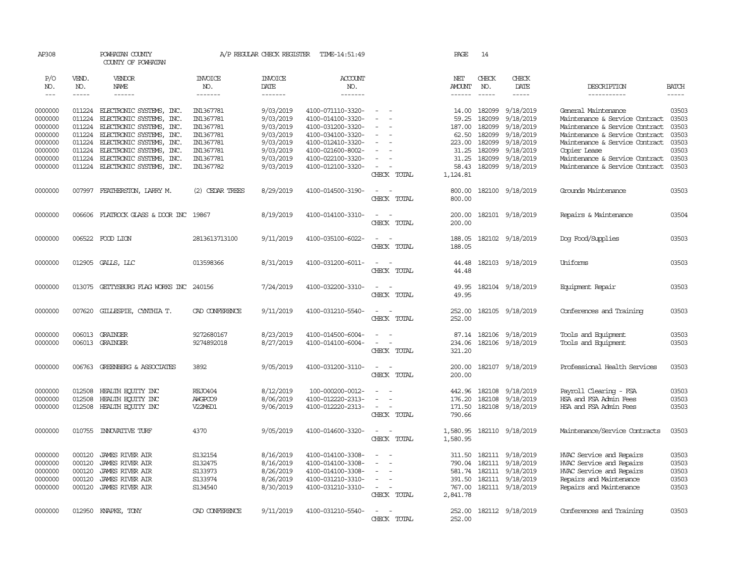| AP308      |              | POWHATAN COUNTY<br>COUNTY OF POWHATAN   |                       | A/P REGULAR CHECK REGISTER | TIME-14:51:49     |                          | PAGE          | 14                   |                         |                                |              |
|------------|--------------|-----------------------------------------|-----------------------|----------------------------|-------------------|--------------------------|---------------|----------------------|-------------------------|--------------------------------|--------------|
| P/O<br>NO. | VEND.<br>NO. | VENDOR<br>NAME                          | <b>INVOICE</b><br>NO. | <b>INVOICE</b><br>DATE     | ACCOUNT<br>NO.    |                          | NET<br>AMOUNT | CHECK<br>NO.         | CHECK<br>DATE           | DESCRIPTION                    | <b>BATCH</b> |
| $  -$      | $- - - - -$  | ------                                  | -------               | -------                    | -------           |                          | ------        | $\cdots\cdots\cdots$ | -----                   | -----------                    | $- - - - -$  |
| 0000000    | 011224       | ELECTRONIC SYSTEMS, INC.                | IN1367781             | 9/03/2019                  | 4100-071110-3320- | $\equiv$                 | 14.00         | 182099               | 9/18/2019               | General Maintenance            | 03503        |
| 0000000    | 011224       | ELECTRONIC SYSTEMS, INC.                | IN1367781             | 9/03/2019                  | 4100-014100-3320- | $\equiv$                 | 59.25         | 182099               | 9/18/2019               | Maintenance & Service Contract | 03503        |
| 0000000    | 011224       | ELECTRONIC SYSTEMS, INC.                | IN1367781             | 9/03/2019                  | 4100-031200-3320- |                          | 187.00        | 182099               | 9/18/2019               | Maintenance & Service Contract | 03503        |
| 0000000    | 011224       | ELECTRONIC SYSTEMS, INC.                | IN1367781             | 9/03/2019                  | 4100-034100-3320- |                          | 62.50         | 182099               | 9/18/2019               | Maintenance & Service Contract | 03503        |
| 0000000    | 011224       | ELECTRONIC SYSTEMS, INC.                | IN1367781             | 9/03/2019                  | 4100-012410-3320- | $\sim$                   | 223.00        | 182099               | 9/18/2019               | Maintenance & Service Contract | 03503        |
| 0000000    | 011224       | ELECTRONIC SYSTEMS, INC.                | IN1367781             | 9/03/2019                  | 4100-021600-8002- |                          | 31.25         | 182099               | 9/18/2019               | Copier Lease                   | 03503        |
| 0000000    | 011224       | ELECTRONIC SYSTEMS, INC.                | IN1367781             | 9/03/2019                  | 4100-022100-3320- |                          | 31.25         | 182099               | 9/18/2019               | Maintenance & Service Contract | 03503        |
| 0000000    | 011224       | ELECTRONIC SYSTEMS, INC.                | IN1367782             | 9/03/2019                  | 4100-012100-3320- | $\overline{\phantom{a}}$ | 58.43         |                      | 182099 9/18/2019        | Maintenance & Service Contract | 03503        |
|            |              |                                         |                       |                            |                   | CHECK TOTAL              | 1,124.81      |                      |                         |                                |              |
| 0000000    | 007997       | FEATHERSTON, LARRY M.                   | (2) CEDAR TREES       | 8/29/2019                  | 4100-014500-3190- | $\sim$                   | 800.00        |                      | 182100 9/18/2019        | Grounds Maintenance            | 03503        |
|            |              |                                         |                       |                            |                   | CHECK TOTAL              | 800.00        |                      |                         |                                |              |
| 0000000    |              | 006606 FLATROCK GLASS & DOOR INC 19867  |                       | 8/19/2019                  | 4100-014100-3310- | $\sim$                   | 200.00        |                      | 182101 9/18/2019        | Repairs & Maintenance          | 03504        |
|            |              |                                         |                       |                            |                   | CHECK TOTAL              | 200.00        |                      |                         |                                |              |
| 0000000    |              | 006522 FOOD LION                        | 2813613713100         | 9/11/2019                  | 4100-035100-6022- | $\sim$                   | 188.05        |                      | 182102 9/18/2019        | Dog Food/Supplies              | 03503        |
|            |              |                                         |                       |                            |                   | CHECK TOTAL              | 188.05        |                      |                         |                                |              |
| 0000000    |              | 012905 GALLS, LLC                       | 013598366             | 8/31/2019                  | 4100-031200-6011- | $\sim$<br>$\sim$         | 44.48         |                      | 182103 9/18/2019        | Uniforms                       | 03503        |
|            |              |                                         |                       |                            |                   | CHECK TOTAL              | 44.48         |                      |                         |                                |              |
| 0000000    |              | 013075 GETTYSBURG FLAG WORKS INC 240156 |                       | 7/24/2019                  | 4100-032200-3310- | $\sim$<br>$\sim$         | 49.95         |                      | 182104 9/18/2019        | Equipment Repair               | 03503        |
|            |              |                                         |                       |                            |                   | CHECK TOTAL              | 49.95         |                      |                         |                                |              |
| 0000000    | 007620       | GILLESPIE, CYNTHIA T.                   | CAD CONFERENCE        | 9/11/2019                  | 4100-031210-5540- | $\sim$<br>$\sim$         | 252.00        |                      | 182105 9/18/2019        | Conferences and Training       | 03503        |
|            |              |                                         |                       |                            |                   | CHECK TOTAL              | 252.00        |                      |                         |                                |              |
| 0000000    |              | 006013 GRAINGER                         | 9272680167            | 8/23/2019                  | 4100-014500-6004- | $\overline{\phantom{a}}$ | 87.14         |                      | 182106 9/18/2019        | Tools and Equipment            | 03503        |
| 0000000    |              | 006013 GRAINGER                         | 9274892018            | 8/27/2019                  | 4100-014100-6004- | $\equiv$                 | 234.06        |                      | 182106 9/18/2019        | Tools and Equipment            | 03503        |
|            |              |                                         |                       |                            |                   | CHECK TOTAL              | 321.20        |                      |                         |                                |              |
| 0000000    | 006763       | GREENBERG & ASSOCIATES                  | 3892                  | 9/05/2019                  | 4100-031200-3110- | $\sim$<br>$\sim$         | 200.00        |                      | 182107 9/18/2019        | Professional Health Services   | 03503        |
|            |              |                                         |                       |                            |                   | CHECK TOTAL              | 200.00        |                      |                         |                                |              |
| 0000000    | 012508       | HEALTH EQUITY INC                       | REJ0404               | 8/12/2019                  | 100-000200-0012-  |                          | 442.96        | 182108               | 9/18/2019               | Payroll Clearing - FSA         | 03503        |
| 0000000    | 012508       | HEALTH EQUITY INC                       | AWGPCO9               | 8/06/2019                  | 4100-012220-2313- |                          | 176.20        | 182108               | 9/18/2019               | HSA and FSA Admin Fees         | 03503        |
| 0000000    | 012508       | HEALTH ECUTTY INC                       | V22M6D1               | 9/06/2019                  | 4100-012220-2313- | $\sim$                   | 171.50        |                      | 182108 9/18/2019        | HSA and FSA Admin Fees         | 03503        |
|            |              |                                         |                       |                            |                   | CHECK TOTAL              | 790.66        |                      |                         |                                |              |
| 0000000    | 010755       | INNOVATIVE TURF                         | 4370                  | 9/05/2019                  | 4100-014600-3320- | $\sim$<br>$\sim$         | 1,580.95      |                      | 182110 9/18/2019        | Maintenance/Service Contracts  | 03503        |
|            |              |                                         |                       |                            |                   | CHECK TOTAL              | 1,580.95      |                      |                         |                                |              |
| 0000000    | 000120       | <b>JAMES RIVER AIR</b>                  | S132154               | 8/16/2019                  | 4100-014100-3308- |                          | 311.50        |                      | 182111 9/18/2019        | HVAC Service and Repairs       | 03503        |
| 0000000    | 000120       | <b>JAMES RIVER AIR</b>                  | S132475               | 8/16/2019                  | 4100-014100-3308- | $\equiv$<br>$\sim$       | 790.04        | 182111               | 9/18/2019               | HVAC Service and Repairs       | 03503        |
| 0000000    | 000120       | <b>JAMES RIVER AIR</b>                  | S133973               | 8/26/2019                  | 4100-014100-3308- | $\equiv$                 |               | 581.74 182111        | 9/18/2019               | HVAC Service and Repairs       | 03503        |
| 0000000    | 000120       | <b>JAMES RIVER AIR</b>                  | S133974               | 8/26/2019                  | 4100-031210-3310- | $\equiv$                 | 391.50        |                      | 182111 9/18/2019        | Repairs and Maintenance        | 03503        |
| 0000000    | 000120       | <b>JAMES RIVER AIR</b>                  | S134540               | 8/30/2019                  | 4100-031210-3310- | $\sim$                   |               |                      | 767.00 182111 9/18/2019 | Repairs and Maintenance        | 03503        |
|            |              |                                         |                       |                            |                   | CHECK TOTAL              | 2,841.78      |                      |                         |                                |              |
| 0000000    |              | 012950 KNAPKE, TONY                     | CAD CONFERENCE        | 9/11/2019                  | 4100-031210-5540- | $\sim$<br>$\sim$         | 252,00        |                      | 182112 9/18/2019        | Conferences and Training       | 03503        |
|            |              |                                         |                       |                            |                   | CHECK TOTAL              | 252,00        |                      |                         |                                |              |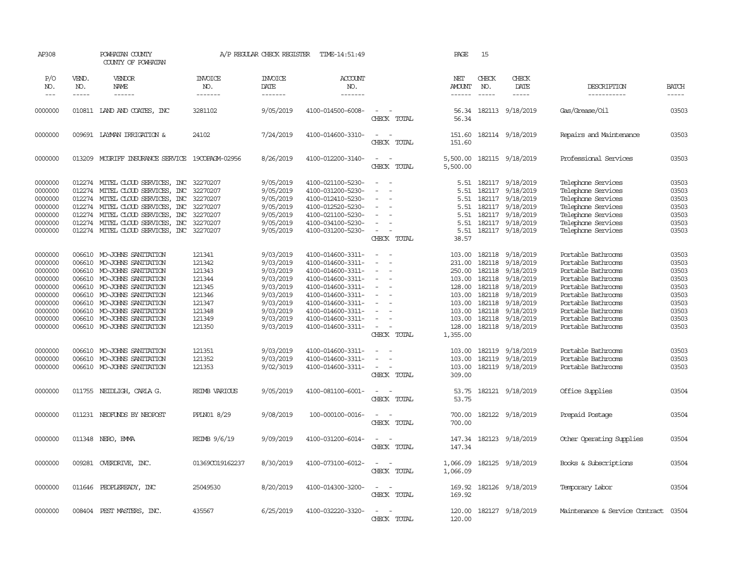| AP308      |              | POWHATAN COUNTY<br>COUNTY OF POWHATAN     |                       | A/P REGULAR CHECK REGISTER | TIME-14:51:49         |                                                   | PAGE                 | 15           |                         |                                      |              |
|------------|--------------|-------------------------------------------|-----------------------|----------------------------|-----------------------|---------------------------------------------------|----------------------|--------------|-------------------------|--------------------------------------|--------------|
| P/O<br>NO. | VEND.<br>NO. | VENDOR<br>NAME                            | <b>INVOICE</b><br>NO. | <b>INVOICE</b><br>DATE     | <b>ACCOUNT</b><br>NO. |                                                   | NET<br>AMOUNT        | CHECK<br>NO. | CHECK<br>DATE           | DESCRIPTION                          | <b>BATCH</b> |
| $---$      | $- - - - -$  | $- - - - - -$                             | -------               | -------                    | -------               |                                                   | ------               | $\cdots$     | $- - - - -$             | -----------                          | -----        |
| 0000000    |              | 010811 LAND AND COATES, INC               | 3281102               | 9/05/2019                  | 4100-014500-6008-     | CHECK TOTAL                                       | 56.34<br>56.34       |              | 182113 9/18/2019        | Gas/Grease/Oil                       | 03503        |
| 0000000    |              | 009691 LAYMAN IRRIGATION &                | 24102                 | 7/24/2019                  | 4100-014600-3310-     | $\sim$<br>$\sim$<br>CHECK TOTAL                   | 151.60<br>151.60     |              | 182114 9/18/2019        | Repairs and Maintenance              | 03503        |
| 0000000    | 013209       | MOGRIFF INSURANCE SERVICE                 | 19COPAGM-02956        | 8/26/2019                  | 4100-012200-3140-     | $\sim$<br>$\sim$<br>CHECK TOTAL                   | 5,500.00<br>5,500.00 |              | 182115 9/18/2019        | Professional Services                | 03503        |
| 0000000    |              | 012274 MITEL CLOUD SERVICES, INC          | 32270207              | 9/05/2019                  | 4100-021100-5230-     | $\equiv$                                          | 5.51                 | 182117       | 9/18/2019               | Telephone Services                   | 03503        |
| 0000000    | 012274       | MITEL CLOUD SERVICES, INC                 | 32270207              | 9/05/2019                  | 4100-031200-5230-     | $\equiv$                                          | 5.51                 | 182117       | 9/18/2019               | Telephone Services                   | 03503        |
| 0000000    |              | 012274 MITEL CLOUD SERVICES, INC          | 32270207              | 9/05/2019                  | 4100-012410-5230-     |                                                   | 5.51                 |              | 182117 9/18/2019        | Telephone Services                   | 03503        |
| 0000000    |              | 012274 MITEL CLOUD SERVICES, INC          | 32270207              | 9/05/2019                  | 4100-012520-5230-     | $\sim$                                            | 5.51                 |              | 182117 9/18/2019        | Telephone Services                   | 03503        |
| 0000000    | 012274       | MITEL CLOUD SERVICES, INC                 | 32270207              | 9/05/2019                  | 4100-021100-5230-     | $\overline{\phantom{a}}$                          | 5.51                 | 182117       | 9/18/2019               | Telephone Services                   | 03503        |
| 0000000    | 012274       | MITEL CLOUD SERVICES, INC                 | 32270207              | 9/05/2019                  | 4100-034100-5230-     |                                                   | 5.51                 |              | 182117 9/18/2019        | Telephone Services                   | 03503        |
| 0000000    |              |                                           |                       | 9/05/2019                  | 4100-031200-5230-     | $\sim$                                            |                      |              | 182117 9/18/2019        |                                      | 03503        |
|            |              | 012274 MITEL CLOUD SERVICES, INC 32270207 |                       |                            |                       |                                                   | 5.51                 |              |                         | Telephone Services                   |              |
|            |              |                                           |                       |                            |                       | CHECK TOTAL                                       | 38.57                |              |                         |                                      |              |
| 0000000    | 006610       | MO-JOHNS SANITATION                       | 121341                | 9/03/2019                  | 4100-014600-3311-     | $\blacksquare$<br>. —                             | 103.00               | 182118       | 9/18/2019               | Portable Bathrooms                   | 03503        |
| 0000000    | 006610       | MO-JOHNS SANITATION                       | 121342                | 9/03/2019                  | 4100-014600-3311-     | ÷                                                 | 231.00               | 182118       | 9/18/2019               | Portable Bathrooms                   | 03503        |
| 0000000    | 006610       | MO-JOHNS SANITATION                       | 121343                | 9/03/2019                  | 4100-014600-3311-     | $\sim$                                            | 250.00               | 182118       | 9/18/2019               | Portable Bathrooms                   | 03503        |
| 0000000    | 006610       | MO-JOHNS SANITATION                       | 121344                | 9/03/2019                  | 4100-014600-3311-     | $\equiv$                                          | 103.00               | 182118       | 9/18/2019               | Portable Bathrooms                   | 03503        |
| 0000000    | 006610       | MO-JOHNS SANITATION                       | 121345                | 9/03/2019                  | 4100-014600-3311-     |                                                   | 128.00               | 182118       | 9/18/2019               | Portable Bathrooms                   | 03503        |
| 0000000    | 006610       | MO-JOHNS SANITATION                       | 121346                | 9/03/2019                  | 4100-014600-3311-     |                                                   | 103.00               | 182118       | 9/18/2019               | Portable Bathrooms                   | 03503        |
| 0000000    | 006610       | MO-JOHNS SANITATION                       | 121347                | 9/03/2019                  | 4100-014600-3311-     |                                                   | 103.00               | 182118       | 9/18/2019               | Portable Bathrooms                   | 03503        |
| 0000000    | 006610       | MO-JOHNS SANITATION                       | 121348                | 9/03/2019                  | 4100-014600-3311-     |                                                   | 103.00               | 182118       | 9/18/2019               | Portable Bathrooms                   | 03503        |
| 0000000    | 006610       | MO-JOHNS SANITATION                       | 121349                | 9/03/2019                  | 4100-014600-3311-     |                                                   | 103.00               | 182118       | 9/18/2019               | Portable Bathrooms                   | 03503        |
|            |              |                                           |                       |                            |                       | $\overline{\phantom{a}}$                          |                      |              |                         |                                      |              |
| 0000000    |              | 006610 MO-JOHNS SANITATION                | 121350                | 9/03/2019                  | 4100-014600-3311-     | $\sim$<br>CHECK TOTAL                             | 128.00<br>1,355.00   |              | 182118 9/18/2019        | Portable Bathrooms                   | 03503        |
|            |              |                                           |                       |                            |                       | $\sim$<br>$\sim$                                  |                      | 182119       |                         | Portable Bathrooms                   | 03503        |
| 0000000    | 006610       | MO-JOHNS SANITATION                       | 121351                | 9/03/2019                  | 4100-014600-3311-     | $\sim$                                            | 103.00               |              | 9/18/2019               |                                      |              |
| 0000000    | 006610       | MO-JOHNS SANITATION                       | 121352                | 9/03/2019                  | 4100-014600-3311-     | $\blacksquare$                                    | 103.00               | 182119       | 9/18/2019               | Portable Bathrooms                   | 03503        |
| 0000000    | 006610       | MO-JOHNS SANITATION                       | 121353                | 9/02/3019                  | 4100-014600-3311-     | $\equiv$<br>CHECK TOTAL                           | 103.00               | 182119       | 9/18/2019               | Portable Bathrooms                   | 03503        |
|            |              |                                           |                       |                            |                       |                                                   | 309.00               |              |                         |                                      |              |
| 0000000    |              | 011755 NEIDLIGH, CARLA G.                 | <b>REIMB VARIOUS</b>  | 9/05/2019                  | 4100-081100-6001-     | $\sim$<br>$\sim$<br>CHECK TOTAL                   | 53.75<br>53.75       |              | 182121 9/18/2019        | Office Supplies                      | 03504        |
| 0000000    |              | 011231 NEOFUNDS BY NEOPOST                | PPLN01 8/29           | 9/08/2019                  | 100-000100-0016-      | $\sim$<br>$\sim$<br>CHECK TOTAL                   | 700.00<br>700.00     |              | 182122 9/18/2019        | Prepaid Postage                      | 03504        |
| 0000000    |              | 011348 NERO, EMMA                         | REIMB 9/6/19          | 9/09/2019                  | 4100-031200-6014-     | $\sim$<br>$\sim$<br>CHECK TOTAL                   | 147.34               |              | 147.34 182123 9/18/2019 | Other Operating Supplies             | 03504        |
| 0000000    | 009281       | OVERDRIVE, INC.                           | 01369CO19162237       | 8/30/2019                  | 4100-073100-6012-     | $\overline{\phantom{a}}$<br>$\sim$<br>CHECK TOTAL | 1,066.09<br>1,066.09 |              | 182125 9/18/2019        | Books & Subscriptions                | 03504        |
| 0000000    | 011646       | PEOPLEREADY, INC                          | 25049530              | 8/20/2019                  | 4100-014300-3200-     | $\overline{\phantom{a}}$<br>$\sim$<br>CHECK TOTAL | 169.92<br>169.92     |              | 182126 9/18/2019        | Temporary Labor                      | 03504        |
| 0000000    | 008404       | PEST MASTERS, INC.                        | 435567                | 6/25/2019                  | 4100-032220-3320-     | $\sim$<br>$\overline{\phantom{a}}$<br>CHECK TOTAL | 120.00<br>120.00     |              | 182127 9/18/2019        | Maintenance & Service Contract 03504 |              |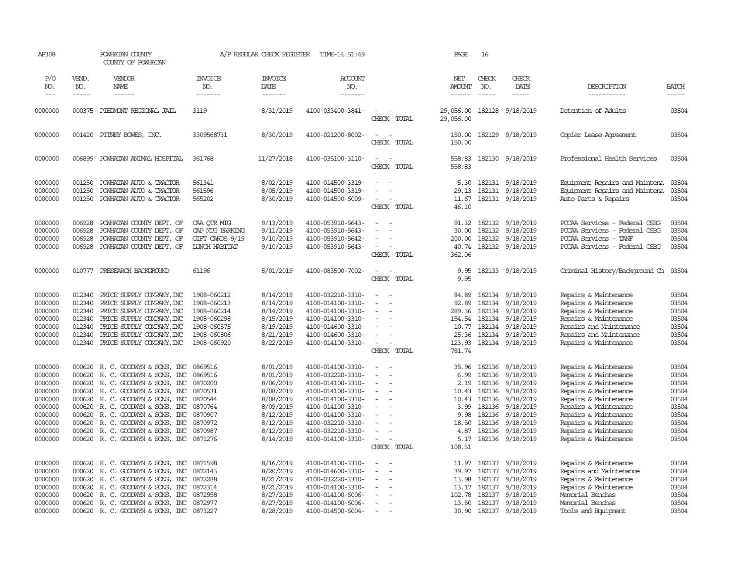| AP308                                                                                                      |                                                                                        | POWHATAN COUNTY<br>COUNTY OF POWHATAN                                                                                                                                                                                                                                                                         |                                                                                                       | A/P REGULAR CHECK REGISTER                                                                                                     | TIME-14:51:49                                                                                                                                                                                                  |                                                                                                                                                                      | PAGE                                                                             | 16                                                                                     |                                                                                                                                       |                                                                                                                                                                                                                                                        |                                                                                        |
|------------------------------------------------------------------------------------------------------------|----------------------------------------------------------------------------------------|---------------------------------------------------------------------------------------------------------------------------------------------------------------------------------------------------------------------------------------------------------------------------------------------------------------|-------------------------------------------------------------------------------------------------------|--------------------------------------------------------------------------------------------------------------------------------|----------------------------------------------------------------------------------------------------------------------------------------------------------------------------------------------------------------|----------------------------------------------------------------------------------------------------------------------------------------------------------------------|----------------------------------------------------------------------------------|----------------------------------------------------------------------------------------|---------------------------------------------------------------------------------------------------------------------------------------|--------------------------------------------------------------------------------------------------------------------------------------------------------------------------------------------------------------------------------------------------------|----------------------------------------------------------------------------------------|
| P/O<br>NO.<br>$---$                                                                                        | VEND.<br>NO.<br>-----                                                                  | VENDOR<br>NAME<br>------                                                                                                                                                                                                                                                                                      | <b>INVOICE</b><br>NO.<br>-------                                                                      | <b>INVOICE</b><br>DATE<br>-------                                                                                              | <b>ACCOUNT</b><br>NO.<br>-------                                                                                                                                                                               |                                                                                                                                                                      | NET<br><b>AMOUNT</b><br>------                                                   | CHECK<br>NO.<br>$- - - - -$                                                            | CHECK<br>DATE<br>-----                                                                                                                | DESCRIPTION<br>-----------                                                                                                                                                                                                                             | <b>BATCH</b><br>$- - - - -$                                                            |
| 0000000                                                                                                    | 000375                                                                                 | PIEDMONT REGIONAL JAIL                                                                                                                                                                                                                                                                                        | 3119                                                                                                  | 8/31/2019                                                                                                                      | 4100-033400-3841-                                                                                                                                                                                              | $\overline{\phantom{a}}$<br>$\sim$<br>CHECK TOTAL                                                                                                                    | 29,056.00<br>29,056.00                                                           | 182128                                                                                 | 9/18/2019                                                                                                                             | Detention of Adults                                                                                                                                                                                                                                    | 03504                                                                                  |
| 0000000                                                                                                    | 001420                                                                                 | PITNEY BOWES, INC.                                                                                                                                                                                                                                                                                            | 3309568731                                                                                            | 8/30/2019                                                                                                                      | 4100-021200-8002-                                                                                                                                                                                              | $\overline{\phantom{a}}$<br>$\sim$<br>CHECK TOTAL                                                                                                                    | 150.00<br>150.00                                                                 |                                                                                        | 182129 9/18/2019                                                                                                                      | Copier Lease Agreement                                                                                                                                                                                                                                 | 03504                                                                                  |
| 0000000                                                                                                    | 006899                                                                                 | POWHATAN ANIMAL HOSPITAL                                                                                                                                                                                                                                                                                      | 361768                                                                                                | 11/27/2018                                                                                                                     | 4100-035100-3110-                                                                                                                                                                                              | $\sim$<br>$\sim$<br>CHECK TOTAL                                                                                                                                      | 558.83<br>558.83                                                                 |                                                                                        | 182130 9/18/2019                                                                                                                      | Professional Health Services                                                                                                                                                                                                                           | 03504                                                                                  |
| 0000000<br>0000000<br>0000000                                                                              | 001250<br>001250<br>001250                                                             | POWHATAN AUTO & TRACTOR<br>POWHATAN AUTO & TRACTOR<br>POWHATAN AUTO & TRACTOR                                                                                                                                                                                                                                 | 561341<br>561596<br>565202                                                                            | 8/02/2019<br>8/05/2019<br>8/30/2019                                                                                            | 4100-014500-3319-<br>4100-014500-3319-<br>4100-014500-6009-                                                                                                                                                    | $\equiv$<br>$\equiv$<br>$\overline{\phantom{a}}$<br>$\blacksquare$<br>CHECK TOTAL                                                                                    | 5.30<br>29.13<br>11.67<br>46.10                                                  |                                                                                        | 182131 9/18/2019<br>182131 9/18/2019<br>182131 9/18/2019                                                                              | Equipment Repairs and Maintena<br>Equipment Repairs and Maintena<br>Auto Parts & Repairs                                                                                                                                                               | 03504<br>03504<br>03504                                                                |
| 0000000<br>0000000<br>0000000<br>0000000                                                                   | 006928<br>006928<br>006928<br>006928                                                   | POWHATAN COUNTY DEPT. OF<br>POWHATAN COUNTY DEPT. OF<br>POWHATAN COUNTY DEPT. OF<br>POWHATAN COUNTY DEPT. OF                                                                                                                                                                                                  | CAA OTR MTG<br>CAP MIG PARKING<br>GIFT CARDS 9/19<br><b>LUNCH HABITAT</b>                             | 9/13/2019<br>9/11/2019<br>9/10/2019<br>9/10/2019                                                                               | 4100-053910-5643-<br>4100-053910-5643-<br>4100-053910-5642-<br>4100-053910-5643-                                                                                                                               | $\equiv$<br>$\equiv$<br>$\equiv$<br>CHECK TOTAL                                                                                                                      | 91.32<br>30.00<br>200.00<br>40.74<br>362.06                                      | 182132                                                                                 | 182132 9/18/2019<br>182132 9/18/2019<br>9/18/2019<br>182132 9/18/2019                                                                 | PCCAA Services - Federal CSBG<br>PCCAA Services - Federal CSBG<br>PCCAA Services - TANF<br>PCCAA Services - Federal CSBG                                                                                                                               | 03504<br>03504<br>03504<br>03504                                                       |
| 0000000                                                                                                    |                                                                                        | 010777 PRESEARCH BACKGROUND                                                                                                                                                                                                                                                                                   | 61196                                                                                                 | 5/01/2019                                                                                                                      | 4100-083500-7002-                                                                                                                                                                                              | $\sim$<br>$\sim$<br>CHECK TOTAL                                                                                                                                      | 9.95<br>9.95                                                                     |                                                                                        | 182133 9/18/2019                                                                                                                      | Criminal History/Background Ch 03504                                                                                                                                                                                                                   |                                                                                        |
| 0000000<br>0000000<br>0000000<br>0000000<br>0000000<br>0000000<br>0000000                                  | 012340<br>012340<br>012340<br>012340<br>012340<br>012340<br>012340                     | PRICE SUPPLY COMPANY, INC<br>PRICE SUPPLY COMPANY, INC<br>PRICE SUPPLY COMPANY, INC<br>PRICE SUPPLY COMPANY, INC<br>PRICE SUPPLY COMPANY, INC<br>PRICE SUPPLY COMPANY, INC<br>PRICE SUPPLY COMPANY, INC                                                                                                       | 1908-060212<br>1908-060213<br>1908-060214<br>1908-060298<br>1908-060575<br>1908-060806<br>1908-060920 | 8/14/2019<br>8/14/2019<br>8/14/2019<br>8/15/2019<br>8/19/2019<br>8/21/2019<br>8/22/2019                                        | 4100-032210-3310-<br>4100-014100-3310-<br>4100-014100-3310-<br>4100-014100-3310-<br>4100-014600-3310-<br>4100-014600-3310-<br>4100-014100-3310-                                                                | $\sim$<br>$\sim$<br>$\equiv$<br>$\equiv$<br>$\equiv$<br>$\overline{\phantom{a}}$<br>$\sim$<br>$\sim$<br>CHECK TOTAL                                                  | 84.89<br>92.89<br>289.36<br>154.54<br>10.77<br>25.36<br>123.93<br>781.74         | 182134<br>182134<br>182134<br>182134<br>182134                                         | 182134 9/18/2019<br>9/18/2019<br>9/18/2019<br>9/18/2019<br>9/18/2019<br>9/18/2019<br>182134 9/18/2019                                 | Repairs & Maintenance<br>Repairs & Maintenance<br>Repairs & Maintenance<br>Repairs & Maintenance<br>Repairs and Maintenance<br>Repairs and Maintenance<br>Repairs & Maintenance                                                                        | 03504<br>03504<br>03504<br>03504<br>03504<br>03504<br>03504                            |
| 0000000<br>0000000<br>0000000<br>0000000<br>0000000<br>0000000<br>0000000<br>0000000<br>0000000<br>0000000 | 000620<br>000620<br>000620<br>000620<br>000620<br>000620<br>000620<br>000620<br>000620 | R. C. GOODWIN & SONS, INC<br>R. C. GOODWIN & SONS, INC<br>R. C. GOODWYN & SONS, INC<br>R. C. GOODWIN & SONS, INC<br>R. C. GOODWYN & SONS, INC<br>R. C. GOODWIN & SONS, INC<br>R. C. GOODWIN & SONS, INC<br>R. C. GOODWYN & SONS, INC<br>R. C. GOODWIN & SONS, INC<br>000620 R. C. GOODWYN & SONS, INC 0871276 | 0869516<br>0869516<br>0870200<br>0870531<br>0870544<br>0870764<br>0870907<br>0870972<br>0870987       | 8/01/2019<br>8/01/2019<br>8/06/2019<br>8/08/2019<br>8/08/2019<br>8/09/2019<br>8/12/2019<br>8/12/2019<br>8/12/2019<br>8/14/2019 | 4100-014100-3310-<br>4100-032220-3310-<br>4100-014100-3310-<br>4100-014100-3310-<br>4100-014100-3310-<br>4100-014100-3310-<br>4100-014100-3310-<br>4100-032210-3310-<br>4100-032210-3310-<br>4100-014100-3310- | $\equiv$<br>$\sim$<br>$\sim$<br>$\overline{\phantom{a}}$<br>$\equiv$<br>$\overline{\phantom{a}}$<br>$\overline{\phantom{a}}$<br>$\equiv$<br>$\overline{\phantom{a}}$ | 35.96<br>6.99<br>2.19<br>10.43<br>10.43<br>3.99<br>9.98<br>18.50<br>4.87<br>5.17 | 182136<br>182136<br>182136<br>182136<br>182136<br>182136<br>182136<br>182136<br>182136 | 9/18/2019<br>9/18/2019<br>9/18/2019<br>9/18/2019<br>9/18/2019<br>9/18/2019<br>9/18/2019<br>9/18/2019<br>9/18/2019<br>182136 9/18/2019 | Repairs & Maintenance<br>Repairs & Maintenance<br>Repairs & Maintenance<br>Repairs & Maintenance<br>Repairs & Maintenance<br>Repairs & Maintenance<br>Repairs & Maintenance<br>Repairs & Maintenance<br>Repairs & Maintenance<br>Repairs & Maintenance | 03504<br>03504<br>03504<br>03504<br>03504<br>03504<br>03504<br>03504<br>03504<br>03504 |
| 0000000<br>0000000<br>0000000<br>0000000<br>0000000<br>0000000<br>0000000                                  | 000620<br>000620<br>000620<br>000620<br>000620<br>000620                               | R. C. GOODWIN & SONS, INC<br>R. C. GOODWIN & SONS, INC<br>R. C. GOODWYN & SONS, INC<br>R. C. GOODWYN & SONS, INC<br>R. C. GOODWYN & SONS, INC<br>R. C. GOODWYN & SONS, INC<br>000620 R. C. GOODWYN & SONS, INC                                                                                                | 0871598<br>0872143<br>0872288<br>0872314<br>0872958<br>0872977<br>0873227                             | 8/16/2019<br>8/20/2019<br>8/21/2019<br>8/21/2019<br>8/27/2019<br>8/27/2019<br>8/28/2019                                        | 4100-014100-3310-<br>4100-014600-3310-<br>4100-032220-3310-<br>4100-014100-3310-<br>4100-014100-6006-<br>4100-014100-6006-<br>4100-014500-6004-                                                                | CHECK TOTAL<br>$\equiv$<br>$\sim$<br>$\overline{\phantom{a}}$<br>$\equiv$                                                                                            | 108.51<br>11.97<br>39.97<br>13.98<br>13.17<br>102.78<br>13.50<br>30.90           | 182137<br>182137<br>182137<br>182137                                                   | 182137 9/18/2019<br>9/18/2019<br>9/18/2019<br>9/18/2019<br>9/18/2019<br>182137 9/18/2019<br>182137 9/18/2019                          | Repairs & Maintenance<br>Repairs and Maintenance<br>Repairs & Maintenance<br>Repairs & Maintenance<br>Memorial Benches<br>Memorial Benches<br>Tools and Equipment                                                                                      | 03504<br>03504<br>03504<br>03504<br>03504<br>03504<br>03504                            |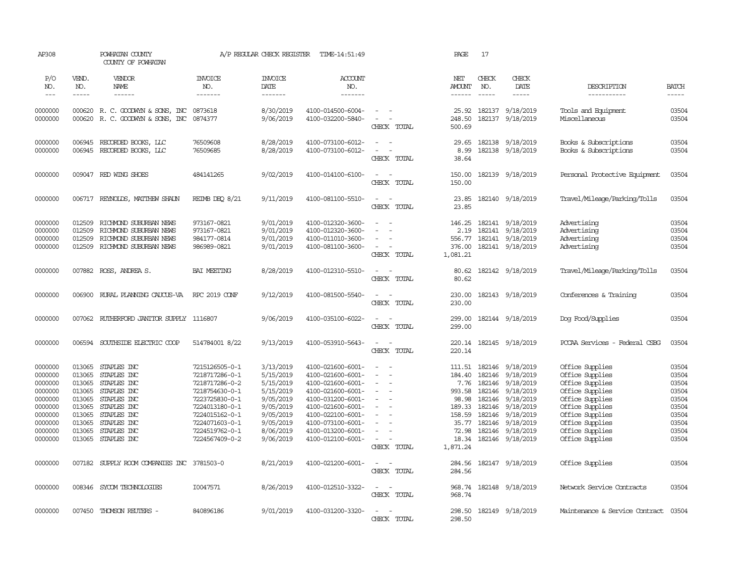| AP308                                    |                                      | POWHATAN COUNTY<br>COUNTY OF POWHATAN                                                                |                                                          | A/P REGULAR CHECK REGISTER                       | TIME-14:51:49                                                                    |                                                           | PAGE                                           | 17                     |                                                                |                                                          |                                  |
|------------------------------------------|--------------------------------------|------------------------------------------------------------------------------------------------------|----------------------------------------------------------|--------------------------------------------------|----------------------------------------------------------------------------------|-----------------------------------------------------------|------------------------------------------------|------------------------|----------------------------------------------------------------|----------------------------------------------------------|----------------------------------|
| P/O<br>NO.                               | VEND.<br>NO.                         | VENDOR<br>NAME                                                                                       | <b>INVOICE</b><br>NO.                                    | <b>INVOICE</b><br>DATE                           | ACCOUNT<br>NO.                                                                   |                                                           | NET<br><b>AMOUNT</b>                           | CHECK<br>NO.           | CHECK<br>DATE                                                  | DESCRIPTION                                              | <b>BATCH</b>                     |
| $\sim$ $\sim$ $\sim$                     | $- - - - -$                          | ------                                                                                               | -------                                                  | $- - - - - - -$                                  | $- - - - - - -$                                                                  |                                                           | $- - - - - -$                                  | $\cdots \cdots \cdots$ | $- - - - -$                                                    | -----------                                              | -----                            |
| 0000000<br>0000000                       | 000620                               | 000620 R. C. GOODWIN & SONS, INC<br>R. C. GOODWIN & SONS, INC                                        | 0873618<br>0874377                                       | 8/30/2019<br>9/06/2019                           | 4100-014500-6004-<br>4100-032200-5840-                                           | $\sim$<br>$\equiv$                                        | 25.92<br>248.50                                | 182137                 | 182137 9/18/2019<br>9/18/2019                                  | Tools and Equipment<br>Miscellaneous                     | 03504<br>03504                   |
|                                          |                                      |                                                                                                      |                                                          |                                                  |                                                                                  | CHECK TOTAL                                               | 500.69                                         |                        |                                                                |                                                          |                                  |
| 0000000                                  | 006945                               | RECORDED BOOKS, LLC                                                                                  | 76509608                                                 | 8/28/2019                                        | 4100-073100-6012-                                                                | $\sim$<br>- 1                                             | 29.65                                          | 182138                 | 9/18/2019                                                      | Books & Subscriptions                                    | 03504                            |
| 0000000                                  | 006945                               | RECORDED BOOKS, LLC                                                                                  | 76509685                                                 | 8/28/2019                                        | 4100-073100-6012-                                                                | $\sim$<br>$\overline{\phantom{a}}$<br>CHECK TOTAL         | 8.99<br>38.64                                  |                        | 182138 9/18/2019                                               | Books & Subscriptions                                    | 03504                            |
| 0000000                                  |                                      | 009047 RED WING SHOES                                                                                | 484141265                                                | 9/02/2019                                        | 4100-014100-6100-                                                                | $\sim$<br>$\sim$<br>CHECK TOTAL                           | 150.00<br>150.00                               |                        | 182139 9/18/2019                                               | Personal Protective Equipment                            | 03504                            |
| 0000000                                  |                                      | 006717 REYNOLDS, MATTHEW SHALN                                                                       | REIMB DEO 8/21                                           | 9/11/2019                                        | 4100-081100-5510-                                                                | $\sim$<br>$\sim$<br>CHECK TOTAL                           | 23.85<br>23.85                                 |                        | 182140 9/18/2019                                               | Travel/Mileage/Parking/Tolls                             | 03504                            |
| 0000000<br>0000000<br>0000000<br>0000000 | 012509<br>012509<br>012509<br>012509 | RICHMOND SUBURBAN NEWS<br>RICHMOND SUBURBAN NEWS<br>RICHMOND SUBURBAN NEWS<br>RICHMOND SUBURBAN NEWS | 973167-0821<br>973167-0821<br>984177-0814<br>986989-0821 | 9/01/2019<br>9/01/2019<br>9/01/2019<br>9/01/2019 | 4100-012320-3600-<br>4100-012320-3600-<br>4100-011010-3600-<br>4100-081100-3600- | $\sim$<br>$\sim$<br>÷.<br>$\sim$<br>$\sim$<br>CHECK TOTAL | 146.25<br>2.19<br>556.77<br>376.00<br>1,081.21 | 182141<br>182141       | 182141 9/18/2019<br>9/18/2019<br>9/18/2019<br>182141 9/18/2019 | Advertising<br>Advertising<br>Advertising<br>Advertising | 03504<br>03504<br>03504<br>03504 |
| 0000000                                  |                                      | 007882 ROSS, ANDREA S.                                                                               | <b>BAI MEETING</b>                                       | 8/28/2019                                        | 4100-012310-5510-                                                                | $\sim$<br>$\sim$<br>CHECK TOTAL                           | 80.62<br>80.62                                 |                        | 182142 9/18/2019                                               | Travel/Mileage/Parking/Tolls                             | 03504                            |
| 0000000                                  | 006900                               | RURAL PLANNING CAUCUS-VA                                                                             | RPC 2019 CONF                                            | 9/12/2019                                        | 4100-081500-5540-                                                                | $\sim$<br>- -<br>CHECK TOTAL                              | 230.00<br>230.00                               |                        | 182143 9/18/2019                                               | Conferences & Training                                   | 03504                            |
| 0000000                                  |                                      | 007062 RUIHERFORD JANITOR SUPPLY 1116807                                                             |                                                          | 9/06/2019                                        | 4100-035100-6022-                                                                | $\overline{\phantom{a}}$<br>$\sim$<br>CHECK TOTAL         | 299.00<br>299.00                               |                        | 182144 9/18/2019                                               | Dog Food/Supplies                                        | 03504                            |
| 0000000                                  |                                      | 006594 SOUTHSIDE ELECTRIC COOP                                                                       | 514784001 8/22                                           | 9/13/2019                                        | 4100-053910-5643-                                                                | $\sim$<br>$\sim$<br>CHECK TOTAL                           | 220.14                                         |                        | 220.14 182145 9/18/2019                                        | PCCAA Services - Federal CSBG                            | 03504                            |
| 0000000                                  | 013065                               | STAPLES INC                                                                                          | 7215126505-0-1                                           | 3/13/2019                                        | 4100-021600-6001-                                                                |                                                           |                                                | 111.51 182146          | 9/18/2019                                                      | Office Supplies                                          | 03504                            |
| 0000000<br>0000000                       | 013065<br>013065                     | STAPLES INC<br>STAPLES INC                                                                           | 7218717286-0-1<br>7218717286-0-2                         | 5/15/2019<br>5/15/2019                           | 4100-021600-6001-<br>4100-021600-6001-                                           | $\sim$<br>$\sim$<br>$\sim$                                | 184.40<br>7.76                                 | 182146<br>182146       | 9/18/2019<br>9/18/2019                                         | Office Supplies<br>Office Supplies                       | 03504<br>03504                   |
| 0000000                                  | 013065                               | STAPLES INC                                                                                          | 7218754630-0-1                                           | 5/15/2019                                        | 4100-021600-6001-                                                                | $\sim$                                                    | 993.58                                         | 182146                 | 9/18/2019                                                      | Office Supplies                                          | 03504                            |
| 0000000                                  | 013065                               | STAPLES INC                                                                                          | 7223725830-0-1                                           | 9/05/2019                                        | 4100-031200-6001-                                                                | $\sim$                                                    | 98.98                                          | 182146                 | 9/18/2019                                                      | Office Supplies                                          | 03504                            |
| 0000000                                  | 013065                               | STAPLES INC                                                                                          | 7224013180-0-1                                           | 9/05/2019                                        | 4100-021600-6001-                                                                | $\sim$                                                    | 189.33                                         | 182146                 | 9/18/2019                                                      | Office Supplies                                          | 03504                            |
| 0000000                                  | 013065                               | STAPLES INC                                                                                          | 7224015162-0-1                                           | 9/05/2019                                        | 4100-022100-6001-                                                                | $\sim$                                                    | 158.59                                         | 182146                 | 9/18/2019                                                      | Office Supplies                                          | 03504                            |
| 0000000                                  | 013065                               | STAPLES INC                                                                                          | 7224071603-0-1                                           | 9/05/2019                                        | 4100-073100-6001-                                                                | $\overline{\phantom{a}}$                                  | 35.77                                          | 182146                 | 9/18/2019                                                      | Office Supplies                                          | 03504                            |
| 0000000                                  | 013065                               | STAPLES INC                                                                                          | 7224519762-0-1                                           | 8/06/2019                                        | 4100-013200-6001-                                                                | $\equiv$                                                  | 72.98                                          | 182146                 | 9/18/2019                                                      | Office Supplies                                          | 03504                            |
| 0000000                                  |                                      | 013065 STAPLES INC                                                                                   | 7224567409-0-2                                           | 9/06/2019                                        | 4100-012100-6001-                                                                | $\overline{\phantom{a}}$<br>CHECK TOTAL                   | 18.34<br>1,871.24                              | 182146                 | 9/18/2019                                                      | Office Supplies                                          | 03504                            |
| 0000000                                  |                                      | 007182 SUPPLY ROOM COMPANIES INC 3781503-0                                                           |                                                          | 8/21/2019                                        | 4100-021200-6001-                                                                | $\sim$<br>$\sim$<br>CHECK TOTAL                           | 284.56<br>284.56                               |                        | 182147 9/18/2019                                               | Office Supplies                                          | 03504                            |
| 0000000                                  |                                      | 008346 SYCOM TECHNOLOGIES                                                                            | I0047571                                                 | 8/26/2019                                        | 4100-012510-3322-                                                                | $\sim$<br>$\sim$<br>CHECK TOTAL                           | 968.74                                         |                        | 968.74 182148 9/18/2019                                        | Network Service Contracts                                | 03504                            |
| 0000000                                  |                                      | 007450 THOMSON REUTERS -                                                                             | 840896186                                                | 9/01/2019                                        | 4100-031200-3320-                                                                | $\sim$<br>- 11<br>CHECK TOTAL                             | 298.50                                         |                        | 298.50 182149 9/18/2019                                        | Maintenance & Service Contract 03504                     |                                  |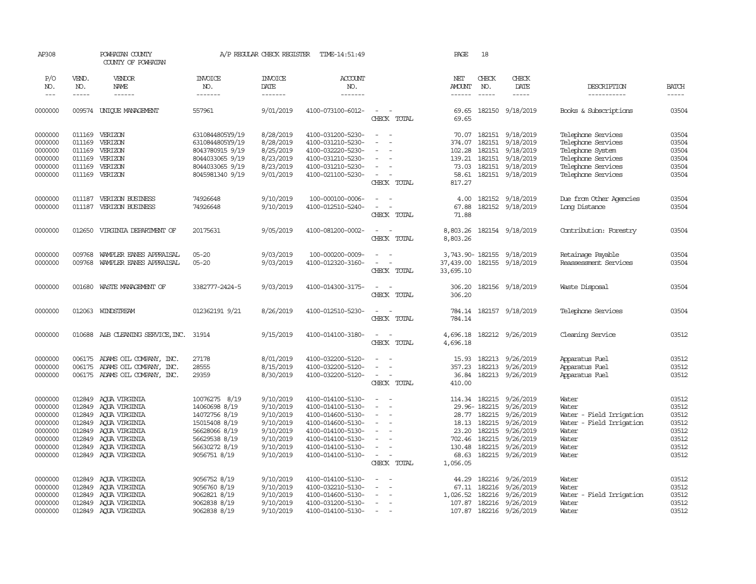| AP308                                                                                |                                                                    | POWHATAN COUNTY<br>COUNTY OF POWHATAN                                                                                                       |                                                                                                                                     | A/P REGULAR CHECK REGISTER                                                                           | TIME-14:51:49                                                                                                                                                        |                                                                                                                                                         | PAGE                                                   | 18               |                                                                                                                                                                                        |                                                                                                                                |                                                                      |
|--------------------------------------------------------------------------------------|--------------------------------------------------------------------|---------------------------------------------------------------------------------------------------------------------------------------------|-------------------------------------------------------------------------------------------------------------------------------------|------------------------------------------------------------------------------------------------------|----------------------------------------------------------------------------------------------------------------------------------------------------------------------|---------------------------------------------------------------------------------------------------------------------------------------------------------|--------------------------------------------------------|------------------|----------------------------------------------------------------------------------------------------------------------------------------------------------------------------------------|--------------------------------------------------------------------------------------------------------------------------------|----------------------------------------------------------------------|
| P/O<br>NO.                                                                           | VEND.<br>NO.                                                       | VENDOR<br>NAME                                                                                                                              | <b>INVOICE</b><br>NO.                                                                                                               | <b>INVOICE</b><br>DATE                                                                               | <b>ACCOUNT</b><br>NO.                                                                                                                                                |                                                                                                                                                         | NET<br><b>AMOUNT</b>                                   | CHECK<br>NO.     | CHECK<br>DATE                                                                                                                                                                          | DESCRIPTION                                                                                                                    | <b>BATCH</b>                                                         |
| $---$                                                                                | -----                                                              | ------                                                                                                                                      | -------                                                                                                                             | --------                                                                                             | -------                                                                                                                                                              |                                                                                                                                                         |                                                        | $\frac{1}{2}$    | -----                                                                                                                                                                                  | -----------                                                                                                                    |                                                                      |
| 0000000                                                                              |                                                                    | 009574 UNIQUE MANAGEMENT                                                                                                                    | 557961                                                                                                                              | 9/01/2019                                                                                            | 4100-073100-6012-                                                                                                                                                    | $\sim$<br>CHECK TOTAL                                                                                                                                   | 69.65<br>69.65                                         |                  | 182150 9/18/2019                                                                                                                                                                       | Books & Subscriptions                                                                                                          | 03504                                                                |
| 0000000<br>0000000<br>0000000<br>0000000<br>0000000<br>0000000                       | 011169<br>011169<br>011169<br>011169<br>011169                     | 011169 VERIZON<br>VERIZON<br>VERIZON<br>VERIZON<br>VERIZON<br>VERIZON                                                                       | 6310844805Y9/19<br>6310844805Y9/19<br>8043780915 9/19<br>8044033065 9/19<br>8044033065 9/19<br>8045981340 9/19                      | 8/28/2019<br>8/28/2019<br>8/25/2019<br>8/23/2019<br>8/23/2019<br>9/01/2019                           | 4100-031200-5230-<br>4100-031210-5230-<br>4100-032220-5230-<br>4100-031210-5230-<br>4100-031210-5230-<br>4100-021100-5230-                                           | $\sim$<br>$\sim$<br>$\blacksquare$<br>$\equiv$<br>$\sim$<br>CHECK TOTAL                                                                                 | 374.07<br>102.28<br>139.21<br>73.03<br>58.61<br>817.27 | 182151<br>182151 | 70.07 182151 9/18/2019<br>9/18/2019<br>9/18/2019<br>182151 9/18/2019<br>182151 9/18/2019<br>182151 9/18/2019                                                                           | Telephone Services<br>Telephone Services<br>Telephone System<br>Telephone Services<br>Telephone Services<br>Telephone Services | 03504<br>03504<br>03504<br>03504<br>03504<br>03504                   |
| 0000000<br>0000000                                                                   | 011187<br>011187                                                   | VERIZON BUSINESS<br>VERIZON BUSINESS                                                                                                        | 74926648<br>74926648                                                                                                                | 9/10/2019<br>9/10/2019                                                                               | 100-000100-0006-<br>4100-012510-5240-                                                                                                                                | $\sim$<br>$\sim$<br>$\overline{\phantom{a}}$<br>CHECK TOTAL                                                                                             | 4.00<br>67.88<br>71.88                                 |                  | 182152 9/18/2019<br>182152 9/18/2019                                                                                                                                                   | Due from Other Agencies<br>Long Distance                                                                                       | 03504<br>03504                                                       |
| 0000000                                                                              | 012650                                                             | VIRGINIA DEPARIMENT OF                                                                                                                      | 20175631                                                                                                                            | 9/05/2019                                                                                            | 4100-081200-0002-                                                                                                                                                    | $\sim$<br>$\sim$<br>CHECK TOTAL                                                                                                                         | 8,803.26<br>8,803.26                                   |                  | 182154 9/18/2019                                                                                                                                                                       | Contribution: Forestry                                                                                                         | 03504                                                                |
| 0000000<br>0000000                                                                   | 009768<br>009768                                                   | WAMPLER EANES APPRAISAL<br>WAMPLER EANES APPRAISAL                                                                                          | $05 - 20$<br>$05 - 20$                                                                                                              | 9/03/2019<br>9/03/2019                                                                               | 100-000200-0009-<br>4100-012320-3160-                                                                                                                                | $\sim$<br>CHECK TOTAL                                                                                                                                   | 33,695.10                                              |                  | 3,743.90-182155 9/18/2019<br>37,439.00 182155 9/18/2019                                                                                                                                | Retainage Payable<br>Reassessment Services                                                                                     | 03504<br>03504                                                       |
| 0000000                                                                              | 001680                                                             | WASTE MANAGEMENT OF                                                                                                                         | 3382777-2424-5                                                                                                                      | 9/03/2019                                                                                            | 4100-014300-3175-                                                                                                                                                    | $\overline{\phantom{a}}$<br>$\sim$<br>CHECK TOTAL                                                                                                       | 306.20<br>306.20                                       |                  | 182156 9/18/2019                                                                                                                                                                       | Waste Disposal                                                                                                                 | 03504                                                                |
| 0000000                                                                              | 012063                                                             | WINDSTREAM                                                                                                                                  | 012362191 9/21                                                                                                                      | 8/26/2019                                                                                            | 4100-012510-5230-                                                                                                                                                    | $\overline{\phantom{a}}$<br>CHECK TOTAL                                                                                                                 | 784.14<br>784.14                                       |                  | 182157 9/18/2019                                                                                                                                                                       | Telephone Services                                                                                                             | 03504                                                                |
| 0000000                                                                              |                                                                    | 010688 A&B CLEANING SERVICE, INC. 31914                                                                                                     |                                                                                                                                     | 9/15/2019                                                                                            | 4100-014100-3180-                                                                                                                                                    | $\sim$<br>$\sim$<br>CHECK TOTAL                                                                                                                         | 4,696.18<br>4,696.18                                   |                  | 182212 9/26/2019                                                                                                                                                                       | Cleaning Service                                                                                                               | 03512                                                                |
| 0000000<br>0000000<br>0000000                                                        |                                                                    | 006175 ADAMS OIL COMPANY, INC.<br>006175 ADAMS OIL COMPANY, INC.<br>006175 ADAMS OIL COMPANY, INC.                                          | 27178<br>28555<br>29359                                                                                                             | 8/01/2019<br>8/15/2019<br>8/30/2019                                                                  | 4100-032200-5120-<br>4100-032200-5120-<br>4100-032200-5120-                                                                                                          | $\equiv$<br>CHECK TOTAL                                                                                                                                 | 15.93<br>357.23<br>36.84<br>410.00                     |                  | 182213 9/26/2019<br>182213 9/26/2019<br>182213 9/26/2019                                                                                                                               | Apparatus Fuel<br>Apparatus Fuel<br>Apparatus Fuel                                                                             | 03512<br>03512<br>03512                                              |
| 0000000<br>0000000<br>0000000<br>0000000<br>0000000<br>0000000<br>0000000<br>0000000 | 012849<br>012849<br>012849<br>012849<br>012849<br>012849<br>012849 | AQUA VIRGINIA<br>ACUA VIRGINIA<br>AQUA VIRGINIA<br>AQUA VIRGINIA<br>AQUA VIRGINIA<br>AQUA VIRGINIA<br>AQUA VIRGINIA<br>012849 AQUA VIRGINIA | 10076275 8/19<br>14060698 8/19<br>14072756 8/19<br>15015408 8/19<br>56628066 8/19<br>56629538 8/19<br>56630272 8/19<br>9056751 8/19 | 9/10/2019<br>9/10/2019<br>9/10/2019<br>9/10/2019<br>9/10/2019<br>9/10/2019<br>9/10/2019<br>9/10/2019 | 4100-014100-5130-<br>4100-014100-5130-<br>4100-014600-5130-<br>4100-014600-5130-<br>4100-014100-5130-<br>4100-014100-5130-<br>4100-014100-5130-<br>4100-014100-5130- | $\overline{\phantom{a}}$<br>$\sim$<br>$\blacksquare$<br>$\overline{\phantom{a}}$<br>$\overline{\phantom{a}}$<br>$\sim$<br>$\sim$ $ \sim$<br>CHECK TOTAL | 18.13<br>23.20<br>130.48<br>68.63<br>1,056.05          |                  | 114.34 182215 9/26/2019<br>29.96-182215 9/26/2019<br>28.77 182215 9/26/2019<br>182215 9/26/2019<br>182215 9/26/2019<br>702.46 182215 9/26/2019<br>182215 9/26/2019<br>182215 9/26/2019 | Water<br>Water<br>Water - Field Irrigation<br>Water - Field Irrigation<br>Water<br>Water<br>Water<br>Water                     | 03512<br>03512<br>03512<br>03512<br>03512<br>03512<br>03512<br>03512 |
| 0000000<br>0000000<br>0000000<br>0000000<br>0000000                                  | 012849<br>012849<br>012849                                         | AQUA VIRGINIA<br>AQUA VIRGINIA<br>AOUA VIRGINIA<br>012849 AQUA VIRGINIA<br>012849 ACUA VIRGINIA                                             | 9056752 8/19<br>9056760 8/19<br>9062821 8/19<br>9062838 8/19<br>9062838 8/19                                                        | 9/10/2019<br>9/10/2019<br>9/10/2019<br>9/10/2019<br>9/10/2019                                        | 4100-014100-5130-<br>4100-032210-5130-<br>4100-014600-5130-<br>4100-031200-5130-<br>4100-014100-5130-                                                                | $\equiv$<br>$\overline{\phantom{a}}$<br>$\overline{\phantom{0}}$                                                                                        | 44.29<br>67.11<br>1,026.52                             |                  | 182216 9/26/2019<br>182216 9/26/2019<br>182216 9/26/2019<br>107.87 182216 9/26/2019<br>107.87 182216 9/26/2019                                                                         | Water<br>Water<br>Water - Field Irrigation<br>Water<br>Water                                                                   | 03512<br>03512<br>03512<br>03512<br>03512                            |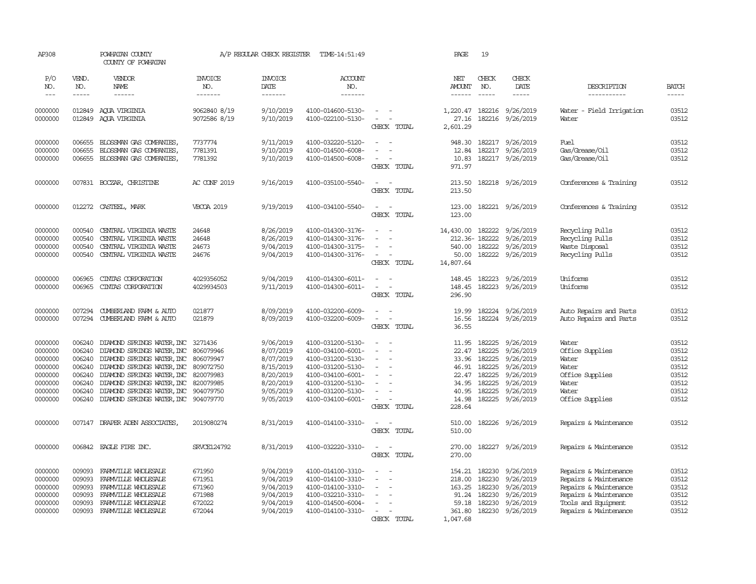| AP308              |                  | POWHATAN COUNTY<br>COUNTY OF POWHATAN                                        |                       | A/P REGULAR CHECK REGISTER | TIME-14:51:49                          |                                                                                                              | PAGE                 | 19            |                               |                          |                |
|--------------------|------------------|------------------------------------------------------------------------------|-----------------------|----------------------------|----------------------------------------|--------------------------------------------------------------------------------------------------------------|----------------------|---------------|-------------------------------|--------------------------|----------------|
| P/O<br>NO.         | VEND.<br>NO.     | VENDOR<br>NAME                                                               | <b>INVOICE</b><br>NO. | <b>INVOICE</b><br>DATE     | ACCOUNT<br>NO.                         |                                                                                                              | NET<br><b>AMOUNT</b> | CHECK<br>NO.  | CHECK<br>DATE                 | DESCRIPTION              | <b>BATCH</b>   |
| $\frac{1}{2}$      | -----            | ------                                                                       | -------               | -------                    | -------                                |                                                                                                              | ------               |               | $- - - - -$                   | -----------              | $- - - - -$    |
| 0000000            |                  | 012849 AQUA VIRGINIA                                                         | 9062840 8/19          | 9/10/2019                  | 4100-014600-5130-                      | $\frac{1}{2} \left( \frac{1}{2} \right) \left( \frac{1}{2} \right) = \frac{1}{2} \left( \frac{1}{2} \right)$ | 1,220.47             |               | 182216 9/26/2019              | Water - Field Irrigation | 03512          |
| 0000000            | 012849           | AQUA VIRGINIA                                                                | 9072586 8/19          | 9/10/2019                  | 4100-022100-5130-                      | $\sim$                                                                                                       | 27.16                | 182216        | 9/26/2019                     | Water                    | 03512          |
|                    |                  |                                                                              |                       |                            |                                        | CHECK TOTAL                                                                                                  | 2,601.29             |               |                               |                          |                |
| 0000000            | 006655           | BLOSSMAN GAS COMPANIES                                                       | 7737774               | 9/11/2019                  | 4100-032220-5120-                      | $\sim$                                                                                                       | 948.30               |               | 182217 9/26/2019              | Fuel                     | 03512          |
| 0000000            | 006655           | BLOSSMAN GAS COMPANIES,                                                      | 7781391               | 9/10/2019                  | 4100-014500-6008-                      | $\equiv$                                                                                                     | 12.84                | 182217        | 9/26/2019                     | Gas/Grease/Oil           | 03512          |
| 0000000            | 006655           | BLOSSMAN GAS COMPANIES,                                                      | 7781392               | 9/10/2019                  | 4100-014500-6008-                      | $\overline{\phantom{a}}$                                                                                     | 10.83                |               | 182217 9/26/2019              | Gas/Grease/Oil           | 03512          |
|                    |                  |                                                                              |                       |                            |                                        | CHECK TOTAL                                                                                                  | 971.97               |               |                               |                          |                |
| 0000000            |                  | 007831 BOCZAR, CHRISTINE                                                     | AC CONF 2019          | 9/16/2019                  | 4100-035100-5540-                      | $\overline{\phantom{a}}$                                                                                     | 213.50               |               | 182218 9/26/2019              | Conferences & Training   | 03512          |
|                    |                  |                                                                              |                       |                            |                                        | CHECK TOTAL                                                                                                  | 213.50               |               |                               |                          |                |
| 0000000            | 012272           |                                                                              | <b>VBCOA 2019</b>     | 9/19/2019                  | 4100-034100-5540-                      | $\overline{\phantom{a}}$                                                                                     | 123.00               |               | 182221 9/26/2019              |                          | 03512          |
|                    |                  | CASTEEL, MARK                                                                |                       |                            |                                        | CHECK TOTAL                                                                                                  | 123.00               |               |                               | Conferences & Training   |                |
|                    |                  |                                                                              |                       |                            |                                        |                                                                                                              |                      |               |                               |                          |                |
| 0000000            | 000540           | CENTRAL VIRGINIA WASTE                                                       | 24648                 | 8/26/2019                  | 4100-014300-3176-                      | $\sim$                                                                                                       | 14,430.00            | 182222        | 9/26/2019                     | Recycling Pulls          | 03512          |
| 0000000            | 000540           | CENTRAL VIRGINIA WASTE                                                       | 24648                 | 8/26/2019                  | 4100-014300-3176-                      |                                                                                                              |                      | 212.36-182222 | 9/26/2019                     | Recycling Pulls          | 03512          |
| 0000000            | 000540           | CENTRAL VIRGINIA WASTE                                                       | 24673                 | 9/04/2019                  | 4100-014300-3175-                      |                                                                                                              | 540.00               | 182222        | 9/26/2019                     | Waste Disposal           | 03512          |
| 0000000            | 000540           | CENTRAL VIRGINIA WASTE                                                       | 24676                 | 9/04/2019                  | 4100-014300-3176-                      | CHECK TOTAL                                                                                                  | 50.00<br>14,807.64   |               | 182222 9/26/2019              | Recycling Pulls          | 03512          |
|                    |                  |                                                                              |                       |                            |                                        |                                                                                                              |                      |               |                               |                          |                |
| 0000000            | 006965           | CINIAS CORPORATION                                                           | 4029356052            | 9/04/2019                  | 4100-014300-6011-                      |                                                                                                              | 148.45               | 182223        | 9/26/2019                     | Uniforms                 | 03512          |
| 0000000            | 006965           | CINIAS CORPORATION                                                           | 4029934503            | 9/11/2019                  | 4100-014300-6011-                      | $\sim$<br>$\sim$                                                                                             | 148.45               |               | 182223 9/26/2019              | Uniforms                 | 03512          |
|                    |                  |                                                                              |                       |                            |                                        | CHECK TOTAL                                                                                                  | 296.90               |               |                               |                          |                |
| 0000000            | 007294           | CUMBERLAND FARM & AUTO                                                       | 021877                | 8/09/2019                  | 4100-032200-6009-                      | $\sim$                                                                                                       | 19.99                |               | 182224 9/26/2019              | Auto Repairs and Parts   | 03512          |
| 0000000            | 007294           | CUMBERLAND FARM & AUTO                                                       | 021879                | 8/09/2019                  | 4100-032200-6009-                      | $\sim$                                                                                                       | 16.56                |               | 182224 9/26/2019              | Auto Repairs and Parts   | 03512          |
|                    |                  |                                                                              |                       |                            |                                        | CHECK TOTAL                                                                                                  | 36.55                |               |                               |                          |                |
| 0000000            | 006240           | DIAMOND SPRINGS WATER, INC 3271436                                           |                       | 9/06/2019                  | 4100-031200-5130-                      | $\equiv$                                                                                                     | 11.95                | 182225        | 9/26/2019                     | Water                    | 03512          |
| 0000000            | 006240           | DIAMOND SPRINGS WATER, INC 806079946                                         |                       | 8/07/2019                  | 4100-034100-6001-                      | $\equiv$                                                                                                     | 22.47                | 182225        | 9/26/2019                     | Office Supplies          | 03512          |
| 0000000            | 006240           | DIAMOND SPRINGS WATER, INC 806079947                                         |                       | 8/07/2019                  | 4100-031200-5130-                      |                                                                                                              | 33.96                | 182225        | 9/26/2019                     | Water                    | 03512          |
| 0000000            | 006240           | DIAMOND SPRINGS WATER, INC 809072750                                         |                       | 8/15/2019                  | 4100-031200-5130-                      |                                                                                                              | 46.91                | 182225        | 9/26/2019                     | Water                    | 03512          |
| 0000000            | 006240           | DIAMOND SPRINGS WATER, INC 820079983                                         |                       | 8/20/2019                  | 4100-034100-6001-                      | $\overline{\phantom{a}}$                                                                                     |                      | 22.47 182225  | 9/26/2019                     | Office Supplies          | 03512          |
| 0000000            | 006240           | DIAMOND SPRINGS WATER, INC 820079985                                         |                       | 8/20/2019                  | 4100-031200-5130-                      | $\sim$                                                                                                       | 34.95                | 182225        | 9/26/2019                     | Water                    | 03512          |
| 0000000<br>0000000 | 006240<br>006240 | DIAMOND SPRINGS WATER, INC 904079750<br>DIAMOND SPRINGS WATER, INC 904079770 |                       | 9/05/2019<br>9/05/2019     | 4100-031200-5130-<br>4100-034100-6001- | $\overline{\phantom{a}}$                                                                                     | 40.95<br>14.98       | 182225        | 9/26/2019<br>182225 9/26/2019 | Water<br>Office Supplies | 03512<br>03512 |
|                    |                  |                                                                              |                       |                            |                                        | CHECK TOTAL                                                                                                  | 228.64               |               |                               |                          |                |
|                    |                  |                                                                              |                       |                            |                                        |                                                                                                              |                      |               |                               |                          |                |
| 0000000            | 007147           | DRAPER ADEN ASSOCIATES,                                                      | 2019080274            | 8/31/2019                  | 4100-014100-3310-                      | $\sim$<br>$\sim$<br>CHECK TOTAL                                                                              | 510.00<br>510.00     |               | 182226 9/26/2019              | Repairs & Maintenance    | 03512          |
|                    |                  |                                                                              |                       |                            |                                        |                                                                                                              |                      |               |                               |                          |                |
| 0000000            |                  | 006842 EAGLE FIRE INC.                                                       | <b>SRVCE124792</b>    | 8/31/2019                  | 4100-032220-3310-                      | $\equiv$                                                                                                     | 270.00               |               | 182227 9/26/2019              | Repairs & Maintenance    | 03512          |
|                    |                  |                                                                              |                       |                            |                                        | CHECK TOTAL                                                                                                  | 270.00               |               |                               |                          |                |
| 0000000            | 009093           | FARMVILLE WHOLESALE                                                          | 671950                | 9/04/2019                  | 4100-014100-3310-                      | $\equiv$                                                                                                     | 154.21               | 182230        | 9/26/2019                     | Repairs & Maintenance    | 03512          |
| 0000000            | 009093           | FARMVILLE WHOLESALE                                                          | 671951                | 9/04/2019                  | 4100-014100-3310-                      |                                                                                                              | 218.00               |               | 182230 9/26/2019              | Repairs & Maintenance    | 03512          |
| 0000000            | 009093           | FARMVILLE WHOLESALE                                                          | 671960                | 9/04/2019                  | 4100-014100-3310-                      |                                                                                                              |                      | 163.25 182230 | 9/26/2019                     | Repairs & Maintenance    | 03512          |
| 0000000            | 009093           | FARMVILLE WHOLESALE                                                          | 671988                | 9/04/2019                  | 4100-032210-3310-                      |                                                                                                              | 91.24                | 182230        | 9/26/2019                     | Repairs & Maintenance    | 03512          |
| 0000000            | 009093           | FARMVILLE WHOLESALE                                                          | 672022                | 9/04/2019                  | 4100-014500-6004-                      |                                                                                                              | 59.18                | 182230        | 9/26/2019                     | Tools and Equipment      | 03512          |
| 0000000            | 009093           | FARMVILLE WHOLESALE                                                          | 672044                | 9/04/2019                  | 4100-014100-3310-                      | $\equiv$<br>CHECK TOTAL                                                                                      | 361.80<br>1,047.68   |               | 182230 9/26/2019              | Repairs & Maintenance    | 03512          |
|                    |                  |                                                                              |                       |                            |                                        |                                                                                                              |                      |               |                               |                          |                |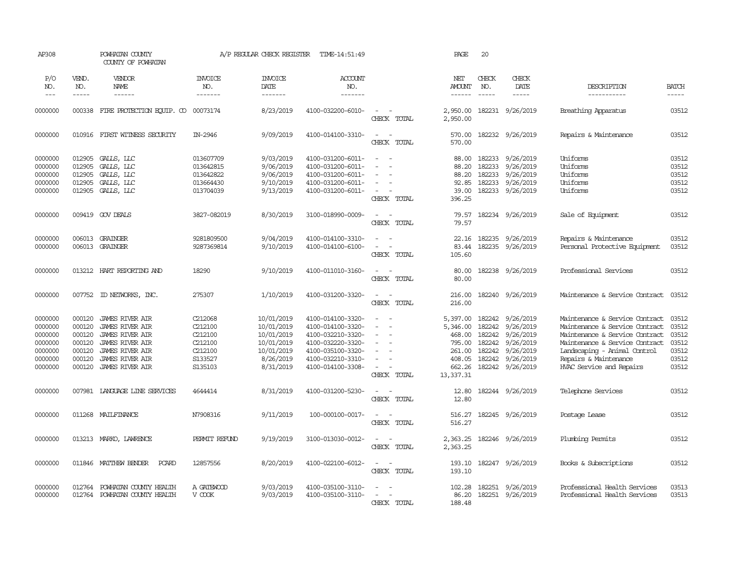| AP308                                                                     |                                                                    | POWHATAN COUNTY<br>COUNTY OF POWHATAN                                                                                                                                |                                                                           | A/P REGULAR CHECK REGISTER                                                                   | TIME-14:51:49                                                                                                                                   |                                                                      | PAGE                                                                                | 20                                                                                                                                                                                                                                                                                                                                                                                                           |                                                                                                |                                                                                                                                                                                                                           |                                                             |
|---------------------------------------------------------------------------|--------------------------------------------------------------------|----------------------------------------------------------------------------------------------------------------------------------------------------------------------|---------------------------------------------------------------------------|----------------------------------------------------------------------------------------------|-------------------------------------------------------------------------------------------------------------------------------------------------|----------------------------------------------------------------------|-------------------------------------------------------------------------------------|--------------------------------------------------------------------------------------------------------------------------------------------------------------------------------------------------------------------------------------------------------------------------------------------------------------------------------------------------------------------------------------------------------------|------------------------------------------------------------------------------------------------|---------------------------------------------------------------------------------------------------------------------------------------------------------------------------------------------------------------------------|-------------------------------------------------------------|
| P/O<br>NO.<br>$---$                                                       | VEND.<br>NO.<br>-----                                              | <b>VENDOR</b><br>NAME<br>$- - - - - -$                                                                                                                               | <b>INVOICE</b><br>NO.<br>-------                                          | <b>INVOICE</b><br>DATE<br>-------                                                            | <b>ACCOUNT</b><br>NO.<br>-------                                                                                                                |                                                                      | NET<br>AMOUNT<br>------                                                             | CHECK<br>NO.<br>$\frac{1}{2} \frac{1}{2} \frac{1}{2} \frac{1}{2} \frac{1}{2} \frac{1}{2} \frac{1}{2} \frac{1}{2} \frac{1}{2} \frac{1}{2} \frac{1}{2} \frac{1}{2} \frac{1}{2} \frac{1}{2} \frac{1}{2} \frac{1}{2} \frac{1}{2} \frac{1}{2} \frac{1}{2} \frac{1}{2} \frac{1}{2} \frac{1}{2} \frac{1}{2} \frac{1}{2} \frac{1}{2} \frac{1}{2} \frac{1}{2} \frac{1}{2} \frac{1}{2} \frac{1}{2} \frac{1}{2} \frac{$ | CHECK<br>DATE<br>-----                                                                         | DESCRIPTION<br>-----------                                                                                                                                                                                                | <b>BATCH</b><br>-----                                       |
| 0000000                                                                   | 000338                                                             | FIRE PROTECTION EQUIP. CO                                                                                                                                            | 00073174                                                                  | 8/23/2019                                                                                    | 4100-032200-6010-                                                                                                                               | $\sim$<br>CHECK TOTAL                                                | 2,950.00<br>2,950.00                                                                |                                                                                                                                                                                                                                                                                                                                                                                                              | 182231 9/26/2019                                                                               | Breathing Apparatus                                                                                                                                                                                                       | 03512                                                       |
| 0000000                                                                   | 010916                                                             | FIRST WITNESS SECURITY                                                                                                                                               | IN-2946                                                                   | 9/09/2019                                                                                    | 4100-014100-3310-                                                                                                                               | $\sim$<br>CHECK TOTAL                                                | 570.00<br>570.00                                                                    |                                                                                                                                                                                                                                                                                                                                                                                                              | 182232 9/26/2019                                                                               | Repairs & Maintenance                                                                                                                                                                                                     | 03512                                                       |
| 0000000<br>0000000<br>0000000<br>0000000<br>0000000                       | 012905<br>012905<br>012905<br>012905<br>012905                     | GALLS, LLC<br>GALLS, LLC<br>GALLS, LLC<br>GALLS, LLC<br>GALLS, LLC                                                                                                   | 013607709<br>013642815<br>013642822<br>013664430<br>013704039             | 9/03/2019<br>9/06/2019<br>9/06/2019<br>9/10/2019<br>9/13/2019                                | 4100-031200-6011-<br>4100-031200-6011-<br>4100-031200-6011-<br>4100-031200-6011-<br>4100-031200-6011-                                           | $\sim$<br>- 1<br>$\equiv$<br>$\overline{\phantom{a}}$<br>CHECK TOTAL | 88.00<br>88.20<br>88.20<br>92.85<br>39.00<br>396.25                                 | 182233<br>182233<br>182233<br>182233<br>182233                                                                                                                                                                                                                                                                                                                                                               | 9/26/2019<br>9/26/2019<br>9/26/2019<br>9/26/2019<br>9/26/2019                                  | Uniforms<br>Uniforms<br>Uniforms<br>Uniforms<br>Uniforms                                                                                                                                                                  | 03512<br>03512<br>03512<br>03512<br>03512                   |
| 0000000                                                                   | 009419                                                             | GOV DEALS                                                                                                                                                            | 3827-082019                                                               | 8/30/2019                                                                                    | 3100-018990-0009-                                                                                                                               | $\sim$<br>CHECK TOTAL                                                | 79.57<br>79.57                                                                      |                                                                                                                                                                                                                                                                                                                                                                                                              | 182234 9/26/2019                                                                               | Sale of Equipment                                                                                                                                                                                                         | 03512                                                       |
| 0000000<br>0000000                                                        | 006013<br>006013                                                   | GRAINGER<br>GRAINGER                                                                                                                                                 | 9281809500<br>9287369814                                                  | 9/04/2019<br>9/10/2019                                                                       | 4100-014100-3310-<br>4100-014100-6100-                                                                                                          | $\equiv$<br>$\sim$<br>$\overline{a}$<br>CHECK TOTAL                  | 22.16<br>83.44<br>105.60                                                            | 182235                                                                                                                                                                                                                                                                                                                                                                                                       | 9/26/2019<br>182235 9/26/2019                                                                  | Repairs & Maintenance<br>Personal Protective Equipment                                                                                                                                                                    | 03512<br>03512                                              |
| 0000000                                                                   | 013212                                                             | HART REPORTING AND                                                                                                                                                   | 18290                                                                     | 9/10/2019                                                                                    | 4100-011010-3160-                                                                                                                               | $\sim$<br>CHECK TOTAL                                                | 80.00<br>80.00                                                                      |                                                                                                                                                                                                                                                                                                                                                                                                              | 182238 9/26/2019                                                                               | Professional Services                                                                                                                                                                                                     | 03512                                                       |
| 0000000                                                                   | 007752                                                             | ID NEIWORKS, INC.                                                                                                                                                    | 275307                                                                    | 1/10/2019                                                                                    | 4100-031200-3320-                                                                                                                               | $\sim$<br>CHECK TOTAL                                                | 216.00<br>216.00                                                                    |                                                                                                                                                                                                                                                                                                                                                                                                              | 182240 9/26/2019                                                                               | Maintenance & Service Contract                                                                                                                                                                                            | 03512                                                       |
| 0000000<br>0000000<br>0000000<br>0000000<br>0000000<br>0000000<br>0000000 | 000120<br>000120<br>000120<br>000120<br>000120<br>000120<br>000120 | <b>JAMES RIVER AIR</b><br><b>JAMES RIVER AIR</b><br><b>JAMES RIVER AIR</b><br>JAMES RIVER AIR<br>JAMES RIVER AIR<br><b>JAMES RIVER AIR</b><br><b>JAMES RIVER AIR</b> | C212068<br>C212100<br>C212100<br>C212100<br>C212100<br>S133527<br>S135103 | 10/01/2019<br>10/01/2019<br>10/01/2019<br>10/01/2019<br>10/01/2019<br>8/26/2019<br>8/31/2019 | 4100-014100-3320-<br>4100-014100-3320-<br>4100-032210-3320-<br>4100-032220-3320-<br>4100-035100-3320-<br>4100-032210-3310-<br>4100-014100-3308- | $\equiv$<br>$\equiv$<br>$\sim$<br>$\equiv$<br>$\sim$<br>CHECK TOTAL  | 5,397.00<br>5,346.00<br>468.00<br>795.00<br>261.00<br>408.05<br>662.26<br>13,337.31 | 182242<br>182242<br>182242<br>182242<br>182242<br>182242                                                                                                                                                                                                                                                                                                                                                     | 9/26/2019<br>9/26/2019<br>9/26/2019<br>9/26/2019<br>9/26/2019<br>9/26/2019<br>182242 9/26/2019 | Maintenance & Service Contract<br>Maintenance & Service Contract<br>Maintenance & Service Contract<br>Maintenance & Service Contract<br>Landscaping - Animal Control<br>Repairs & Maintenance<br>HVAC Service and Repairs | 03512<br>03512<br>03512<br>03512<br>03512<br>03512<br>03512 |
| 0000000                                                                   |                                                                    | 007981 LANGUAGE LINE SERVICES                                                                                                                                        | 4644414                                                                   | 8/31/2019                                                                                    | 4100-031200-5230-                                                                                                                               | $\sim$<br>CHECK TOTAL                                                | 12.80<br>12.80                                                                      |                                                                                                                                                                                                                                                                                                                                                                                                              | 182244 9/26/2019                                                                               | Telephone Services                                                                                                                                                                                                        | 03512                                                       |
| 0000000                                                                   |                                                                    | 011268 MAILFINANCE                                                                                                                                                   | N7908316                                                                  | 9/11/2019                                                                                    | 100-000100-0017-                                                                                                                                | $\sim$<br>$\sim$ $-$<br>CHECK TOTAL                                  | 516.27<br>516.27                                                                    |                                                                                                                                                                                                                                                                                                                                                                                                              | 182245 9/26/2019                                                                               | Postage Lease                                                                                                                                                                                                             | 03512                                                       |
| 0000000                                                                   |                                                                    | 013213 MARKO, LAWRENCE                                                                                                                                               | PERMIT REFUND                                                             | 9/19/2019                                                                                    | 3100-013030-0012-                                                                                                                               | $\sim$ $ \sim$<br>CHECK TOTAL                                        | 2,363.25<br>2,363.25                                                                |                                                                                                                                                                                                                                                                                                                                                                                                              | 182246 9/26/2019                                                                               | Plumbing Permits                                                                                                                                                                                                          | 03512                                                       |
| 0000000                                                                   | 011846                                                             | MATTHEW BENDER<br><b>PCARD</b>                                                                                                                                       | 12857556                                                                  | 8/20/2019                                                                                    | 4100-022100-6012-                                                                                                                               | $\sim$ $-$<br>$\sim$<br>CHECK TOTAL                                  | 193.10<br>193.10                                                                    |                                                                                                                                                                                                                                                                                                                                                                                                              | 182247 9/26/2019                                                                               | Books & Subscriptions                                                                                                                                                                                                     | 03512                                                       |
| 0000000<br>0000000                                                        | 012764<br>012764                                                   | POWHATAN COUNTY HEALTH<br>POWHATAN COUNTY HEALTH                                                                                                                     | A GATEWOOD<br>V COOK                                                      | 9/03/2019<br>9/03/2019                                                                       | 4100-035100-3110-<br>4100-035100-3110-                                                                                                          | CHECK TOTAL                                                          | 102.28<br>86.20<br>188.48                                                           |                                                                                                                                                                                                                                                                                                                                                                                                              | 182251 9/26/2019<br>182251 9/26/2019                                                           | Professional Health Services<br>Professional Health Services                                                                                                                                                              | 03513<br>03513                                              |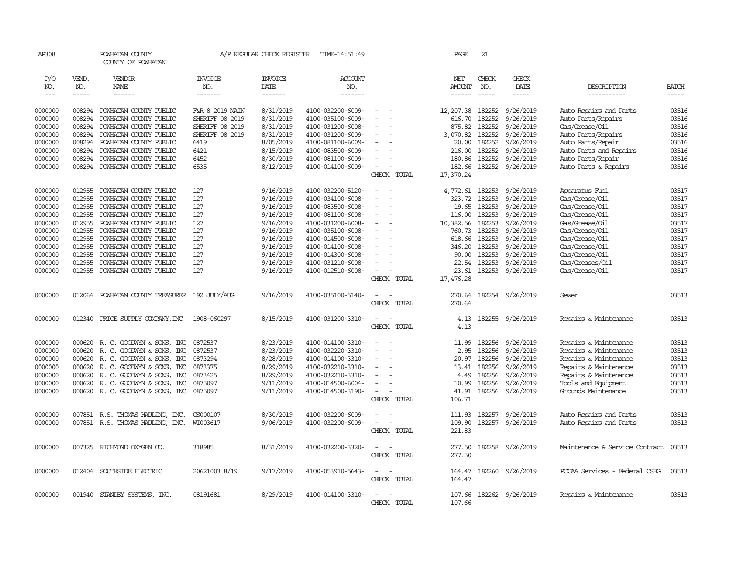| AP308              |                  | POWHATAN COUNTY<br>COUNTY OF POWHATAN            |                        | A/P REGULAR CHECK REGISTER | TIME-14:51:49                          |                                    | PAGE                 | 21               |                        |                                  |                |
|--------------------|------------------|--------------------------------------------------|------------------------|----------------------------|----------------------------------------|------------------------------------|----------------------|------------------|------------------------|----------------------------------|----------------|
| P/O<br>NO.         | VEND.<br>NO.     | VENDOR<br>NAME                                   | <b>INVOICE</b><br>NO.  | <b>INVOICE</b><br>DATE     | <b>ACCOUNT</b><br>NO.                  |                                    | NET<br><b>AMOUNT</b> | CHECK<br>NO.     | CHECK<br>DATE          | DESCRIPTION                      | <b>BATCH</b>   |
| $---$              | -----            | ------                                           | -------                | -------                    | -------                                |                                    |                      |                  | -----                  | -----------                      | $\frac{1}{2}$  |
| 0000000            | 008294           | POWHATAN COUNTY PUBLIC                           | F&R 8 2019 MAIN        | 8/31/2019                  | 4100-032200-6009-                      | $\equiv$                           | 12,207.38            | 182252           | 9/26/2019              | Auto Repairs and Parts           | 03516          |
| 0000000            | 008294           | POWHATAN COUNTY PUBLIC                           | <b>SHERIFF 08 2019</b> | 8/31/2019                  | 4100-035100-6009-                      |                                    | 616.70               | 182252           | 9/26/2019              | Auto Parts/Repairs               | 03516          |
| 0000000            | 008294           | POWHATAN COUNTY PUBLIC                           | <b>SHERIFF 08 2019</b> | 8/31/2019                  | 4100-031200-6008-                      |                                    | 875.82               | 182252           | 9/26/2019              | Gas/Grease/Oil                   | 03516          |
| 0000000            | 008294           | POWHATAN COUNTY PUBLIC                           | <b>SHERIFF 08 2019</b> | 8/31/2019                  | 4100-031200-6009-                      | $\equiv$                           | 3,070.82             | 182252           | 9/26/2019              | Auto Parts/Repairs               | 03516          |
| 0000000            | 008294           | POWHATAN COUNTY PUBLIC                           | 6419                   | 8/05/2019                  | 4100-081100-6009-                      | $\sim$                             | 20.00                | 182252           | 9/26/2019              | Auto Parts/Repair                | 03516          |
| 0000000            | 008294           | POWHATAN COUNTY PUBLIC                           | 6421                   | 8/15/2019                  | 4100-083500-6009-                      |                                    | 216.00               | 182252           | 9/26/2019              | Auto Parts and Repairs           | 03516          |
| 0000000            | 008294           | POWHATAN COUNTY PUBLIC                           | 6452                   | 8/30/2019                  | 4100-081100-6009-                      |                                    | 180.86               | 182252           | 9/26/2019              | Auto Parts/Repair                | 03516          |
| 0000000            | 008294           | POWHATAN COUNTY PUBLIC                           | 6535                   | 8/12/2019                  | 4100-014100-6009-                      | $\sim$<br>$\overline{\phantom{a}}$ | 182.66               |                  | 182252 9/26/2019       | Auto Parts & Repairs             | 03516          |
|                    |                  |                                                  |                        |                            |                                        | CHECK TOTAL                        | 17,370.24            |                  |                        |                                  |                |
| 0000000            | 012955           | POWHATAN COUNTY PUBLIC                           | 127                    | 9/16/2019                  | 4100-032200-5120-                      | $\sim$                             | 4,772.61             | 182253           | 9/26/2019              | Apparatus Fuel                   | 03517          |
| 0000000            | 012955           | POWHATAN COUNTY PUBLIC                           | 127                    | 9/16/2019                  | 4100-034100-6008-                      |                                    | 323.72               | 182253           | 9/26/2019              | Gas/Grease/Oil                   | 03517          |
| 0000000            | 012955           | POWHATAN COUNTY PUBLIC                           | 127                    | 9/16/2019                  | 4100-083500-6008-                      | $\sim$                             | 19.65                | 182253           | 9/26/2019              | Gas/Grease/Oil                   | 03517          |
| 0000000            | 012955           | POWHATAN COUNTY PUBLIC                           | 127                    | 9/16/2019                  | 4100-081100-6008-                      | $\overline{\phantom{a}}$           | 116.00               | 182253           | 9/26/2019              | Gas/Grease/Oil                   | 03517          |
| 0000000<br>0000000 | 012955<br>012955 | POWHATAN COUNTY PUBLIC<br>POWHATAN COUNTY PUBLIC | 127<br>127             | 9/16/2019<br>9/16/2019     | 4100-031200-6008-<br>4100-035100-6008- | $\equiv$                           | 10,382.56<br>760.73  | 182253<br>182253 | 9/26/2019<br>9/26/2019 | Gas/Grease/Oil<br>Gas/Grease/Oil | 03517<br>03517 |
| 0000000            | 012955           | POWHATAN COUNTY PUBLIC                           | 127                    | 9/16/2019                  | 4100-014500-6008-                      |                                    | 618.66               | 182253           | 9/26/2019              | Gas/Grease/Oil                   | 03517          |
| 0000000            | 012955           | POWHATAN COUNTY PUBLIC                           | 127                    | 9/16/2019                  | 4100-014100-6008-                      |                                    | 346.20               | 182253           | 9/26/2019              | Gas/Grease/Oil                   | 03517          |
| 0000000            | 012955           | POWHATAN COUNTY PUBLIC                           | 127                    | 9/16/2019                  | 4100-014300-6008-                      | $\overline{\phantom{a}}$           | 90.00                | 182253           | 9/26/2019              | Gas/Grease/Oil                   | 03517          |
| 0000000            | 012955           | POWHATAN COUNTY PUBLIC                           | 127                    | 9/16/2019                  | 4100-031210-6008-                      | $\equiv$                           | 22.54                | 182253           | 9/26/2019              | Gas/Greases/Oil                  | 03517          |
| 0000000            | 012955           | POWHATAN COUNTY PUBLIC                           | 127                    | 9/16/2019                  | 4100-012510-6008-                      | $\sim$                             | 23.61                | 182253           | 9/26/2019              | Gas/Grease/Oil                   | 03517          |
|                    |                  |                                                  |                        |                            |                                        | CHECK TOTAL                        | 17,476.28            |                  |                        |                                  |                |
| 0000000            |                  | 012064 POWHATAN COUNTY TREASURER 192 JULY/AUG    |                        | 9/16/2019                  | 4100-035100-5140-                      | $\overline{\phantom{a}}$           | 270.64               |                  | 182254 9/26/2019       | Sewer                            | 03513          |
|                    |                  |                                                  |                        |                            |                                        | CHECK TOTAL                        | 270.64               |                  |                        |                                  |                |
| 0000000            |                  | 012340 PRICE SUPPLY COMPANY, INC                 | 1908-060297            | 8/15/2019                  | 4100-031200-3310-                      | $\sim$                             | 4.13                 |                  | 182255 9/26/2019       | Repairs & Maintenance            | 03513          |
|                    |                  |                                                  |                        |                            |                                        | CHECK TOTAL                        | 4.13                 |                  |                        |                                  |                |
| 0000000            |                  | 000620 R.C. GOODWYN & SONS, INC                  | 0872537                | 8/23/2019                  | 4100-014100-3310-                      | $\sim$                             | 11.99                | 182256           | 9/26/2019              | Repairs & Maintenance            | 03513          |
| 0000000            | 000620           | R. C. GOODWIN & SONS, INC                        | 0872537                | 8/23/2019                  | 4100-032220-3310-                      |                                    | 2.95                 | 182256           | 9/26/2019              | Repairs & Maintenance            | 03513          |
| 0000000            |                  | 000620 R. C. GOODWIN & SONS, INC                 | 0873294                | 8/28/2019                  | 4100-014100-3310-                      | $\equiv$                           | 20.97                | 182256           | 9/26/2019              | Repairs & Maintenance            | 03513          |
| 0000000            | 000620           | R. C. GOODWYN & SONS, INC                        | 0873375                | 8/29/2019                  | 4100-032210-3310-                      | $\sim$                             | 13.41                | 182256           | 9/26/2019              | Repairs & Maintenance            | 03513          |
| 0000000            |                  | 000620 R. C. GOODWYN & SONS, INC                 | 0873425                | 8/29/2019                  | 4100-032210-3310-                      |                                    | 4.49                 | 182256           | 9/26/2019              | Repairs & Maintenance            | 03513          |
| 0000000            |                  | 000620 R.C. GOODWYN & SONS, INC                  | 0875097                | 9/11/2019                  | 4100-014500-6004-                      | $\sim$                             | 10.99                | 182256           | 9/26/2019              | Tools and Equipment              | 03513          |
| 0000000            |                  | 000620 R. C. GOODWIN & SONS, INC                 | 0875097                | 9/11/2019                  | 4100-014500-3190-                      | $\sim$                             | 41.91                | 182256           | 9/26/2019              | Grounds Maintenance              | 03513          |
|                    |                  |                                                  |                        |                            |                                        | CHECK TOTAL                        | 106.71               |                  |                        |                                  |                |
| 0000000            |                  | 007851 R.S. THOMAS HAULING, INC.                 | CS000107               | 8/30/2019                  | 4100-032200-6009-                      | $\equiv$                           | 111.93               | 182257           | 9/26/2019              | Auto Repairs and Parts           | 03513          |
| 0000000            |                  | 007851 R.S. THOMAS HAULING, INC. WI003617        |                        | 9/06/2019                  | 4100-032200-6009-                      | $\sim$                             | 109.90               |                  | 182257 9/26/2019       | Auto Repairs and Parts           | 03513          |
|                    |                  |                                                  |                        |                            |                                        | CHECK TOTAL                        | 221.83               |                  |                        |                                  |                |
| 0000000            |                  | 007325 RICHMOND OXYGEN CO.                       | 318985                 | 8/31/2019                  | 4100-032200-3320-                      | $\sim$<br>$\overline{\phantom{a}}$ | 277.50               |                  | 182258 9/26/2019       | Maintenance & Service Contract   | 03513          |
|                    |                  |                                                  |                        |                            |                                        | CHECK TOTAL                        | 277.50               |                  |                        |                                  |                |
| 0000000            |                  | 012404 SOUTHSIDE ELECTRIC                        | 20621003 8/19          | 9/17/2019                  | 4100-053910-5643-                      | $\equiv$                           | 164.47               |                  | 182260 9/26/2019       | PCCAA Services - Federal CSBG    | 03513          |
|                    |                  |                                                  |                        |                            |                                        | CHECK TOTAL                        | 164.47               |                  |                        |                                  |                |
| 0000000            |                  | 001940 STANDBY SYSTEMS, INC.                     | 08191681               | 8/29/2019                  | 4100-014100-3310-                      | $\equiv$                           | 107.66               |                  | 182262 9/26/2019       | Repairs & Maintenance            | 03513          |
|                    |                  |                                                  |                        |                            |                                        | CHECK TOTAL                        | 107.66               |                  |                        |                                  |                |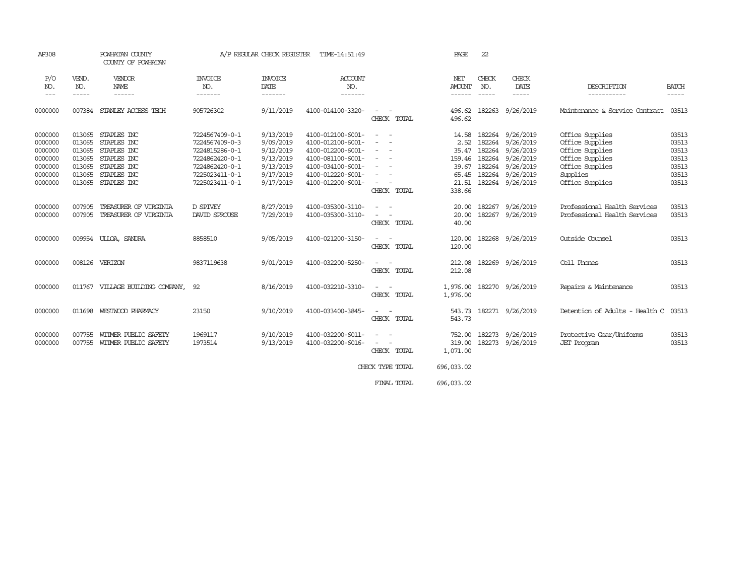| AP308                                                                     | POWHATAN COUNTY<br>COUNTY OF POWHATAN                              |                                                                                                       | A/P REGULAR CHECK REGISTER<br>TIME-14:51:49                                                                                |                                                                                         |                                                                                                                                                 |                                                                                                                                                                                                                                                                                                                                                                                                                          | PAGE                                                          | 22               |                                                                                                                                        |                                                                                                                            |                                                             |
|---------------------------------------------------------------------------|--------------------------------------------------------------------|-------------------------------------------------------------------------------------------------------|----------------------------------------------------------------------------------------------------------------------------|-----------------------------------------------------------------------------------------|-------------------------------------------------------------------------------------------------------------------------------------------------|--------------------------------------------------------------------------------------------------------------------------------------------------------------------------------------------------------------------------------------------------------------------------------------------------------------------------------------------------------------------------------------------------------------------------|---------------------------------------------------------------|------------------|----------------------------------------------------------------------------------------------------------------------------------------|----------------------------------------------------------------------------------------------------------------------------|-------------------------------------------------------------|
| P/O<br>NO.<br>$\qquad \qquad - -$                                         | VEND.<br>NO.<br>-----                                              | VENDOR<br>NAME<br>------                                                                              | <b>INVOICE</b><br>NO.<br>-------                                                                                           | <b>INVOICE</b><br>DATE<br>-------                                                       | <b>ACCOUNT</b><br>NO.<br>-------                                                                                                                |                                                                                                                                                                                                                                                                                                                                                                                                                          | NET<br><b>AMOUNT</b><br>------                                | CHECK<br>NO.     | CHECK<br>DATE<br>-----                                                                                                                 | DESCRIPTION<br>-----------                                                                                                 | <b>BATCH</b><br>-----                                       |
| 0000000                                                                   |                                                                    | 007384 STANLEY ACCESS TECH                                                                            | 905726302                                                                                                                  | 9/11/2019                                                                               | 4100-014100-3320-                                                                                                                               | $\sim$<br>CHECK TOTAL                                                                                                                                                                                                                                                                                                                                                                                                    | 496.62<br>496.62                                              | 182263           | 9/26/2019                                                                                                                              | Maintenance & Service Contract                                                                                             | 03513                                                       |
| 0000000<br>0000000<br>0000000<br>0000000<br>0000000<br>0000000<br>0000000 | 013065<br>013065<br>013065<br>013065<br>013065<br>013065<br>013065 | STAPLES INC<br>STAPLES INC<br>STAPLES INC<br>STAPLES INC<br>STAPLES INC<br>STAPLES INC<br>STAPLES INC | 7224567409-0-1<br>7224567409-0-3<br>7224815286-0-1<br>7224862420-0-1<br>7224862420-0-1<br>7225023411-0-1<br>7225023411-0-1 | 9/13/2019<br>9/09/2019<br>9/12/2019<br>9/13/2019<br>9/13/2019<br>9/17/2019<br>9/17/2019 | 4100-012100-6001-<br>4100-012100-6001-<br>4100-012200-6001-<br>4100-081100-6001-<br>4100-034100-6001-<br>4100-012220-6001-<br>4100-012200-6001- | $ -$<br>$\sim$<br>$\sim$<br>$\frac{1}{2} \left( \frac{1}{2} \right) \left( \frac{1}{2} \right) = \frac{1}{2} \left( \frac{1}{2} \right)$<br>$\frac{1}{2} \left( \frac{1}{2} \right) \left( \frac{1}{2} \right) = \frac{1}{2} \left( \frac{1}{2} \right)$<br>$\sim$ $ -$<br>$\sim$ $ \sim$<br>$\frac{1}{2} \left( \frac{1}{2} \right) \left( \frac{1}{2} \right) = \frac{1}{2} \left( \frac{1}{2} \right)$<br>CHECK TOTAL | 14.58<br>35.47<br>159.46<br>39.67<br>65.45<br>21.51<br>338.66 | 182264           | 182264 9/26/2019<br>2.52 182264 9/26/2019<br>9/26/2019<br>182264 9/26/2019<br>182264 9/26/2019<br>182264 9/26/2019<br>182264 9/26/2019 | Office Supplies<br>Office Supplies<br>Office Supplies<br>Office Supplies<br>Office Supplies<br>Supplies<br>Office Supplies | 03513<br>03513<br>03513<br>03513<br>03513<br>03513<br>03513 |
| 0000000<br>0000000                                                        | 007905<br>007905                                                   | TREASURER OF VIRGINIA<br>TREASURER OF VIRGINIA                                                        | D SPIVEY<br><b>DAVID SPROUSE</b>                                                                                           | 8/27/2019<br>7/29/2019                                                                  | 4100-035300-3110-<br>4100-035300-3110-                                                                                                          | $\frac{1}{2} \left( \frac{1}{2} \right) \left( \frac{1}{2} \right) \left( \frac{1}{2} \right)$<br>$\sim$<br>CHECK TOTAL                                                                                                                                                                                                                                                                                                  | 20.00<br>20.00<br>40.00                                       | 182267<br>182267 | 9/26/2019<br>9/26/2019                                                                                                                 | Professional Health Services<br>Professional Health Services                                                               | 03513<br>03513                                              |
| 0000000                                                                   |                                                                    | 009954 ULLOA, SANDRA                                                                                  | 8858510                                                                                                                    | 9/05/2019                                                                               | 4100-021200-3150-                                                                                                                               | $\sim$<br>$\sim$<br>CHECK TOTAL                                                                                                                                                                                                                                                                                                                                                                                          | 120.00<br>120.00                                              |                  | 182268 9/26/2019                                                                                                                       | Outside Counsel                                                                                                            | 03513                                                       |
| 0000000                                                                   |                                                                    | 008126 VERIZON                                                                                        | 9837119638                                                                                                                 | 9/01/2019                                                                               | 4100-032200-5250-                                                                                                                               | $\sim$ 100 $\sim$<br>CHECK TOTAL                                                                                                                                                                                                                                                                                                                                                                                         | 212.08<br>212.08                                              |                  | 182269 9/26/2019                                                                                                                       | Cell Phones                                                                                                                | 03513                                                       |
| 0000000                                                                   |                                                                    | 011767 VILLAGE BUILDING COMPANY, 92                                                                   |                                                                                                                            | 8/16/2019                                                                               | 4100-032210-3310-                                                                                                                               | $\frac{1}{2} \left( \frac{1}{2} \right) \left( \frac{1}{2} \right) = \frac{1}{2} \left( \frac{1}{2} \right)$<br>CHECK TOTAL                                                                                                                                                                                                                                                                                              | 1,976.00<br>1,976.00                                          |                  | 182270 9/26/2019                                                                                                                       | Repairs & Maintenance                                                                                                      | 03513                                                       |
| 0000000                                                                   |                                                                    | 011698 WESTWOOD PHARMACY                                                                              | 23150                                                                                                                      | 9/10/2019                                                                               | 4100-033400-3845-                                                                                                                               | $\sim$<br>CHECK TOTAL                                                                                                                                                                                                                                                                                                                                                                                                    | 543.73<br>543.73                                              |                  | 182271 9/26/2019                                                                                                                       | Detention of Adults - Health C                                                                                             | 03513                                                       |
| 0000000<br>0000000                                                        | 007755                                                             | WITMER PUBLIC SAFETY<br>007755 WITMER PUBLIC SAFETY                                                   | 1969117<br>1973514                                                                                                         | 9/10/2019<br>9/13/2019                                                                  | 4100-032200-6011-<br>4100-032200-6016-                                                                                                          | $\overline{\phantom{a}}$<br>$\sim$<br>$\sim$<br>$\sim$<br>CHECK TOTAL                                                                                                                                                                                                                                                                                                                                                    | 752,00<br>319.00<br>1,071.00                                  | 182273           | 9/26/2019<br>182273 9/26/2019                                                                                                          | Protective Gear/Uniforms<br><b>JET</b> Program                                                                             | 03513<br>03513                                              |
|                                                                           |                                                                    |                                                                                                       |                                                                                                                            |                                                                                         |                                                                                                                                                 | CHECK TYPE TOTAL                                                                                                                                                                                                                                                                                                                                                                                                         | 696,033.02                                                    |                  |                                                                                                                                        |                                                                                                                            |                                                             |
|                                                                           |                                                                    |                                                                                                       |                                                                                                                            |                                                                                         |                                                                                                                                                 | FINAL TOTAL                                                                                                                                                                                                                                                                                                                                                                                                              | 696,033.02                                                    |                  |                                                                                                                                        |                                                                                                                            |                                                             |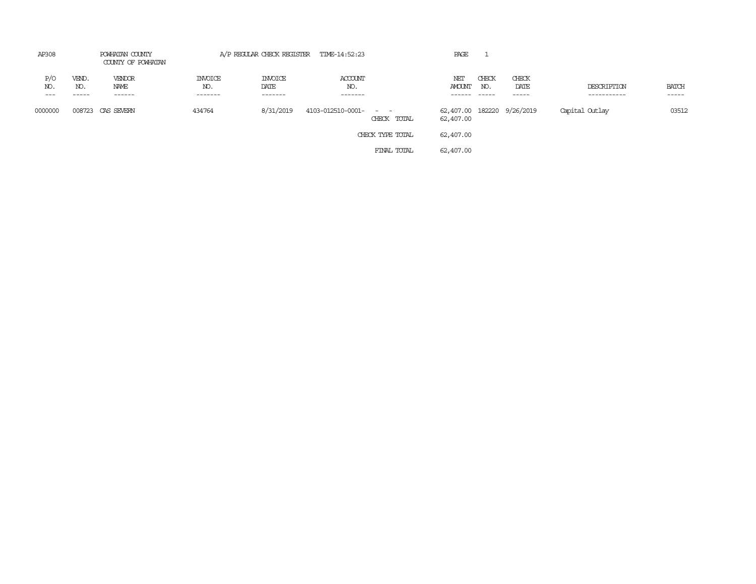| AP308               |                       | POWHATAN COUNTY<br>COUNTY OF POWHATAN |                                  | A/P REGULAR CHECK REGISTER TIME-14:52:23 |                           |                              | PAGE                                    |              |                        |                            |                       |
|---------------------|-----------------------|---------------------------------------|----------------------------------|------------------------------------------|---------------------------|------------------------------|-----------------------------------------|--------------|------------------------|----------------------------|-----------------------|
| P/O<br>NO.<br>$---$ | VEND.<br>NO.<br>----- | VENDOR<br>NAME<br>------              | <b>INVOICE</b><br>NO.<br>------- | <b>INVOICE</b><br>DATE<br>-------        | ACCOUNT<br>NO.<br>------- |                              | NET<br><b>AMOUNT</b>                    | CHECK<br>NO. | CHECK<br>DATE<br>----- | DESCRIPTION<br>----------- | <b>BATCH</b><br>----- |
| 0000000             | 008723                | CAS SEVERN                            | 434764                           | 8/31/2019                                | 4103-012510-0001-         | $\sim$ $\sim$<br>CHECK TOTAL | 62,407.00 182220 9/26/2019<br>62,407.00 |              |                        | Capital Outlay             | 03512                 |
|                     |                       |                                       |                                  |                                          |                           | CHECK TYPE TOTAL             | 62,407.00                               |              |                        |                            |                       |
|                     |                       |                                       |                                  |                                          |                           | FINAL TOTAL                  | 62,407.00                               |              |                        |                            |                       |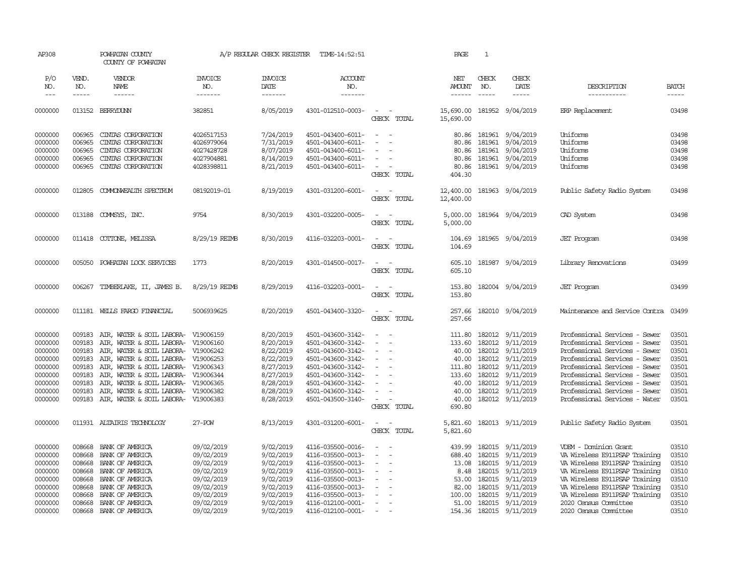| AP308                       |                       | POWHATAN COUNTY<br>COUNTY OF POWHATAN                                      |                                  | A/P REGULAR CHECK REGISTER        | TIME-14:52:51                          |                                                                                                              | PAGE                           | $\mathbf{1}$                           |                                      |                                                                |                                        |
|-----------------------------|-----------------------|----------------------------------------------------------------------------|----------------------------------|-----------------------------------|----------------------------------------|--------------------------------------------------------------------------------------------------------------|--------------------------------|----------------------------------------|--------------------------------------|----------------------------------------------------------------|----------------------------------------|
| P/O<br>NO.<br>$\frac{1}{2}$ | VEND.<br>NO.<br>----- | <b>VENDOR</b><br>NAME                                                      | <b>INVOICE</b><br>NO.<br>------- | <b>INVOICE</b><br>DATE<br>------- | <b>ACCOUNT</b><br>NO.<br>-------       |                                                                                                              | NET<br><b>AMOUNT</b><br>------ | CHECK<br>NO.<br>$\cdots \cdots \cdots$ | CHECK<br>DATE<br>-----               | DESCRIPTION<br>-----------                                     | <b>BATCH</b><br>$\cdots \cdots \cdots$ |
| 0000000                     |                       | 013152 BERRYDUNN                                                           | 382851                           | 8/05/2019                         | 4301-012510-0003-                      | $\sim$<br>CHECK TOTAL                                                                                        | 15,690.00<br>15,690.00         |                                        | 181952 9/04/2019                     | ERP Replacement                                                | 03498                                  |
| 0000000                     | 006965                | CINIAS CORPORATION                                                         | 4026517153                       | 7/24/2019                         | 4501-043400-6011-                      | $\frac{1}{2} \left( \frac{1}{2} \right) \left( \frac{1}{2} \right) = \frac{1}{2} \left( \frac{1}{2} \right)$ |                                |                                        | 80.86 181961 9/04/2019               | Uniforms                                                       | 03498                                  |
| 0000000                     | 006965                | CINIAS CORPORATION                                                         | 4026979064                       | 7/31/2019                         | 4501-043400-6011-                      |                                                                                                              | 80.86                          | 181961                                 | 9/04/2019                            | Uniforms                                                       | 03498                                  |
| 0000000                     | 006965                | CINIAS CORPORATION                                                         | 4027428728                       | 8/07/2019                         | 4501-043400-6011-                      |                                                                                                              | 80.86                          | 181961                                 | 9/04/2019                            | Uniforms                                                       | 03498                                  |
| 0000000                     | 006965                | CINIAS CORPORATION                                                         | 4027904881                       | 8/14/2019                         | 4501-043400-6011-                      | $\overline{\phantom{a}}$                                                                                     | 80.86                          | 181961                                 | 9/04/2019                            | Uniforms                                                       | 03498                                  |
| 0000000                     | 006965                | CINIAS CORPORATION                                                         | 4028398811                       | 8/21/2019                         | 4501-043400-6011-                      | $\sim$<br>CHECK TOTAL                                                                                        | 80.86<br>404.30                |                                        | 181961 9/04/2019                     | Uniforms                                                       | 03498                                  |
| 0000000                     | 012805                | COMMONWEALTH SPECTRUM                                                      | 08192019-01                      | 8/19/2019                         | 4301-031200-6001-                      | $\overline{\phantom{a}}$<br>$\sim$<br>CHECK TOTAL                                                            | 12,400.00<br>12,400.00         |                                        | 181963 9/04/2019                     | Public Safety Radio System                                     | 03498                                  |
| 0000000                     |                       | 013188 COMMSYS, INC.                                                       | 9754                             | 8/30/2019                         | 4301-032200-0005-                      | $\equiv$<br>CHECK TOTAL                                                                                      | 5,000.00                       |                                        | 5,000.00 181964 9/04/2019            | CAD System                                                     | 03498                                  |
| 0000000                     | 011418                | COTTONE, MELISSA                                                           | 8/29/19 REIMB                    | 8/30/2019                         | 4116-032203-0001-                      | $\overline{\phantom{a}}$<br>$\sim$<br>CHECK TOTAL                                                            | 104.69<br>104.69               |                                        | 181965 9/04/2019                     | <b>JET</b> Program                                             | 03498                                  |
| 0000000                     | 005050                | POWHATAN LOCK SERVICES                                                     | 1773                             | 8/20/2019                         | 4301-014500-0017-                      | $\omega_{\rm{max}}$ , $\omega_{\rm{max}}$<br>CHECK TOTAL                                                     | 605.10<br>605.10               |                                        | 181987 9/04/2019                     | Library Renovations                                            | 03499                                  |
| 0000000                     | 006267                | TIMBERLAKE, II, JAMES B.                                                   | 8/29/19 REIMB                    | 8/29/2019                         | 4116-032203-0001-                      | $\equiv$<br>$\sim$<br>CHECK TOTAL                                                                            | 153.80<br>153.80               |                                        | 182004 9/04/2019                     | <b>JET</b> Program                                             | 03499                                  |
| 0000000                     |                       | 011181 WELLS FARGO FINANCIAL                                               | 5006939625                       | 8/20/2019                         | 4501-043400-3320-                      | $\sim$<br>$\sim$<br>CHECK TOTAL                                                                              | 257.66<br>257.66               |                                        | 182010 9/04/2019                     | Maintenance and Service Contra                                 | 03499                                  |
| 0000000                     | 009183                | AIR, WATER & SOIL LABORA- V19006159                                        |                                  | 8/20/2019                         | 4501-043600-3142-                      | $\equiv$                                                                                                     | 111.80                         |                                        | 182012 9/11/2019                     | Professional Services - Sewer                                  | 03501                                  |
| 0000000                     | 009183                | AIR, WATER & SOIL LABORA- V19006160                                        |                                  | 8/20/2019                         | 4501-043600-3142-                      |                                                                                                              | 133.60                         |                                        | 182012 9/11/2019                     | Professional Services - Sewer                                  | 03501                                  |
| 0000000                     | 009183                | AIR, WATER & SOIL LABORA- V19006242                                        |                                  | 8/22/2019                         | 4501-043600-3142-                      |                                                                                                              |                                |                                        | 40.00 182012 9/11/2019               | Professional Services - Sewer                                  | 03501                                  |
| 0000000                     | 009183                | AIR, WATER & SOIL LABORA- V19006253                                        |                                  | 8/22/2019                         | 4501-043600-3142-                      |                                                                                                              | 40.00                          | 182012                                 | 9/11/2019                            | Professional Services - Sewer                                  | 03501                                  |
| 0000000                     | 009183                | AIR, WATER & SOIL LABORA- V19006343                                        |                                  | 8/27/2019                         | 4501-043600-3142-                      |                                                                                                              | 111.80                         |                                        | 182012 9/11/2019                     | Professional Services - Sewer                                  | 03501                                  |
| 0000000<br>0000000          | 009183<br>009183      | AIR, WATER & SOIL LABORA- V19006344<br>AIR, WATER & SOIL LABORA- V19006365 |                                  | 8/27/2019<br>8/28/2019            | 4501-043600-3142-<br>4501-043600-3142- |                                                                                                              | 133.60<br>40.00                |                                        | 182012 9/11/2019<br>182012 9/11/2019 | Professional Services - Sewer<br>Professional Services - Sewer | 03501<br>03501                         |
| 0000000                     | 009183                | AIR, WATER & SOIL LABORA- V19006382                                        |                                  | 8/28/2019                         | 4501-043600-3142-                      |                                                                                                              | 40.00                          |                                        | 182012 9/11/2019                     | Professional Services - Sewer                                  | 03501                                  |
| 0000000                     | 009183                | AIR, WATER & SOIL LABORA- V19006383                                        |                                  | 8/28/2019                         | 4501-043500-3140-                      |                                                                                                              | 40.00                          |                                        | 182012 9/11/2019                     | Professional Services - Water                                  | 03501                                  |
|                             |                       |                                                                            |                                  |                                   |                                        | CHECK TOTAL                                                                                                  | 690.80                         |                                        |                                      |                                                                |                                        |
| 0000000                     |                       | 011931 ALTAIRIS TECHNOLOGY                                                 | 27-POW                           | 8/13/2019                         | 4301-031200-6001-                      | $\sim$<br>$\sim$<br>CHECK TOTAL                                                                              | 5,821.60<br>5,821.60           |                                        | 182013 9/11/2019                     | Public Safety Radio System                                     | 03501                                  |
|                             |                       |                                                                            |                                  |                                   |                                        |                                                                                                              |                                |                                        |                                      |                                                                |                                        |
| 0000000                     | 008668                | BANK OF AMERICA                                                            | 09/02/2019                       | 9/02/2019                         | 4116-035500-0016-                      |                                                                                                              | 439.99                         |                                        | 182015 9/11/2019                     | VDEM - Dominion Grant                                          | 03510                                  |
| 0000000                     | 008668                | BANK OF AMERICA                                                            | 09/02/2019                       | 9/02/2019                         | 4116-035500-0013-                      |                                                                                                              | 688.40                         | 182015                                 | 9/11/2019                            | VA Wireless E911PSAP Training                                  | 03510                                  |
| 0000000                     | 008668                | BANK OF AMERICA                                                            | 09/02/2019                       | 9/02/2019                         | 4116-035500-0013-                      | $\equiv$                                                                                                     | 13.08                          |                                        | 182015 9/11/2019                     | VA Wireless E911PSAP Training                                  | 03510                                  |
| 0000000                     | 008668                | BANK OF AMERICA                                                            | 09/02/2019                       | 9/02/2019                         | 4116-035500-0013-                      | $\equiv$                                                                                                     | 8.48                           | 182015                                 | 9/11/2019                            | VA Wireless E911PSAP Training                                  | 03510                                  |
| 0000000                     | 008668                | BANK OF AMERICA                                                            | 09/02/2019                       | 9/02/2019                         | 4116-035500-0013-                      |                                                                                                              | 53.00                          | 182015                                 | 9/11/2019                            | VA Wireless E911PSAP Training                                  | 03510                                  |
| 0000000                     | 008668                | BANK OF AMERICA                                                            | 09/02/2019                       | 9/02/2019                         | 4116-035500-0013-                      |                                                                                                              | 82.00                          |                                        | 182015 9/11/2019                     | VA Wireless E911PSAP Training                                  | 03510                                  |
| 0000000                     | 008668                | BANK OF AMERICA                                                            | 09/02/2019                       | 9/02/2019                         | 4116-035500-0013-                      |                                                                                                              | 100.00                         |                                        | 182015 9/11/2019                     | VA Wireless E911PSAP Training                                  | 03510                                  |
| 0000000                     | 008668                | BANK OF AMERICA                                                            | 09/02/2019                       | 9/02/2019                         | 4116-012100-0001-                      | $\overline{\phantom{a}}$                                                                                     |                                |                                        | 51.00 182015 9/11/2019               | 2020 Census Committee                                          | 03510                                  |
| 0000000                     | 008668                | BANK OF AMERICA                                                            | 09/02/2019                       | 9/02/2019                         | 4116-012100-0001-                      |                                                                                                              |                                |                                        | 154.36 182015 9/11/2019              | 2020 Census Committee                                          | 03510                                  |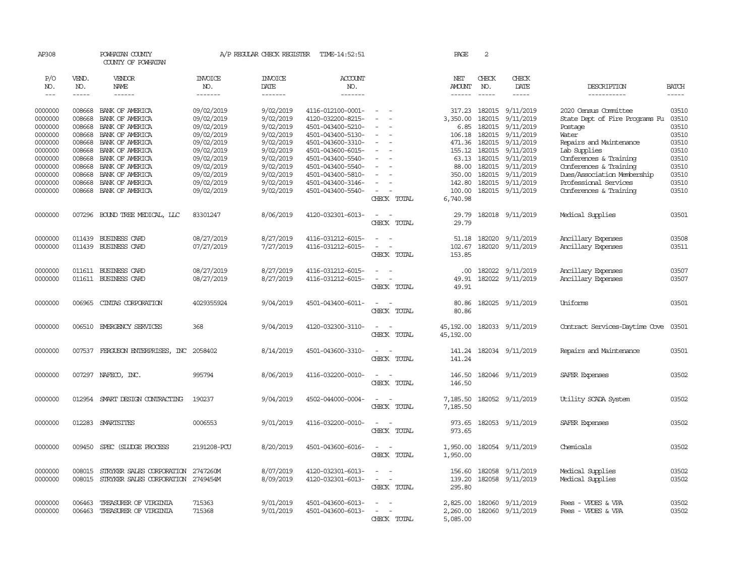| AP308                       |                             | POWHATAN COUNTY<br>COUNTY OF POWHATAN    |                                  | A/P REGULAR CHECK REGISTER         | TIME-14:52:51                          |                                    | PAGE                 | 2                             |                                      |                                |                             |
|-----------------------------|-----------------------------|------------------------------------------|----------------------------------|------------------------------------|----------------------------------------|------------------------------------|----------------------|-------------------------------|--------------------------------------|--------------------------------|-----------------------------|
| P/O<br>NO.<br>$\frac{1}{2}$ | VEND.<br>NO.<br>$- - - - -$ | VENDOR<br>NAME<br>$- - - - - -$          | <b>INVOICE</b><br>NO.<br>------- | <b>INVOICE</b><br>DATE<br>-------- | ACCOUNT<br>NO.<br>$- - - - - - -$      |                                    | NET<br>AMOUNT        | CHECK<br>NO.<br>$\frac{1}{2}$ | CHECK<br>DATE<br>$- - - - -$         | DESCRIPTION<br>-----------     | <b>BATCH</b><br>$- - - - -$ |
|                             |                             |                                          |                                  |                                    |                                        |                                    |                      |                               |                                      |                                |                             |
| 0000000                     | 008668                      | BANK OF AMERICA                          | 09/02/2019                       | 9/02/2019                          | 4116-012100-0001-                      | $\overline{\phantom{a}}$           | 317.23               |                               | 182015 9/11/2019                     | 2020 Census Committee          | 03510                       |
| 0000000                     | 008668                      | BANK OF AMERICA                          | 09/02/2019                       | 9/02/2019                          | 4120-032200-8215-                      | $\sim$<br>$\sim$                   | 3,350.00             | 182015                        | 9/11/2019                            | State Dept of Fire Programs Fu | 03510                       |
| 0000000<br>0000000          | 008668<br>008668            | BANK OF AMERICA<br>BANK OF AMERICA       | 09/02/2019<br>09/02/2019         | 9/02/2019<br>9/02/2019             | 4501-043400-5210-<br>4501-043400-5130- | $\equiv$                           | 6.85<br>106.18       |                               | 182015 9/11/2019<br>182015 9/11/2019 | Postage<br>Water               | 03510<br>03510              |
| 0000000                     | 008668                      | BANK OF AMERICA                          | 09/02/2019                       | 9/02/2019                          | 4501-043600-3310-                      | $\overline{\phantom{a}}$           | 471.36               |                               | 182015 9/11/2019                     | Repairs and Maintenance        | 03510                       |
| 0000000                     | 008668                      | BANK OF AMERICA                          | 09/02/2019                       | 9/02/2019                          | 4501-043600-6015-                      | $\sim$                             | 155.12               | 182015                        | 9/11/2019                            | Lab Supplies                   | 03510                       |
| 0000000                     | 008668                      | BANK OF AMERICA                          | 09/02/2019                       | 9/02/2019                          | 4501-043400-5540-                      |                                    |                      |                               | 63.13 182015 9/11/2019               | Conferences & Training         | 03510                       |
| 0000000                     | 008668                      | BANK OF AMERICA                          | 09/02/2019                       | 9/02/2019                          | 4501-043400-5540-                      |                                    | 88.00                |                               | 182015 9/11/2019                     | Conferences & Training         | 03510                       |
| 0000000                     | 008668                      | BANK OF AMERICA                          | 09/02/2019                       | 9/02/2019                          | 4501-043400-5810-                      | $\equiv$                           | 350.00               |                               | 182015 9/11/2019                     | Dues/Association Membership    | 03510                       |
| 0000000                     | 008668                      | BANK OF AMERICA                          | 09/02/2019                       | 9/02/2019                          | 4501-043400-3146-                      |                                    | 142.80               |                               | 182015 9/11/2019                     | Professional Services          | 03510                       |
| 0000000                     | 008668                      | BANK OF AMERICA                          | 09/02/2019                       | 9/02/2019                          | 4501-043400-5540-                      | $\sim$<br>$\sim$                   | 100.00               |                               | 182015 9/11/2019                     | Conferences & Training         | 03510                       |
|                             |                             |                                          |                                  |                                    |                                        | CHECK TOTAL                        | 6,740.98             |                               |                                      |                                |                             |
| 0000000                     |                             | 007296 BOUND TREE MEDICAL, LLC           | 83301247                         | 8/06/2019                          | 4120-032301-6013-                      | $\overline{\phantom{a}}$<br>$\sim$ | 29.79                |                               | 182018 9/11/2019                     | Medical Supplies               | 03501                       |
|                             |                             |                                          |                                  |                                    |                                        | CHECK TOTAL                        | 29.79                |                               |                                      |                                |                             |
| 0000000                     |                             | 011439 BUSINESS CARD                     | 08/27/2019                       | 8/27/2019                          | 4116-031212-6015-                      | $\sim$<br>$\sim$                   | 51.18                |                               | 182020 9/11/2019                     | Ancillary Expenses             | 03508                       |
| 0000000                     |                             | 011439 BUSINESS CARD                     | 07/27/2019                       | 7/27/2019                          | 4116-031212-6015-                      | $\sim$<br>$\sim$                   | 102.67               |                               | 182020 9/11/2019                     | Ancillary Expenses             | 03511                       |
|                             |                             |                                          |                                  |                                    |                                        | CHECK TOTAL                        | 153.85               |                               |                                      |                                |                             |
| 0000000                     |                             | 011611 BUSINESS CARD                     | 08/27/2019                       | 8/27/2019                          | 4116-031212-6015-                      | $\sim$                             | $.00 \times$         |                               | 182022 9/11/2019                     | Ancillary Expenses             | 03507                       |
| 0000000                     |                             | 011611 BUSINESS CARD                     | 08/27/2019                       | 8/27/2019                          | 4116-031212-6015-                      | $\overline{\phantom{a}}$<br>$\sim$ | 49.91                |                               | 182022 9/11/2019                     | Ancillary Expenses             | 03507                       |
|                             |                             |                                          |                                  |                                    |                                        | CHECK TOTAL                        | 49.91                |                               |                                      |                                |                             |
| 0000000                     | 006965                      | CINIAS CORPORATION                       | 4029355924                       | 9/04/2019                          | 4501-043400-6011-                      | $\overline{\phantom{a}}$           | 80.86                |                               | 182025 9/11/2019                     | Uniforms                       | 03501                       |
|                             |                             |                                          |                                  |                                    |                                        | CHECK TOTAL                        | 80.86                |                               |                                      |                                |                             |
| 0000000                     |                             | 006510 EMERGENCY SERVICES                | 368                              | 9/04/2019                          | 4120-032300-3110-                      | $\sim$<br>$\sim$                   | 45,192.00            |                               | 182033 9/11/2019                     | Contract Services-Daytime Cove | 03501                       |
|                             |                             |                                          |                                  |                                    |                                        | CHECK TOTAL                        | 45,192.00            |                               |                                      |                                |                             |
| 0000000                     |                             | 007537 FERGUSON ENTERPRISES, INC 2058402 |                                  | 8/14/2019                          | 4501-043600-3310-                      | $\sim$<br>$\sim$                   | 141.24               |                               | 182034 9/11/2019                     | Repairs and Maintenance        | 03501                       |
|                             |                             |                                          |                                  |                                    |                                        | CHECK TOTAL                        | 141.24               |                               |                                      |                                |                             |
|                             |                             |                                          |                                  |                                    |                                        |                                    |                      |                               |                                      |                                |                             |
| 0000000                     |                             | 007297 NAFECO, INC.                      | 995794                           | 8/06/2019                          | 4116-032200-0010-                      | $\sim$<br>$\sim$<br>CHECK TOTAL    | 146.50<br>146.50     |                               | 182046 9/11/2019                     | SAFER Expenses                 | 03502                       |
|                             |                             |                                          |                                  |                                    |                                        |                                    |                      |                               |                                      |                                |                             |
| 0000000                     |                             | 012954 SMART DESIGN CONTRACTING          | 190237                           | 9/04/2019                          | 4502-044000-0004-                      | $\sim$ $ \sim$<br>CHECK TOTAL      | 7,185.50<br>7,185.50 |                               | 182052 9/11/2019                     | Utility SCADA System           | 03502                       |
|                             |                             |                                          |                                  |                                    |                                        |                                    |                      |                               |                                      |                                |                             |
| 0000000                     |                             | 012283 SMARTSITES                        | 0006553                          | 9/01/2019                          | 4116-032200-0010-                      | $\sim$ $\sim$<br>CHECK TOTAL       | 973.65<br>973.65     |                               | 182053 9/11/2019                     | SAFER Expenses                 | 03502                       |
|                             |                             |                                          |                                  |                                    |                                        |                                    |                      |                               |                                      |                                |                             |
| 0000000                     | 009450                      | SPEC (SILIDGE PROCESS                    | 2191208-PCU                      | 8/20/2019                          | 4501-043600-6016-                      | $\overline{\phantom{a}}$<br>$\sim$ | 1,950.00             |                               | 182054 9/11/2019                     | Chemicals                      | 03502                       |
|                             |                             |                                          |                                  |                                    |                                        | CHECK TOTAL                        | 1,950.00             |                               |                                      |                                |                             |
| 0000000                     | 008015                      | STRYKER SALES CORPORATION                | 2747260M                         | 8/07/2019                          | 4120-032301-6013-                      | $\sim$                             | 156.60               |                               | 182058 9/11/2019                     | Medical Supplies               | 03502                       |
| 0000000                     | 008015                      | STRYKER SALES CORPORATION                | 2749454M                         | 8/09/2019                          | 4120-032301-6013-                      | $\overline{\phantom{a}}$<br>$\sim$ | 139.20               |                               | 182058 9/11/2019                     | Medical Supplies               | 03502                       |
|                             |                             |                                          |                                  |                                    |                                        | CHECK TOTAL                        | 295.80               |                               |                                      |                                |                             |
| 0000000                     | 006463                      | TREASURER OF VIRGINIA                    | 715363                           | 9/01/2019                          | 4501-043600-6013-                      |                                    | 2,825.00             |                               | 182060 9/11/2019                     | Fees - VPDES & VPA             | 03502                       |
| 0000000                     | 006463                      | TREASURER OF VIRGINIA                    | 715368                           | 9/01/2019                          | 4501-043600-6013-                      | $\sim$<br>$\sim$                   |                      |                               | 2,260.00 182060 9/11/2019            | Fees - VPDES & VPA             | 03502                       |
|                             |                             |                                          |                                  |                                    |                                        | CHECK TOTAL                        | 5,085.00             |                               |                                      |                                |                             |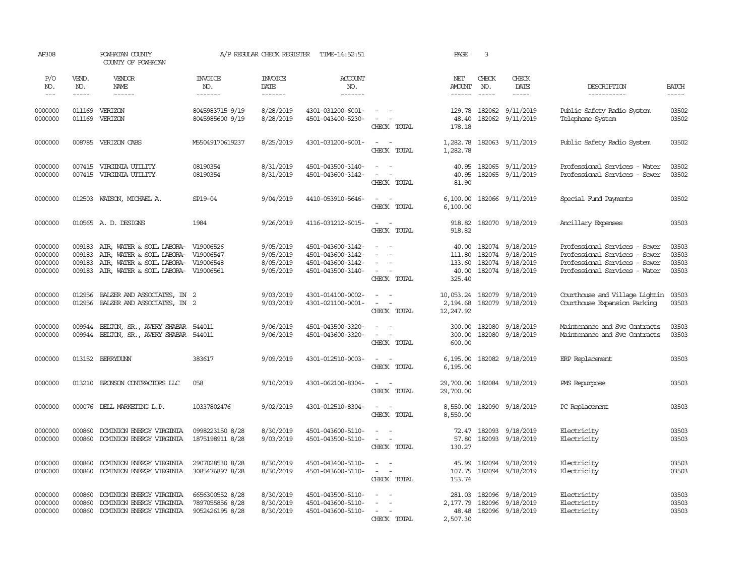| AP308                                    |                             | POWHATAN COUNTY<br>COUNTY OF POWHATAN                                                                                                                           |                                                       | A/P REGULAR CHECK REGISTER                       | TIME-14:52:51                                                                    |                                                                                 | PAGE                           | $\overline{\mathbf{3}}$       |                                                                                                  |                                                                                                                                  |                                  |
|------------------------------------------|-----------------------------|-----------------------------------------------------------------------------------------------------------------------------------------------------------------|-------------------------------------------------------|--------------------------------------------------|----------------------------------------------------------------------------------|---------------------------------------------------------------------------------|--------------------------------|-------------------------------|--------------------------------------------------------------------------------------------------|----------------------------------------------------------------------------------------------------------------------------------|----------------------------------|
| P/O<br>NO.<br>$  -$                      | VEND.<br>NO.<br>$- - - - -$ | VENDOR<br>NAME<br>$- - - - - -$                                                                                                                                 | <b>INVOICE</b><br>NO.<br>--------                     | <b>INVOICE</b><br>DATE<br>--------               | <b>ACCOUNT</b><br>NO.<br>$- - - - - - -$                                         |                                                                                 | NET<br>AMOUNT<br>$- - - - - -$ | CHECK<br>NO.<br>$\frac{1}{2}$ | CHECK<br>DATE<br>$- - - - -$                                                                     | DESCRIPTION<br>-----------                                                                                                       | <b>BATCH</b><br>$- - - - -$      |
| 0000000<br>0000000                       | 011169                      | 011169 VERIZON<br>VERIZON                                                                                                                                       | 8045983715 9/19<br>8045985600 9/19                    | 8/28/2019<br>8/28/2019                           | 4301-031200-6001-<br>4501-043400-5230-                                           | $\sim$ $ -$<br>$\sim$ $ \sim$<br>CHECK TOTAL                                    | 129.78<br>48.40<br>178.18      | 182062                        | 182062 9/11/2019<br>9/11/2019                                                                    | Public Safety Radio System<br>Telephone System                                                                                   | 03502<br>03502                   |
| 0000000                                  |                             | 008785 VERIZON CABS                                                                                                                                             | M55049170619237                                       | 8/25/2019                                        | 4301-031200-6001-                                                                | $\sim$ $  -$<br>CHECK TOTAL                                                     | 1,282.78<br>1,282.78           |                               | 182063 9/11/2019                                                                                 | Public Safety Radio System                                                                                                       | 03502                            |
| 0000000<br>0000000                       |                             | 007415 VIRGINIA UTILITY<br>007415 VIRGINIA UTILITY                                                                                                              | 08190354<br>08190354                                  | 8/31/2019<br>8/31/2019                           | 4501-043500-3140-<br>4501-043600-3142-                                           | $ -$<br>$\sim$ $ \sim$<br>CHECK TOTAL                                           | 40.95<br>40.95<br>81.90        |                               | 182065 9/11/2019<br>182065 9/11/2019                                                             | Professional Services - Water<br>Professional Services - Sewer                                                                   | 03502<br>03502                   |
| 0000000                                  |                             | 012503 WATSON, MICHAEL A.                                                                                                                                       | SP19-04                                               | 9/04/2019                                        | 4410-053910-5646-                                                                | $\sim$ $ -$<br>CHECK TOTAL                                                      | 6,100.00                       |                               | 6,100.00 182066 9/11/2019                                                                        | Special Fund Payments                                                                                                            | 03502                            |
| 0000000                                  |                             | 010565 A.D. DESIGNS                                                                                                                                             | 1984                                                  | 9/26/2019                                        | 4116-031212-6015-                                                                | $\sim$ $ \sim$<br>CHECK TOTAL                                                   | 918.82<br>918.82               |                               | 182070 9/18/2019                                                                                 | Ancillary Expenses                                                                                                               | 03503                            |
| 0000000<br>0000000<br>0000000<br>0000000 | 009183<br>009183<br>009183  | AIR, WATER & SOIL LABORA- V19006526<br>AIR, WATER & SOIL LABORA- V19006547<br>AIR, WATER & SOIL LABORA- V19006548<br>009183 AIR, WATER & SOIL LABORA- V19006561 |                                                       | 9/05/2019<br>9/05/2019<br>8/05/2019<br>9/05/2019 | 4501-043600-3142-<br>4501-043600-3142-<br>4501-043600-3142-<br>4501-043500-3140- | $\sim$<br>$\equiv$<br>$\overline{\phantom{a}}$<br>$\sim$ $ \sim$<br>CHECK TOTAL | 40.00<br>325.40                |                               | 40.00 182074 9/18/2019<br>111.80 182074 9/18/2019<br>133.60 182074 9/18/2019<br>182074 9/18/2019 | Professional Services - Sewer<br>Professional Services - Sewer<br>Professional Services - Sewer<br>Professional Services - Water | 03503<br>03503<br>03503<br>03503 |
| 0000000<br>0000000                       | 012956<br>012956            | BALZER AND ASSOCIATES, IN 2<br>BALZER AND ASSOCIATES, IN 2                                                                                                      |                                                       | 9/03/2019<br>9/03/2019                           | 4301-014100-0002-<br>4301-021100-0001-                                           | $\sim$<br>$ -$<br>CHECK TOTAL                                                   | 2,194.68<br>12,247.92          |                               | 10,053.24 182079 9/18/2019<br>182079 9/18/2019                                                   | Courthouse and Village Lightin<br>Courthouse Expansion Parking                                                                   | 03503<br>03503                   |
| 0000000<br>0000000                       | 009944                      | BELTON, SR., AVERY SHABAR 544011<br>009944 BELTON, SR., AVERY SHABAR 544011                                                                                     |                                                       | 9/06/2019<br>9/06/2019                           | 4501-043500-3320-<br>4501-043600-3320-                                           | $\sim$ $ -$<br>$\mathcal{L} = \mathcal{L} \times \mathcal{L}$<br>CHECK TOTAL    | 300.00<br>300.00<br>600.00     |                               | 182080 9/18/2019<br>182080 9/18/2019                                                             | Maintenance and Svc Contracts<br>Maintenance and Svc Contracts                                                                   | 03503<br>03503                   |
| 0000000                                  |                             | 013152 BERRYDUNN                                                                                                                                                | 383617                                                | 9/09/2019                                        | 4301-012510-0003-                                                                | $\sim$ $  -$<br>CHECK TOTAL                                                     | 6,195.00<br>6,195.00           |                               | 182082 9/18/2019                                                                                 | ERP Replacement                                                                                                                  | 03503                            |
| 0000000                                  |                             | 013210 BRONSON CONTRACTORS LLC                                                                                                                                  | 058                                                   | 9/10/2019                                        | 4301-062100-8304-                                                                | $\mathcal{L}_{\text{max}}$ , and $\mathcal{L}_{\text{max}}$<br>CHECK TOTAL      | 29,700.00<br>29,700.00         |                               | 182084 9/18/2019                                                                                 | PMS Repurpose                                                                                                                    | 03503                            |
| 0000000                                  |                             | 000076 DELL MARKETING L.P.                                                                                                                                      | 10337802476                                           | 9/02/2019                                        | 4301-012510-8304-                                                                | $\sim$ $ \sim$<br>CHECK TOTAL                                                   | 8,550.00<br>8,550.00           |                               | 182090 9/18/2019                                                                                 | PC Replacement                                                                                                                   | 03503                            |
| 0000000<br>0000000                       | 000860<br>000860            | DOMINION ENERGY VIRGINIA<br>DOMINION ENERGY VIRGINIA                                                                                                            | 0998223150 8/28<br>1875198911 8/28                    | 8/30/2019<br>9/03/2019                           | 4501-043600-5110-<br>4501-043500-5110-                                           | $\sim$<br>$\sim$ $ \sim$<br>CHECK TOTAL                                         | 72.47<br>57.80<br>130.27       |                               | 182093 9/18/2019<br>182093 9/18/2019                                                             | Electricity<br>Electricity                                                                                                       | 03503<br>03503                   |
| 0000000<br>0000000                       | 000860<br>000860            | DOMINION ENERGY VIRGINIA<br>DOMINION ENERGY VIRGINIA                                                                                                            | 2907028530 8/28<br>3085476897 8/28                    | 8/30/2019<br>8/30/2019                           | 4501-043400-5110-<br>4501-043600-5110-                                           | $\sim$ $ \sim$<br>$\sim$ $ \sim$<br>CHECK TOTAL                                 | 107.75<br>153.74               |                               | 45.99 182094 9/18/2019<br>182094 9/18/2019                                                       | Electricity<br>Electricity                                                                                                       | 03503<br>03503                   |
| 0000000<br>0000000<br>0000000            | 000860<br>000860<br>000860  | DOMINION ENERGY VIRGINIA<br>DOMINION ENERGY VIRGINIA<br>DOMINION ENERGY VIRGINIA                                                                                | 6656300552 8/28<br>7897055856 8/28<br>9052426195 8/28 | 8/30/2019<br>8/30/2019<br>8/30/2019              | 4501-043500-5110-<br>4501-043600-5110-<br>4501-043600-5110-                      | $\sim$ $ \sim$<br>$\sim$<br>$\sim$<br>$\sim$<br>CHECK TOTAL                     | 281.03<br>48.48<br>2,507.30    | 182096                        | 9/18/2019<br>2,177.79 182096 9/18/2019<br>182096 9/18/2019                                       | Electricity<br>Electricity<br>Electricity                                                                                        | 03503<br>03503<br>03503          |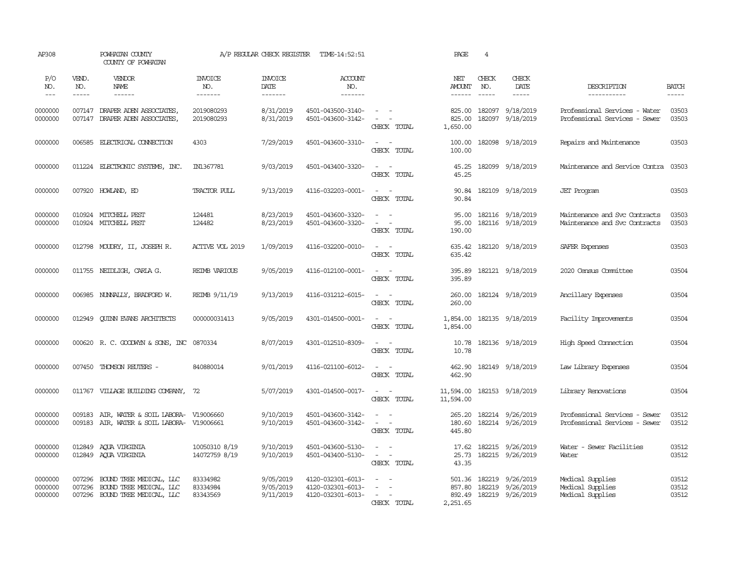| AP308                         |                             | POWHATAN COUNTY<br>COUNTY OF POWHATAN                                                |                                  | A/P REGULAR CHECK REGISTER          | TIME-14:52:51                                               |                                                                         | PAGE                           | 4                             |                                                                 |                                                                |                             |
|-------------------------------|-----------------------------|--------------------------------------------------------------------------------------|----------------------------------|-------------------------------------|-------------------------------------------------------------|-------------------------------------------------------------------------|--------------------------------|-------------------------------|-----------------------------------------------------------------|----------------------------------------------------------------|-----------------------------|
| P/O<br>NO.<br>$---$           | VEND.<br>NO.<br>$- - - - -$ | VENDOR<br>NAME<br>------                                                             | <b>INVOICE</b><br>NO.<br>------- | <b>INVOICE</b><br>DATE<br>--------  | <b>ACCOUNT</b><br>NO.<br>-------                            |                                                                         | NET<br>AMOUNT<br>$- - - - - -$ | CHECK<br>NO.<br>$\frac{1}{2}$ | CHECK<br>DATE<br>$- - - - -$                                    | DESCRIPTION<br>-----------                                     | <b>BATCH</b><br>$- - - - -$ |
| 0000000<br>0000000            | 007147                      | 007147 DRAPER ADEN ASSOCIATES<br>DRAPER ADEN ASSOCIATES,                             | 2019080293<br>2019080293         | 8/31/2019<br>8/31/2019              | 4501-043500-3140-<br>4501-043600-3142-                      | $\sim$ $\sim$<br>$\sim$<br>$\sim$<br>CHECK TOTAL                        | 825.00<br>825.00<br>1,650.00   | 182097<br>182097              | 9/18/2019<br>9/18/2019                                          | Professional Services - Water<br>Professional Services - Sewer | 03503<br>03503              |
| 0000000                       | 006585                      | ELECTRICAL CONNECTION                                                                | 4303                             | 7/29/2019                           | 4501-043600-3310-                                           | $\sim$<br>$\sim$<br>CHECK TOTAL                                         | 100.00<br>100.00               | 182098                        | 9/18/2019                                                       | Repairs and Maintenance                                        | 03503                       |
| 0000000                       | 011224                      | ELECTRONIC SYSTEMS, INC.                                                             | IN1367781                        | 9/03/2019                           | 4501-043400-3320-                                           | $\sim$<br>$\sim$<br>CHECK TOTAL                                         | 45.25<br>45.25                 |                               | 182099 9/18/2019                                                | Maintenance and Service Contra                                 | 03503                       |
| 0000000                       |                             | 007920 HOWLAND, ED                                                                   | <b>TRACTOR PULL</b>              | 9/13/2019                           | 4116-032203-0001-                                           | $\sim$<br>$\sim$<br>CHECK TOTAL                                         | 90.84<br>90.84                 |                               | 182109 9/18/2019                                                | <b>JET</b> Program                                             | 03503                       |
| 0000000<br>0000000            |                             | 010924 MITCHELL PEST<br>010924 MITCHELL PEST                                         | 124481<br>124482                 | 8/23/2019<br>8/23/2019              | 4501-043600-3320-<br>4501-043600-3320-                      | $\equiv$<br>$\sim$<br>$\sim$<br>$\overline{\phantom{a}}$<br>CHECK TOTAL | 95.00<br>95.00<br>190.00       |                               | 182116 9/18/2019<br>182116 9/18/2019                            | Maintenance and Svc Contracts<br>Maintenance and Svc Contracts | 03503<br>03503              |
| 0000000                       |                             | 012798 MOUDRY, II, JOSEPH R.                                                         | ACTIVE VOL 2019                  | 1/09/2019                           | 4116-032200-0010-                                           | $\sim$<br>$\sim$<br>CHECK TOTAL                                         | 635.42<br>635.42               |                               | 182120 9/18/2019                                                | SAFER Expenses                                                 | 03503                       |
| 0000000                       |                             | 011755 NEIDLIGH, CARLA G.                                                            | <b>REIMB VARIOUS</b>             | 9/05/2019                           | 4116-012100-0001-                                           | $\sim$<br>in a<br>CHECK TOTAL                                           | 395.89<br>395.89               |                               | 182121 9/18/2019                                                | 2020 Census Committee                                          | 03504                       |
| 0000000                       |                             | 006985 NUNNALLY, BRADFORD W.                                                         | REIMB 9/11/19                    | 9/13/2019                           | 4116-031212-6015-                                           | $\sim$<br>$\sim$<br>CHECK TOTAL                                         | 260.00<br>260.00               |                               | 182124 9/18/2019                                                | Ancillary Expenses                                             | 03504                       |
| 0000000                       |                             | 012949 CUINN EVANS ARCHITECTS                                                        | 000000031413                     | 9/05/2019                           | 4301-014500-0001-                                           | $\omega_{\rm{max}}$ and $\omega_{\rm{max}}$<br>CHECK TOTAL              | 1,854.00<br>1,854.00           |                               | 182135 9/18/2019                                                | Facility Improvements                                          | 03504                       |
| 0000000                       |                             | 000620 R. C. GOODWYN & SONS, INC 0870334                                             |                                  | 8/07/2019                           | 4301-012510-8309-                                           | $\sim$<br>$\sim$<br>CHECK TOTAL                                         | 10.78<br>10.78                 |                               | 182136 9/18/2019                                                | High Speed Connection                                          | 03504                       |
| 0000000                       |                             | 007450 THOMSON REUTERS -                                                             | 840880014                        | 9/01/2019                           | 4116-021100-6012-                                           | $\omega_{\rm{max}}$ and $\omega_{\rm{max}}$<br>CHECK TOTAL              | 462.90<br>462.90               |                               | 182149 9/18/2019                                                | Law Library Expenses                                           | 03504                       |
| 0000000                       |                             | 011767 VILLAGE BUILDING COMPANY, 72                                                  |                                  | 5/07/2019                           | 4301-014500-0017-                                           | $\sim$ $ \sim$<br>CHECK TOTAL                                           | 11,594.00<br>11,594.00         |                               | 182153 9/18/2019                                                | Library Renovations                                            | 03504                       |
| 0000000<br>0000000            | 009183<br>009183            | AIR, WATER & SOIL LABORA- V19006660<br>AIR, WATER & SOIL LABORA-                     | V19006661                        | 9/10/2019<br>9/10/2019              | 4501-043600-3142-<br>4501-043600-3142-                      | $\sim$<br>$\equiv$<br>$\overline{\phantom{a}}$<br>CHECK TOTAL           | 265.20<br>180.60<br>445.80     |                               | 182214 9/26/2019<br>182214 9/26/2019                            | Professional Services - Sewer<br>Professional Services - Sewer | 03512<br>03512              |
| 0000000<br>0000000            | 012849                      | AQUA VIRGINIA<br>012849 AQUA VIRGINIA                                                | 10050310 8/19<br>14072759 8/19   | 9/10/2019<br>9/10/2019              | 4501-043600-5130-<br>4501-043400-5130-                      | $\sim$<br>$\equiv$<br>$\sim$<br>$\sim$<br>CHECK TOTAL                   | 17.62<br>25.73<br>43.35        |                               | 182215 9/26/2019<br>182215 9/26/2019                            | Water - Sewer Facilities<br>Water                              | 03512<br>03512              |
| 0000000<br>0000000<br>0000000 | 007296<br>007296            | 007296 BOUND TREE MEDICAL, LLC<br>BOUND TREE MEDICAL, LLC<br>BOUND TREE MEDICAL, LLC | 83334982<br>83334984<br>83343569 | 9/05/2019<br>9/05/2019<br>9/11/2019 | 4120-032301-6013-<br>4120-032301-6013-<br>4120-032301-6013- | $\sim$<br>$\overline{\phantom{a}}$<br>$\sim$<br>. —<br>CHECK TOTAL      | 857.80<br>892.49<br>2,251.65   |                               | 501.36 182219 9/26/2019<br>182219 9/26/2019<br>182219 9/26/2019 | Medical Supplies<br>Medical Supplies<br>Medical Supplies       | 03512<br>03512<br>03512     |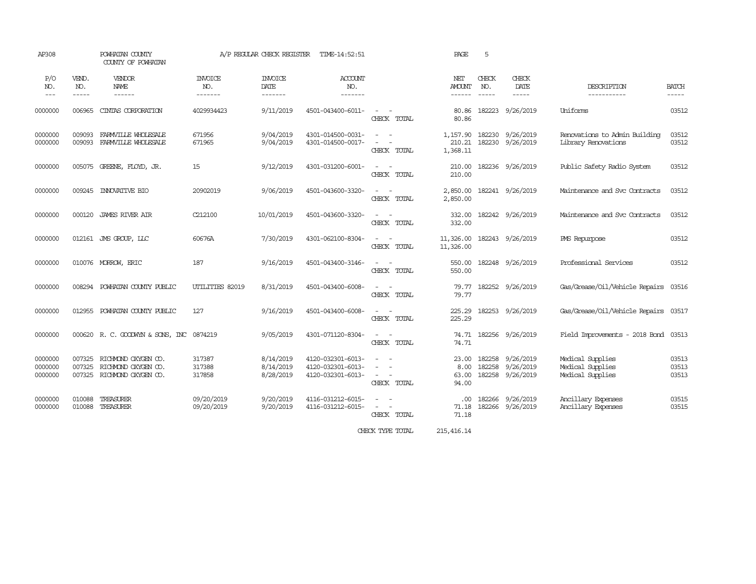| AP308                             |                            | POWHATAN COUNTY<br>COUNTY OF POWHATAN                             |                                   | A/P REGULAR CHECK REGISTER          | TIME-14:52:51                                               |                                                                                                                                               | PAGE                            | 5                                                                                                                                                                                                                                                                                                                                                                                                            |                                      |                                                          |                         |
|-----------------------------------|----------------------------|-------------------------------------------------------------------|-----------------------------------|-------------------------------------|-------------------------------------------------------------|-----------------------------------------------------------------------------------------------------------------------------------------------|---------------------------------|--------------------------------------------------------------------------------------------------------------------------------------------------------------------------------------------------------------------------------------------------------------------------------------------------------------------------------------------------------------------------------------------------------------|--------------------------------------|----------------------------------------------------------|-------------------------|
| P/O<br>NO.<br>$\qquad \qquad - -$ | VEND.<br>NO.<br>-----      | VENDOR<br>NAME<br>------                                          | <b>INVOICE</b><br>NO.<br>-------- | <b>INVOICE</b><br>DATE<br>-------   | ACCOUNT<br>NO.<br>-------                                   |                                                                                                                                               | NET<br><b>AMOUNT</b><br>------  | CHECK<br>NO.<br>$\frac{1}{2} \frac{1}{2} \frac{1}{2} \frac{1}{2} \frac{1}{2} \frac{1}{2} \frac{1}{2} \frac{1}{2} \frac{1}{2} \frac{1}{2} \frac{1}{2} \frac{1}{2} \frac{1}{2} \frac{1}{2} \frac{1}{2} \frac{1}{2} \frac{1}{2} \frac{1}{2} \frac{1}{2} \frac{1}{2} \frac{1}{2} \frac{1}{2} \frac{1}{2} \frac{1}{2} \frac{1}{2} \frac{1}{2} \frac{1}{2} \frac{1}{2} \frac{1}{2} \frac{1}{2} \frac{1}{2} \frac{$ | CHECK<br>DATE<br>$- - - - -$         | DESCRIPTION<br>-----------                               | BATCH<br>-----          |
| 0000000                           | 006965                     | CINIAS CORPORATION                                                | 4029934423                        | 9/11/2019                           | 4501-043400-6011-                                           | $\sim$ 100 $\sim$<br>CHECK TOTAL                                                                                                              | 80.86<br>80.86                  | 182223                                                                                                                                                                                                                                                                                                                                                                                                       | 9/26/2019                            | Uniforms                                                 | 03512                   |
| 0000000<br>0000000                | 009093<br>009093           | FARMVILLE WHOLESALE<br>FARMVILLE WHOLESALE                        | 671956<br>671965                  | 9/04/2019<br>9/04/2019              | 4301-014500-0031-<br>4301-014500-0017-                      | $\frac{1}{2} \left( \frac{1}{2} \right) \left( \frac{1}{2} \right) = \frac{1}{2} \left( \frac{1}{2} \right)$<br>$\sim$ $ \sim$<br>CHECK TOTAL | 1,157.90<br>210.21<br>1,368.11  | 182230<br>182230                                                                                                                                                                                                                                                                                                                                                                                             | 9/26/2019<br>9/26/2019               | Renovations to Admin Building<br>Library Renovations     | 03512<br>03512          |
| 0000000                           |                            | 005075 GREENE, FLOYD, JR.                                         | 15                                | 9/12/2019                           | 4301-031200-6001-                                           | $\sim$ $  -$<br>CHECK TOTAL                                                                                                                   | 210.00<br>210.00                |                                                                                                                                                                                                                                                                                                                                                                                                              | 182236 9/26/2019                     | Public Safety Radio System                               | 03512                   |
| 0000000                           | 009245                     | <b>INNOVATTVE BIO</b>                                             | 20902019                          | 9/06/2019                           | 4501-043600-3320-                                           | $\sim$<br>$\sim$<br>CHECK TOTAL                                                                                                               | 2,850.00<br>2,850.00            |                                                                                                                                                                                                                                                                                                                                                                                                              | 182241 9/26/2019                     | Maintenance and Svc Contracts                            | 03512                   |
| 0000000                           | 000120                     | <b>JAMES RIVER AIR</b>                                            | C212100                           | 10/01/2019                          | 4501-043600-3320-                                           | $\sim$ 100 $\sim$<br>CHECK TOTAL                                                                                                              | 332.00<br>332.00                |                                                                                                                                                                                                                                                                                                                                                                                                              | 182242 9/26/2019                     | Maintenance and Svc Contracts                            | 03512                   |
| 0000000                           |                            | 012161 JMS GROUP, LLC                                             | 60676A                            | 7/30/2019                           | 4301-062100-8304-                                           | $\frac{1}{2} \left( \frac{1}{2} \right) \left( \frac{1}{2} \right) = \frac{1}{2} \left( \frac{1}{2} \right)$<br>CHECK TOTAL                   | 11,326.00                       |                                                                                                                                                                                                                                                                                                                                                                                                              | 11,326.00 182243 9/26/2019           | PMS Repurpose                                            | 03512                   |
| 0000000                           |                            | 010076 MORROW, ERIC                                               | 187                               | 9/16/2019                           | 4501-043400-3146-                                           | $\sim$ 100 $\sim$<br>CHECK TOTAL                                                                                                              | 550.00<br>550.00                |                                                                                                                                                                                                                                                                                                                                                                                                              | 182248 9/26/2019                     | Professional Services                                    | 03512                   |
| 0000000                           | 008294                     | POWHATAN COUNTY PUBLIC                                            | UTILITIES 82019                   | 8/31/2019                           | 4501-043400-6008-                                           | $\sim$<br>CHECK TOTAL                                                                                                                         | 79.77<br>79.77                  |                                                                                                                                                                                                                                                                                                                                                                                                              | 182252 9/26/2019                     | Gas/Grease/Oil/Vehicle Repairs 03516                     |                         |
| 0000000                           | 012955                     | POWHATAN COUNTY PUBLIC                                            | 127                               | 9/16/2019                           | 4501-043400-6008-                                           | $\sim$ $ \sim$<br>CHECK TOTAL                                                                                                                 | 225.29<br>225.29                |                                                                                                                                                                                                                                                                                                                                                                                                              | 182253 9/26/2019                     | Gas/Grease/Oil/Vehicle Repairs 03517                     |                         |
| 0000000                           |                            | 000620 R. C. GOODWYN & SONS, INC 0874219                          |                                   | 9/05/2019                           | 4301-071120-8304-                                           | $\sim$ $ \sim$<br>CHECK TOTAL                                                                                                                 | 74.71                           |                                                                                                                                                                                                                                                                                                                                                                                                              | 74.71 182256 9/26/2019               | Field Improvements - 2018 Bond 03513                     |                         |
| 0000000<br>0000000<br>0000000     | 007325<br>007325<br>007325 | RICHMOND OXYGEN CO.<br>RICHMOND OXYGEN CO.<br>RICHMOND OXYGEN CO. | 317387<br>317388<br>317858        | 8/14/2019<br>8/14/2019<br>8/28/2019 | 4120-032301-6013-<br>4120-032301-6013-<br>4120-032301-6013- | $\sim$ 100 $\sim$<br>$\sim$ $  -$<br>CHECK TOTAL                                                                                              | 23.00<br>8.00<br>63.00<br>94.00 | 182258<br>182258<br>182258                                                                                                                                                                                                                                                                                                                                                                                   | 9/26/2019<br>9/26/2019<br>9/26/2019  | Medical Supplies<br>Medical Supplies<br>Medical Supplies | 03513<br>03513<br>03513 |
| 0000000<br>0000000                | 010088<br>010088           | TREASURER<br>TREASURER                                            | 09/20/2019<br>09/20/2019          | 9/20/2019<br>9/20/2019              | 4116-031212-6015-<br>4116-031212-6015-                      | CHECK TOTAL                                                                                                                                   | .00.<br>71.18<br>71.18          |                                                                                                                                                                                                                                                                                                                                                                                                              | 182266 9/26/2019<br>182266 9/26/2019 | Ancillary Expenses<br>Ancillary Expenses                 | 03515<br>03515          |

CHECK TYPE TOTAL 215,416.14